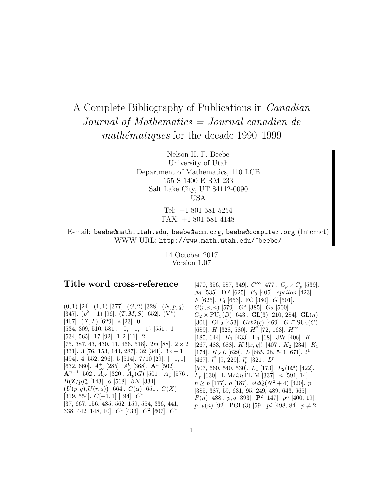# A Complete Bibliography of Publications in Canadian Journal of Mathematics = Journal canadien de mathématiques for the decade  $1990-1999$

Nelson H. F. Beebe University of Utah Department of Mathematics, 110 LCB 155 S 1400 E RM 233 Salt Lake City, UT 84112-0090 USA

> Tel: +1 801 581 5254 FAX: +1 801 581 4148

# E-mail: beebe@math.utah.edu, beebe@acm.org, beebe@computer.org (Internet) WWW URL: http://www.math.utah.edu/~beebe/

14 October 2017 Version 1.07

# **Title word cross-reference**

 $(0, 1)$  [24].  $(1, 1)$  [377].  $(G, 2)$  [328].  $(N, p, q)$ [347].  $(p^2-1)$  [96].  $(T, M, S)$  [652].  $(V^*)$ [467].  $(X, L)$  [629].  $\ast$  [23]. 0 [534, 309, 510, 581]. {0, +1, −1} [551]. 1 [534, 565]. 17 [92]. 1: 2 [11]. 2 [75, 387, 43, 430, 11, 466, 518].  $2m$  [88].  $2 \times 2$ [331]. 3 [76, 153, 144, 287]. 32 [341].  $3x + 1$ [494]. 4 [552, 296]. 5 [514]. 7/10 [29]. [−1, 1]  $[632, 660]$ .  $A_{\infty}^{+}$  [285].  $A_{p}^{0}$  [368].  $\mathbf{A}^{n}$  [502].  ${\bf A}^{n-1}$  [502].  $A_N$  [320].  $A_p(G)$  [501].  $A_\phi$  [576].  $B({\bf Z}/p)_+^n$  [143].  $\bar{\partial}$  [568].  $\hat{\beta}N$  [334].  $(U(p,q), U(r,s))$  [664].  $C(\alpha)$  [651].  $C(X)$ [319, 554].  $C[-1,1]$  [194].  $C^*$ [37, 667, 156, 485, 562, 159, 554, 336, 441, 338, 442, 148, 10].  $C^1$  [433].  $C^2$  [607].  $C^*$ 

[470, 356, 587, 349].  $C^{\infty}$  [477].  $C_p \times C_p$  [539]. M [535]. DF [625]. E<sup>0</sup> [405]. epsilon [423].  $F$  [625].  $F_4$  [653]. FC [380].  $G$  [501].  $G(r, p, n)$  [579].  $G^{\circ}$  [385].  $G_2$  [500].  $G_2 \times \text{PU}_3(D)$  [643]. GL(3) [210, 284]. GL(n) [306]. GL<sub>2</sub> [453].  $Gsb2(q)$  [469].  $G \subseteq SU_2(C)$ [689]. *H* [328, 580].  $H^2$  [72, 163].  $H^{\infty}$ [185, 644].  $H_1$  [433].  $II_1$  [68]. JW [406]. K [267, 483, 688].  $K[[x, y]]$  [407].  $K_2$  [234].  $K_3$ [174].  $K_XL$  [629].  $L$  [685, 28, 541, 671].  $l^1$ [467].  $l^2$  [9, 229].  $l_p^n$  [321].  $L^p$ [507, 660, 540, 530].  $L_1$  [173].  $L_2(\mathbf{R}^d)$  [422].  $L_p$  [630]. LIMsimTLIM [337]. n [591, 14].  $n \geq p$  [177]. o [187]. old $Q(N^2+4)$  [420]. p [385, 387, 59, 631, 95, 249, 489, 643, 665].  $P(n)$  [488]. p, q [393].  $\mathbf{P}^2$  [147].  $p^n$  [400, 19].  $p_{-k}(n)$  [92]. PGL(3) [59]. *pi* [498, 84]. *p* ≠ 2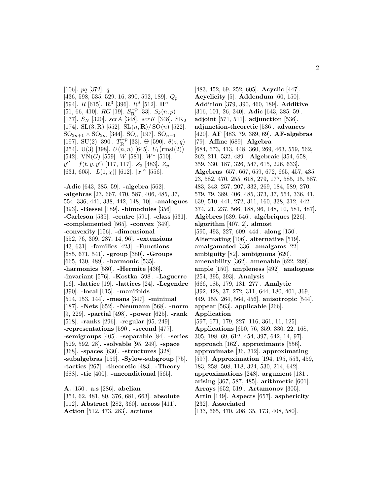[106]. pq [372]. q  $[436, 598, 535, 529, 16, 390, 592, 189]$ .  $Q_p$ [594].  $R$  [615].  $\mathbb{R}^3$  [396].  $R^d$  [512].  $\mathbb{R}^n$  $[51, 66, 410]$ .  $RG$  [19].  $S_R^{-p}$  [33].  $S_k(n, p)$ [177].  $S_N$  [320].  $scrA$  [348].  $scrK$  [348].  $SK_2$ [174]. SL $(3, R)$  [552]. SL $(n, R)/$  SO $(n)$  [522].  $SO_{2n+1} \times SO_{2m}$  [344].  $SO_n$  [197].  $SO_{n-1}$ [197]. SU(2) [390].  $T_{\mathbf{R}}^{-p}$  [33]. Θ [590].  $\theta(z,q)$ [254]. U(3) [398].  $U(n,n)$  [645].  $U_t(rmsl(2))$ [542]. VN(G) [559]. W [581]. W\* [510].  $y'' = f(t, y, y')$  [117, 117].  $Z_2$  [483].  $Z_p$ [631, 605].  $|L(1,\chi)|$  [612].  $|x|^{\alpha}$  [556].

**-Adic** [643, 385, 59]. **-algebra** [562]. **-algebras** [23, 667, 470, 587, 406, 485, 37, 554, 336, 441, 338, 442, 148, 10]. **-analogues** [393]. **-Bessel** [189]. **-bimodules** [356]. **-Carleson** [535]. **-centre** [591]. **-class** [631]. **-complemented** [565]. **-convex** [349]. **-convexity** [156]. **-dimensional** [552, 76, 309, 287, 14, 96]. **-extensions** [43, 631]. **-families** [423]. **-Functions** [685, 671, 541]. **-group** [380]. **-Groups** [665, 430, 489]. **-harmonic** [535]. **-harmonics** [580]. **-Hermite** [436]. **-invariant** [576]. **-Kostka** [598]. **-Laguerre** [16]. **-lattice** [19]. **-lattices** [24]. **-Legendre** [390]. **-local** [615]. **-manifolds** [514, 153, 144]. **-means** [347]. **-minimal** [187]. **-Nets** [652]. **-Neumann** [568]. **-norm** [9, 229]. **-partial** [498]. **-power** [625]. **-rank** [518]. **-ranks** [296]. **-regular** [95, 249]. **-representations** [590]. **-second** [477]. **-semigroups** [405]. **-separable** [84]. **-series** [529, 592, 28]. **-solvable** [95, 249]. **-space** [368]. **-spaces** [630]. **-structures** [328]. **-subalgebras** [159]. **-Sylow-subgroup** [75]. **-tactics** [267]. **-theoretic** [483]. **-Theory** [688]. **-tic** [400]. **-unconditional** [565].

**A.** [150]. **a.s** [286]. **abelian** [354, 62, 481, 80, 376, 681, 663]. **absolute** [112]. **Abstract** [282, 360]. **across** [411]. **Action** [512, 473, 283]. **actions**

[483, 452, 69, 252, 605]. **Acyclic** [447]. **Acyclicity** [5]. **Addendum** [60, 150]. **Addition** [379, 390, 460, 189]. **Additive** [316, 101, 26, 340]. **Adic** [643, 385, 59]. **adjoint** [571, 511]. **adjunction** [536]. **adjunction-theoretic** [536]. **advances** [420]. **AF** [483, 79, 389, 69]. **AF-algebras** [79]. **Affine** [689]. **Algebra** [684, 673, 413, 448, 360, 269, 463, 559, 562, 262, 211, 532, 489]. **Algebraic** [354, 658, 359, 330, 187, 326, 547, 615, 226, 633]. **Algebras** [657, 667, 659, 672, 665, 457, 435, 23, 582, 470, 255, 618, 279, 177, 585, 15, 587, 483, 343, 257, 207, 332, 269, 184, 589, 270, 579, 79, 389, 406, 485, 373, 37, 554, 336, 41, 639, 510, 441, 272, 311, 160, 338, 312, 442, 374, 21, 237, 566, 188, 96, 148, 10, 581, 487]. **Alg`ebres** [639, 546]. **alg´ebriques** [226]. **algorithm** [407, 2]. **almost** [595, 493, 227, 609, 444]. **along** [150]. **Alternating** [106]. **alternative** [519]. **amalgamated** [336]. **amalgams** [22]. **ambiguity** [82]. **ambiguous** [620]. **amenability** [362]. **amenable** [622, 289]. **ample** [150]. **ampleness** [492]. **analogues** [254, 395, 393]. **Analysis** [666, 185, 179, 181, 277]. **Analytic** [392, 428, 37, 272, 311, 644, 180, 401, 369, 449, 155, 264, 564, 456]. **anisotropic** [544]. **appear** [563]. **applicable** [266]. **Application** [597, 671, 179, 227, 116, 361, 11, 125]. **Applications** [650, 76, 359, 330, 22, 168, 305, 198, 69, 612, 454, 397, 642, 14, 97]. **approach** [162]. **approximants** [556]. **approximate** [36, 312]. **approximating** [597]. **Approximation** [194, 195, 553, 459, 183, 258, 508, 118, 324, 530, 214, 642]. **approximations** [248]. **argument** [181]. **arising** [367, 587, 485]. **arithmetic** [601]. **Arrays** [652, 519]. **Artamonov** [305]. **Artin** [149]. **Aspects** [657]. **asphericity** [232]. **Associated** [133, 665, 470, 208, 35, 173, 408, 580].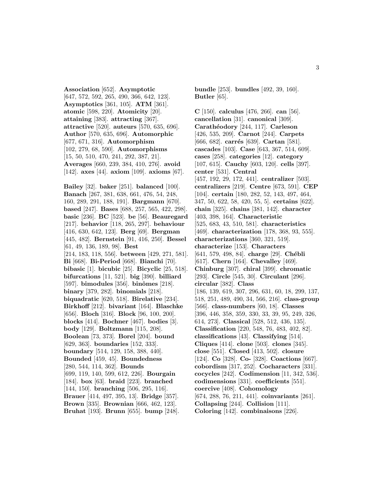**Association** [652]. **Asymptotic** [647, 572, 592, 265, 490, 366, 642, 123]. **Asymptotics** [361, 105]. **ATM** [361]. **atomic** [598, 220]. **Atomicity** [20]. **attaining** [383]. **attracting** [367]. **attractive** [520]. **auteurs** [570, 635, 696]. **Author** [570, 635, 696]. **Automorphic** [677, 671, 316]. **Automorphism** [102, 279, 68, 590]. **Automorphisms** [15, 50, 510, 470, 241, 292, 387, 21]. **Averages** [660, 239, 384, 410, 276]. **avoid** [142]. **axes** [44]. **axiom** [109]. **axioms** [67].

**Bailey** [32]. **baker** [251]. **balanced** [100]. **Banach** [267, 381, 638, 661, 476, 54, 248, 160, 289, 291, 188, 191]. **Bargmann** [670]. **based** [247]. **Bases** [688, 257, 565, 422, 298]. **basic** [236]. **BC** [523]. **be** [56]. **Beauregard** [217]. **behavior** [118, 265, 297]. **behaviour** [416, 630, 642, 123]. **Berg** [69]. **Bergman** [445, 482]. **Bernstein** [91, 416, 250]. **Bessel** [61, 49, 136, 189, 98]. **Best** [214, 183, 118, 556]. **between** [429, 271, 581]. **Bi** [668]. **Bi-Period** [668]. **Bianchi** [70]. **bibasic** [1]. **bicubic** [25]. **Bicyclic** [25, 518]. **bifurcations** [11, 521]. **big** [390]. **billiard** [597]. **bimodules** [356]. **binˆomes** [218]. **binary** [379, 282]. **binomials** [218]. **biquadratic** [620, 518]. **Birelative** [234]. **Birkhoff** [212]. **bivariant** [164]. **Blaschke** [656]. **Bloch** [316]. **Block** [96, 100, 200]. **blocks** [414]. **Bochner** [467]. **bodies** [3]. **body** [129]. **Boltzmann** [115, 208]. **Boolean** [73, 373]. **Borel** [204]. **bound** [629, 363]. **boundaries** [152, 333]. **boundary** [514, 129, 158, 388, 440]. **Bounded** [459, 45]. **Boundedness** [280, 544, 114, 362]. **Bounds** [699, 119, 140, 599, 612, 226]. **Bourgain** [184]. **box** [63]. **braid** [223]. **branched** [144, 150]. **branching** [506, 295, 116]. **Brauer** [414, 497, 395, 13]. **Bridge** [357]. **Brown** [335]. **Brownian** [666, 462, 123]. **Bruhat** [193]. **Brunn** [655]. **bump** [248].

**bundle** [253]. **bundles** [492, 39, 160]. **Butler** [65].

**C** [150]. **calculus** [476, 266]. **can** [56]. **cancellation** [31]. **canonical** [309]. **Carath´eodory** [244, 117]. **Carleson** [426, 535, 209]. **Carnot** [244]. **Carpets** [666, 682]. **carrés** [639]. **Cartan** [581]. **cascades** [103]. **Case** [643, 367, 514, 609]. **cases** [258]. **categories** [12]. **category** [107, 615]. **Cauchy** [603, 120]. **cells** [397]. **center** [531]. **Central** [457, 192, 29, 172, 441]. **centralizer** [503]. **centralizers** [219]. **Centre** [673, 591]. **CEP** [104]. **certain** [180, 282, 52, 143, 497, 464, 347, 50, 622, 58, 420, 55, 5]. **certains** [622]. **chain** [325]. **chains** [381, 142]. **character** [403, 398, 164]. **Characteristic** [525, 683, 43, 510, 581]. **characteristics** [469]. **characterization** [178, 368, 93, 555]. **characterizations** [360, 321, 519]. **characterize** [153]. **Characters** [641, 579, 498, 84]. **charge** [29]. **Chébli** [617]. **Chern** [164]. **Chevalley** [469]. **Chinburg** [307]. **chiral** [399]. **chromatic** [293]. **Circle** [545, 30]. **Circulant** [296]. **circular** [382]. **Class** [186, 139, 619, 307, 296, 631, 60, 18, 299, 137, 518, 251, 489, 490, 34, 566, 216]. **class-group** [566]. **class-numbers** [60, 18]. **Classes** [396, 446, 358, 359, 330, 33, 39, 95, 249, 326, 614, 273]. **Classical** [528, 512, 436, 135]. **Classification** [220, 548, 76, 483, 402, 82]. **classifications** [43]. **Classifying** [514]. **Cliques** [414]. **clone** [503]. **clones** [345]. **close** [551]. **Closed** [413, 502]. **closure** [124]. **Co** [328]. **Co-** [328]. **Coactions** [667]. **cobordism** [317, 252]. **Cocharacters** [331]. **cocycles** [242]. **Codimension** [11, 342, 536]. **codimensions** [331]. **coefficients** [551]. **coercive** [408]. **Cohomology** [674, 288, 76, 211, 441]. **coinvariants** [261]. **Collapsing** [244]. **Collision** [111]. **Coloring** [142]. **combinaisons** [226].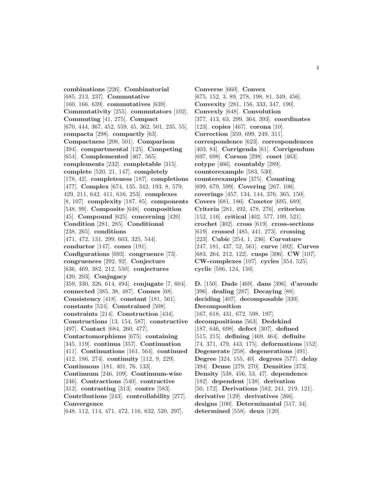**combinations** [226]. **Combinatorial** [685, 213, 237]. **Commutative** [160, 166, 639]. **commutatives** [639]. **Commutativity** [255]. **commutators** [102]. **Commuting** [41, 275]. **Compact** [670, 444, 367, 452, 559, 45, 362, 501, 235, 55]. **compacta** [298]. **compactly** [63]. **Compactness** [208, 501]. **Comparison** [394]. **compartmental** [125]. **Competing** [654]. **Complemented** [467, 565]. **complements** [232]. **completable** [315]. **complete** [520, 21, 147]. **completely** [178, 42]. **completeness** [187]. **completions** [477]. **Complex** [674, 135, 342, 193, 8, 579, 429, 211, 642, 411, 616, 253]. **complexes** [8, 107]. **complexity** [187, 85]. **components** [548, 99]. **Composite** [648]. **composition** [45]. **Compound** [625]. **concerning** [420]. **Condition** [281, 285]. **Conditional** [238, 265]. **conditions** [471, 472, 131, 299, 603, 325, 544]. **conductor** [147]. **cones** [191]. **Configurations** [693]. **congruence** [73]. **congruences** [292, 92]. **Conjecture** [636, 469, 382, 212, 550]. **conjectures** [420, 203]. **Conjugacy** [359, 330, 326, 614, 494]. **conjugate** [7, 604]. **connected** [385, 38, 487]. **Connes** [68]. **Consistency** [418]. **constant** [181, 561]. **constants** [524]. **Constrained** [508]. **constraints** [214]. **Construction** [434]. **Constructions** [13, 154, 587]. **constructive** [497]. **Contact** [684, 260, 477]. **Contactomorphisms** [675]. **containing** [345, 119]. **continua** [357]. **Continuation** [411]. **Continuations** [161, 564]. **continued** [412, 186, 274]. **continuity** [112, 9, 229]. **Continuous** [181, 401, 76, 133]. **Continuum** [246, 109]. **Continuum-wise** [246]. **Contractions** [540]. **contractive** [312]. **contrasting** [313]. **contre** [583]. **Contributions** [243]. **controllability** [277]. **Convergence** [648, 112, 114, 471, 472, 116, 632, 520, 297].

**Converse** [660]. **Convex** [675, 152, 3, 89, 278, 198, 81, 349, 456]. **Convexity** [281, 156, 333, 347, 190]. **Convexly** [648]. **Convolution** [377, 413, 63, 299, 364, 393]. **coordinates** [123]. **copies** [467]. **corona** [10]. **Correction** [359, 699, 249, 311]. **correspondence** [623]. **correspondences** [403, 84]. **Corrigenda** [61]. **Corrigendum** [697, 698]. **Corson** [298]. **coset** [463]. **cotype** [466]. **countably** [289]. **counterexample** [583, 530]. **counterexamples** [375]. **Counting** [699, 679, 599]. **Covering** [267, 106]. **coverings** [457, 134, 144, 376, 365, 150]. **Covers** [681, 186]. **Coxeter** [695, 689]. **Criteria** [281, 492, 478, 276]. **criterion** [152, 116]. **critical** [402, 577, 199, 521]. **crochet** [302]. **cross** [619]. **cross-sections** [619]. **crossed** [485, 441, 273]. **crossing** [223]. **Cubic** [254, 1, 236]. **Curvature** [247, 181, 437, 52, 561]. **curve** [492]. **Curves** [683, 264, 212, 122]. **cusps** [396]. **CW** [107]. **CW-complexes** [107]. **cycles** [354, 525]. **cyclic** [586, 124, 150].

**D.** [150]. **Dade** [469]. **dans** [396]. **d'aronde** [396]. **dealing** [287]. **Decaying** [88]. **deciding** [407]. **decomposable** [339]. **Decomposition** [167, 618, 431, 672, 598, 197]. **decompositions** [563]. **Dedekind** [187, 646, 698]. **defect** [307]. **defined** [515, 215]. **defining** [469, 464]. **definite** [74, 371, 479, 443, 175]. **deformations** [152]. **Degenerate** [258]. **degenerations** [491]. **Degree** [324, 155, 40]. **degrees** [577]. **delay** [394]. **Dense** [279, 270]. **Densities** [373]. **Density** [538, 456, 53, 47]. **dependence** [182]. **dependent** [138]. **derivation** [50, 172]. **Derivations** [582, 241, 219, 121]. **derivative** [129]. **derivatives** [266]. **designs** [100]. **Determinantal** [517, 34]. **determined** [558]. **deux** [120].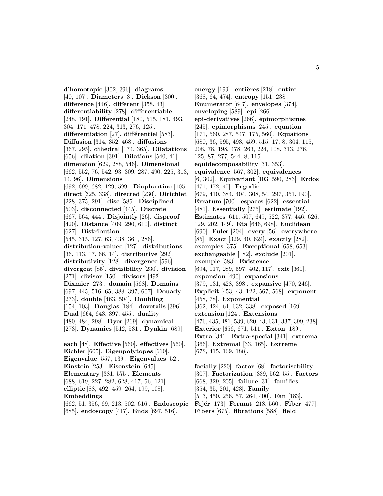**d'homotopie** [302, 396]. **diagrams** [40, 107]. **Diameters** [3]. **Dickson** [300]. **difference** [446]. **different** [358, 43]. **differentiability** [278]. **differentiable** [248, 191]. **Differential** [180, 515, 181, 493, 304, 171, 478, 224, 313, 276, 125]. differentiation [27]. différentiel [583]. **Diffusion** [314, 352, 468]. **diffusions** [367, 295]. **dihedral** [174, 365]. **Dilatations** [656]. **dilation** [391]. **Dilations** [540, 41]. **dimension** [629, 288, 546]. **Dimensional** [662, 552, 76, 542, 93, 309, 287, 490, 225, 313, 14, 96]. **Dimensions** [692, 699, 682, 129, 599]. **Diophantine** [105]. **direct** [325, 338]. **directed** [230]. **Dirichlet** [228, 375, 291]. **disc** [585]. **Disciplined** [503]. **disconnected** [445]. **Discrete** [667, 564, 444]. **Disjointly** [26]. **disproof** [420]. **Distance** [409, 290, 610]. **distinct** [627]. **Distribution** [545, 315, 127, 63, 438, 361, 286]. **distribution-valued** [127]. **distributions** [36, 113, 17, 66, 14]. **distributive** [292]. **distributivity** [128]. **divergence** [596]. **divergent** [85]. **divisibility** [230]. **division** [271]. **divisor** [150]. **divisors** [492]. **Dixmier** [273]. **domain** [568]. **Domains** [697, 445, 516, 65, 388, 397, 607]. **Douady** [273]. **double** [463, 504]. **Doubling** [154, 103]. **Douglas** [184]. **dovetails** [396]. **Dual** [664, 643, 397, 455]. **duality** [480, 484, 298]. **Dyer** [269]. **dynamical** [273]. **Dynamics** [512, 531]. **Dynkin** [689]. **each** [48]. **Effective** [560]. **effectives** [560]. **Eichler** [605]. **Eigenpolytopes** [610]. **Eigenvalue** [557, 139]. **Eigenvalues** [52].

**Einstein** [253]. **Eisenstein** [645]. **Elementary** [381, 575]. **Elements** [688, 619, 227, 282, 628, 417, 56, 121]. **elliptic** [88, 492, 459, 264, 199, 108]. **Embeddings** [662, 51, 356, 69, 213, 502, 616]. **Endoscopic**

### [685]. **endoscopy** [417]. **Ends** [697, 516].

**energy** [199]. **entières** [218]. **entire** [368, 64, 474]. **entropy** [151, 238]. **Enumerator** [647]. **envelopes** [374]. **enveloping** [589]. **epi** [266]. **epi-derivatives** [266]. **´epimorphismes** [245]. **epimorphisms** [245]. **equation** [171, 560, 287, 547, 175, 560]. **Equations** [680, 36, 595, 493, 459, 515, 17, 8, 304, 115, 208, 78, 198, 478, 263, 224, 108, 313, 276, 125, 87, 277, 544, 8, 115]. **equidecomposability** [31, 353]. **equivalence** [567, 302]. **equivalences** [6, 302]. **Equivariant** [103, 590, 283]. **Erdos** [471, 472, 47]. **Ergodic** [679, 410, 384, 404, 308, 54, 297, 351, 190]. **Erratum** [700]. **espaces** [622]. **essential** [481]. **Essentially** [275]. **estimate** [192]. **Estimates** [611, 507, 649, 522, 377, 446, 626, 129, 202, 149]. **Eta** [646, 698]. **Euclidean** [690]. **Euler** [204]. **every** [56]. **everywhere** [85]. **Exact** [329, 40, 624]. **exactly** [282]. **examples** [375]. **Exceptional** [658, 653]. **exchangeable** [182]. **exclude** [201]. **exemple** [583]. **Existence** [694, 117, 289, 597, 402, 117]. **exit** [361]. **expansion** [490]. **expansions** [379, 131, 428, 398]. **expansive** [470, 246]. **Explicit** [453, 43, 122, 567, 568]. **exponent** [458, 78]. **Exponential** [362, 424, 64, 632, 338]. **exposed** [169]. **extension** [124]. **Extensions** [476, 435, 481, 539, 620, 43, 631, 337, 399, 238]. **Exterior** [656, 671, 511]. **Exton** [189]. **Extra** [341]. **Extra-special** [341]. **extrema** [366]. **Extremal** [33, 165]. **Extreme** [678, 415, 169, 188].

**facially** [220]. **factor** [68]. **factorisability** [307]. **Factorization** [389, 562, 55]. **Factors** [668, 329, 205]. **failure** [31]. **families** [354, 35, 201, 423]. **Family** [513, 450, 256, 57, 264, 400]. **Fan** [183]. **Fejér** [173]. **Fermat** [218, 560]. **Fiber** [477]. **Fibers** [675]. **fibrations** [588]. **field**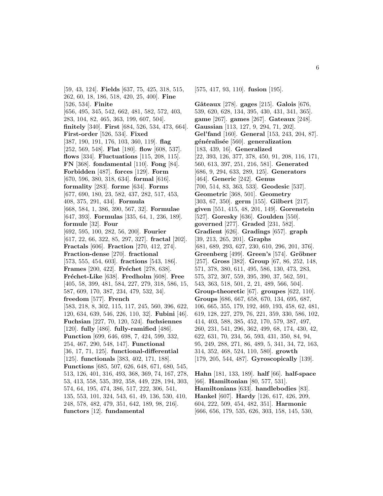[59, 43, 124]. **Fields** [637, 75, 425, 318, 515, 262, 60, 18, 186, 518, 420, 25, 400]. **Fine** [526, 534]. **Finite** [656, 495, 345, 542, 662, 481, 582, 572, 403, 283, 104, 82, 465, 363, 199, 607, 504]. **finitely** [340]. **First** [684, 526, 534, 473, 664]. **First-order** [526, 534]. **Fixed** [387, 190, 191, 176, 103, 360, 119]. **flag** [252, 569, 548]. **Flat** [180]. **flow** [608, 537]. **flows** [334]. **Fluctuations** [115, 208, 115]. **FN** [368]. **fondamental** [110]. **Fong** [84]. **Forbidden** [487]. **forces** [129]. **Form** [670, 596, 380, 318, 634]. **formal** [616]. **formality** [283]. **forme** [634]. **Forms** [677, 690, 180, 23, 582, 437, 282, 517, 453, 408, 375, 291, 434]. **Formula** [668, 584, 1, 386, 390, 567, 32]. **Formulae** [647, 393]. **Formulas** [335, 64, 1, 236, 189]. **formule** [32]. **Four** [692, 595, 100, 282, 56, 200]. **Fourier** [617, 22, 66, 322, 85, 297, 327]. **fractal** [202]. **Fractals** [606]. **Fraction** [270, 412, 274]. **Fraction-dense** [270]. **fractional** [573, 555, 454, 603]. **fractions** [543, 186]. **Frames** [200, 422]. **Fréchet** [278, 638]. **Fr´echet-Like** [638]. **Fredholm** [608]. **Free** [405, 58, 399, 481, 584, 227, 279, 318, 586, 15, 587, 609, 170, 387, 234, 479, 532, 34]. **freedom** [577]. **French** [583, 218, 8, 302, 115, 117, 245, 560, 396, 622, 120, 634, 639, 546, 226, 110, 32]. **Fubini** [46]. **Fuchsian** [227, 70, 120, 524]. **fuchsiennes** [120]. **fully** [486]. **fully-ramified** [486]. **Function** [699, 646, 698, 7, 424, 599, 332, 254, 467, 290, 548, 147]. **Functional** [36, 17, 71, 125]. **functional-differential** [125]. **functionals** [383, 402, 171, 188]. **Functions** [685, 507, 626, 648, 671, 680, 545, 513, 126, 401, 316, 493, 368, 369, 74, 167, 278, 53, 413, 558, 535, 392, 358, 449, 228, 194, 303, 574, 64, 195, 474, 386, 517, 222, 306, 541, 135, 553, 101, 324, 543, 61, 49, 136, 530, 410, 248, 578, 482, 479, 351, 642, 189, 98, 216]. **functors** [12]. **fundamental**

[575, 417, 93, 110]. **fusion** [195].

**Gˆateaux** [278]. **gages** [215]. **Galois** [676, 539, 620, 628, 134, 395, 430, 431, 341, 365]. **game** [267]. **games** [267]. **Gateaux** [248]. **Gaussian** [113, 127, 9, 294, 71, 202]. **Gel'fand** [160]. **General** [153, 243, 204, 87]. **g´en´eralis´ee** [560]. **generalization** [183, 439, 16]. **Generalized** [22, 393, 126, 377, 378, 450, 91, 208, 116, 171, 560, 613, 397, 251, 216, 581]. **Generated** [686, 9, 294, 633, 289, 125]. **Generators** [464]. **Generic** [242]. **Genus** [700, 514, 83, 363, 533]. **Geodesic** [537]. **Geometric** [368, 501]. **Geometry** [303, 67, 350]. **germ** [155]. **Gilbert** [217]. **given** [551, 415, 48, 201, 149]. **Gorenstein** [527]. **Goresky** [636]. **Goulden** [550]. **governed** [277]. **Graded** [231, 582]. **Gradient** [626]. **Gradings** [657]. **graph** [39, 213, 265, 201]. **Graphs** [681, 689, 293, 627, 230, 610, 296, 201, 376]. **Greenberg** [499]. **Green's** [574]. **Gröbner** [257]. **Gross** [382]. **Group** [67, 86, 252, 148, 571, 378, 380, 611, 495, 586, 130, 473, 283, 575, 372, 307, 559, 395, 390, 37, 562, 591, 543, 363, 518, 501, 2, 21, 489, 566, 504]. **Group-theoretic** [67]. **groupes** [622, 110]. **Groups** [686, 667, 658, 670, 134, 695, 687, 106, 665, 355, 179, 192, 469, 193, 458, 62, 481, 619, 128, 227, 279, 76, 221, 359, 330, 586, 102, 414, 403, 588, 385, 452, 170, 579, 387, 497, 260, 231, 541, 296, 362, 499, 68, 174, 430, 42, 622, 631, 70, 234, 56, 593, 431, 350, 84, 94, 95, 249, 288, 271, 86, 489, 5, 341, 34, 72, 163, 314, 352, 468, 524, 110, 580]. **growth** [179, 205, 544, 487]. **Gyroscopically** [139].

**Hahn** [181, 133, 189]. **half** [66]. **half-space** [66]. **Hamiltonian** [80, 577, 531]. **Hamiltonians** [633]. **handlebodies** [83]. **Hankel** [607]. **Hardy** [126, 617, 426, 209, 604, 222, 509, 454, 482, 351]. **Harmonic** [666, 656, 179, 535, 626, 303, 158, 145, 530,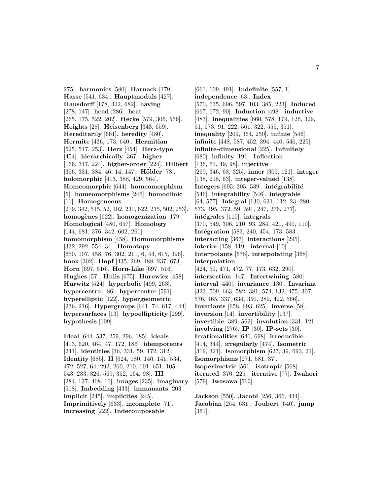275]. **harmonics** [580]. **Harnack** [179]. **Hasse** [541, 634]. **Hauptmoduls** [427]. **Hausdorff** [178, 322, 682]. **having** [278, 147]. **head** [286]. **heat** [265, 175, 522, 202]. **Hecke** [579, 306, 566]. **Heights** [28]. **Heisenberg** [343, 659]. **Hereditarily** [661]. **heredity** [480]. **Hermite** [436, 173, 640]. **Hermitian** [525, 547, 253]. **Herz** [454]. **Herz-type** [454]. **hierarchically** [367]. **higher** [166, 317, 224]. **higher-order** [224]. **Hilbert** [356, 331, 384, 46, 14, 147]. **Hölder** [78]. **holomorphic** [413, 388, 429, 564]. **Homeomorphic** [644]. **homeomorphism** [5]. **homeomorphisms** [246]. **homoclinic** [11]. **Homogeneous** [219, 342, 515, 52, 102, 230, 622, 235, 502, 253]. **homog`enes** [622]. **homogenization** [179]. **Homological** [480, 657]. **Homology** [144, 681, 376, 342, 602, 261]. **homomorphism** [458]. **Homomorphisms** [332, 292, 554, 34]. **Homotopy** [650, 107, 458, 76, 302, 211, 6, 44, 615, 396]. **hook** [302]. **Hopf** [435, 269, 488, 237, 673]. **Horn** [697, 516]. **Horn-Like** [697, 516]. **Hughes** [57]. **Hulls** [675]. **Hurewicz** [458]. **Hurwitz** [524]. **hyperbolic** [499, 263]. **hypercentral** [86]. **hypercentre** [591]. **hyperelliptic** [122]. **hypergeometric** [236, 216]. **Hypergroups** [641, 74, 617, 444]. **hypersurfaces** [13]. **hypoellipticity** [299]. **hypothesis** [109].

**Ideal** [644, 537, 259, 296, 185]. **ideals** [413, 620, 464, 47, 172, 186]. **idempotents** [241]. **identities** [36, 331, 59, 172, 312]. **Identity** [685]. **II** [624, 180, 140, 141, 534, 472, 527, 64, 292, 260, 210, 101, 651, 105, 543, 233, 326, 569, 352, 164, 98]. **III** [284, 137, 468, 10]. **images** [235]. **imaginary** [518]. **Imbedding** [433]. **immanants** [203]. **implicit** [245]. **implicites** [245]. **Imprimitively** [633]. **incomplete** [71]. **increasing** [222]. **Indecomposable**

[661, 609, 491]. **Indefinite** [557, 1]. **independence** [63]. **Index** [570, 635, 696, 597, 103, 385, 223]. **Induced** [667, 672, 90]. **Induction** [498]. **inductive** [483]. **Inequalities** [660, 578, 179, 126, 329, 51, 573, 91, 222, 561, 322, 555, 351]. **inequality** [209, 364, 250]. **infinie** [546]. **infinite** [448, 587, 452, 394, 440, 546, 225]. **infinite-dimensional** [225]. **Infinitely** [680]. **infinity** [191]. **Inflection** [136, 61, 49, 98]. **injective** [269, 346, 68, 325]. **inner** [305, 121]. **integer** [138, 218, 63]. **integer-valued** [138].  $Integers [695, 205, 539]$ .  $intégraphilité$ [546]. **integrability** [546]. **integrable** [64, 577]. **Integral** [130, 631, 112, 23, 280, 573, 495, 372, 59, 591, 247, 276, 277]. **int´egrales** [110]. **integrals** [370, 549, 306, 210, 93, 284, 421, 490, 110]. **Intégration** [583, 240, 454, 173, 583]. **interacting** [367]. **interactions** [295]. **interior** [158, 119]. **internal** [10]. **Interpolants** [678]. **interpolating** [368]. **interpolation** [424, 51, 471, 472, 77, 173, 632, 290]. **intersection** [147]. **Intertwining** [580]. **interval** [440]. **invariance** [130]. **Invariant** [323, 509, 663, 582, 381, 574, 132, 475, 307, 576, 465, 337, 634, 350, 289, 422, 566]. **Invariants** [658, 693, 625]. **inverse** [58]. **inversion** [14]. **invertibility** [137]. **invertible** [389, 562]. **involution** [331, 121]. **involving** [276]. **IP** [30]. **IP-sets** [30]. **Irrationalities** [646, 698]. **irreducible** [414, 344]. **irregularly** [474]. **Isometric** [319, 321]. **Isomorphism** [627, 39, 693, 21]. **Isomorphisms** [271, 581, 37]. **Isoperimetric** [561]. **isotropic** [568]. **iterated** [370, 225]. **iterative** [77]. **Iwahori** [579]. **Iwasawa** [563].

**Jackson** [550]. **Jacobi** [256, 366, 434]. **Jacobian** [254, 631]. **Joubert** [640]. **jump** [361].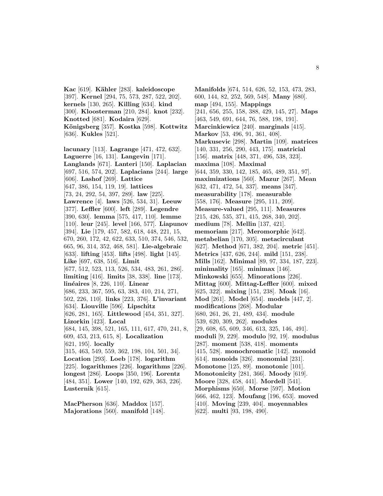**Kac** [619]. **K¨ahler** [283]. **kaleidoscope** [397]. **Kernel** [294, 75, 573, 287, 522, 202]. **kernels** [130, 265]. **Killing** [634]. **kind** [300]. **Kloosterman** [210, 284]. **knot** [232]. **Knotted** [681]. **Kodaira** [629]. **K¨onigsberg** [357]. **Kostka** [598]. **Kottwitz** [636]. **Kukles** [521].

**lacunary** [113]. **Lagrange** [471, 472, 632]. **Laguerre** [16, 131]. **Langevin** [171]. **Langlands** [671]. **Lanteri** [150]. **Laplacian** [697, 516, 574, 202]. **Laplacians** [244]. **large** [606]. **Lashof** [269]. **Lattice** [647, 386, 154, 119, 19]. **lattices** [73, 24, 292, 54, 397, 289]. **law** [225]. **Lawrence** [4]. **laws** [526, 534, 31]. **Leeuw** [377]. **Leffler** [600]. **left** [289]. **Legendre** [390, 630]. **lemma** [575, 417, 110]. **lemme** [110]. **leur** [245]. **level** [166, 577]. **Liapunov** [394]. **Lie** [179, 457, 582, 618, 448, 221, 15, 670, 260, 172, 42, 622, 633, 510, 374, 546, 532, 665, 96, 314, 352, 468, 581]. **Lie-algebraic** [633]. **lifting** [453]. **lifts** [498]. **light** [145]. **Like** [697, 638, 516]. **Limit** [677, 512, 523, 113, 526, 534, 483, 261, 286]. **limiting** [416]. **limits** [38, 338]. **line** [173]. **lin´eaires** [8, 226, 110]. **Linear** [686, 233, 367, 595, 63, 383, 410, 214, 271, 502, 226, 110]. **links** [223, 376]. **L'invariant** [634]. **Liouville** [596]. **Lipschitz** [626, 281, 165]. **Littlewood** [454, 351, 327]. **Lizorkin** [423]. **Local** [684, 145, 398, 521, 165, 111, 617, 470, 241, 8, 609, 453, 213, 615, 8]. **Localization** [621, 195]. **locally** [315, 463, 549, 559, 362, 198, 104, 501, 34]. **Location** [293]. **Loeb** [178]. **logarithm** [225]. **logarithmes** [226]. **logarithms** [226]. **longest** [286]. **Loops** [350, 196]. **Lorentz** [484, 351]. **Lower** [140, 192, 629, 363, 226]. **Lusternik** [615].

**MacPherson** [636]. **Maddox** [157]. **Majorations** [560]. **manifold** [148].

**Manifolds** [674, 514, 626, 52, 153, 473, 283, 600, 144, 82, 252, 569, 548]. **Many** [680]. **map** [494, 155]. **Mappings** [241, 656, 255, 158, 388, 429, 145, 27]. **Maps** [463, 549, 691, 644, 76, 588, 198, 191]. **Marcinkiewicz** [240]. **marginals** [415]. **Markov** [53, 496, 91, 361, 408]. **Markusevic** [298]. **Martin** [109]. **matrices** [140, 331, 256, 290, 443, 175]. **matricial** [156]. **matrix** [448, 371, 496, 538, 323]. **maxima** [108]. **Maximal** [644, 359, 330, 142, 185, 465, 489, 351, 97]. **maximizations** [560]. **Mazur** [267]. **Mean** [632, 471, 472, 54, 337]. **means** [347]. **measurability** [178]. **measurable** [558, 176]. **Measure** [295, 111, 209]. **Measure-valued** [295, 111]. **Measures** [215, 426, 535, 371, 415, 268, 340, 202]. **medium** [78]. **Mellin** [137, 421]. **memoriam** [217]. **Meromorphic** [642]. **metabelian** [170, 305]. **metacirculant** [627]. **Method** [671, 382, 204]. **metric** [451]. **Metrics** [437, 626, 244]. **mild** [151, 238]. **Mills** [162]. **Minimal** [89, 97, 334, 187, 223]. **minimality** [165]. **minimax** [146]. **Minkowski** [655]. **Minorations** [226]. **Mittag** [600]. **Mittag-Leffler** [600]. **mixed** [625, 322]. **mixing** [151, 238]. **Moak** [16]. **Mod** [261]. **Model** [654]. **models** [447, 2]. **modifications** [268]. **Modular** [680, 261, 26, 21, 489, 434]. **module** [539, 620, 309, 262]. **modules** [29, 608, 65, 609, 346, 613, 325, 146, 491]. **moduli** [9, 229]. **modulo** [92, 19]. **modulus** [287]. **moment** [538, 418]. **moments** [415, 528]. **monochromatic** [142]. **monoid** [614]. **monoids** [326]. **monomial** [231]. **Monotone** [125, 89]. **monotonic** [101]. **Monotonicity** [281, 366]. **Moody** [619]. **Moore** [328, 458, 441]. **Mordell** [541]. **Morphisms** [650]. **Morse** [597]. **Motion** [666, 462, 123]. **Moufang** [196, 653]. **moved** [410]. **Moving** [239, 404]. **moyennables** [622]. **multi** [93, 198, 490].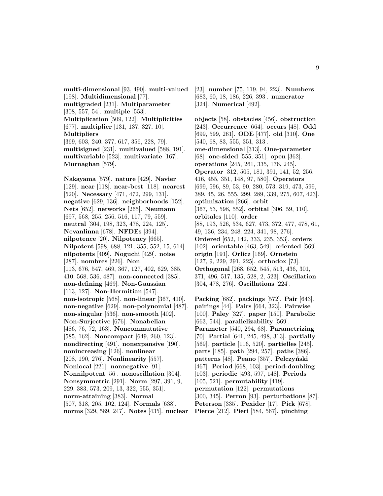**multi-dimensional** [93, 490]. **multi-valued** [198]. **Multidimensional** [77]. **multigraded** [231]. **Multiparameter** [308, 557, 54]. **multiple** [553]. **Multiplication** [509, 122]. **Multiplicities** [677]. **multiplier** [131, 137, 327, 10]. **Multipliers** [369, 603, 240, 377, 617, 356, 228, 79]. **multisigned** [231]. **multivalued** [588, 191]. **multivariable** [523]. **multivariate** [167]. **Murnaghan** [579].

**Nakayama** [579]. **nature** [429]. **Navier** [129]. **near** [118]. **near-best** [118]. **nearest** [520]. **Necessary** [471, 472, 299, 131]. **negative** [629, 136]. **neighborhoods** [152]. **Nets** [652]. **networks** [265]. **Neumann** [697, 568, 255, 256, 516, 117, 79, 559]. **neutral** [304, 198, 323, 478, 224, 125]. **Nevanlinna** [678]. **NFDEs** [394]. **nilpotence** [20]. **Nilpotency** [665]. **Nilpotent** [598, 688, 121, 355, 552, 15, 614]. **nilpotents** [409]. **Noguchi** [429]. **noise** [287]. **nombres** [226]. **Non** [113, 676, 547, 469, 367, 127, 402, 629, 385, 410, 568, 536, 487]. **non-connected** [385]. **non-defining** [469]. **Non-Gaussian** [113, 127]. **Non-Hermitian** [547]. **non-isotropic** [568]. **non-linear** [367, 410]. **non-negative** [629]. **non-polynomial** [487]. **non-singular** [536]. **non-smooth** [402]. **Non-Surjective** [676]. **Nonabelian** [486, 76, 72, 163]. **Noncommutative** [585, 162]. **Noncompact** [649, 260, 123]. **nondirecting** [491]. **nonexpansive** [190]. **nonincreasing** [126]. **nonlinear** [208, 190, 276]. **Nonlinearity** [557]. **Nonlocal** [221]. **nonnegative** [91]. **Nonnilpotent** [56]. **nonoscillation** [304]. **Nonsymmetric** [291]. **Norm** [297, 391, 9, 229, 383, 573, 209, 13, 322, 555, 351]. **norm-attaining** [383]. **Normal** [507, 318, 205, 102, 124]. **Normals** [638]. **norms** [329, 589, 247]. **Notes** [435]. **nuclear** [23]. **number** [75, 119, 94, 223]. **Numbers** [683, 60, 18, 186, 226, 393]. **numerator** [324]. **Numerical** [492].

**objects** [58]. **obstacles** [456]. **obstruction** [243]. **Occurrence** [664]. **occurs** [48]. **Odd** [699, 599, 261]. **ODE** [477]. **old** [310]. **One** [540, 68, 83, 555, 351, 313]. **one-dimensional** [313]. **One-parameter** [68]. **one-sided** [555, 351]. **open** [362]. **operations** [245, 261, 335, 176, 245]. **Operator** [312, 505, 181, 391, 141, 52, 256, 416, 455, 351, 148, 97, 580]. **Operators** [699, 596, 89, 53, 90, 280, 573, 319, 473, 599, 389, 45, 26, 555, 299, 289, 339, 275, 607, 423]. **optimization** [266]. **orbit** [367, 53, 598, 552]. **orbital** [306, 59, 110]. **orbitales** [110]. **order** [88, 193, 526, 534, 627, 473, 372, 477, 478, 61, 49, 136, 234, 248, 224, 341, 98, 276]. **Ordered** [652, 142, 333, 235, 353]. **orders** [102]. **orientable** [463, 549]. **oriented** [569]. **origin** [191]. **Orlicz** [169]. **Ornstein** [127, 9, 229, 291, 225]. **orthodox** [73]. **Orthogonal** [268, 652, 545, 513, 436, 301, 371, 496, 517, 135, 528, 2, 523]. **Oscillation** [304, 478, 276]. **Oscillations** [224].

**Packing** [682]. **packings** [572]. **Pair** [643]. **pairings** [44]. **Pairs** [664, 323]. **Pairwise** [100]. **Paley** [327]. **paper** [150]. **Parabolic** [663, 544]. **parallelizability** [569]. **Parameter** [540, 294, 68]. **Parametrizing** [70]. **Partial** [641, 245, 498, 313]. **partially** [569]. **particle** [116, 520]. **partielles** [245]. **parts** [185]. **path** [294, 257]. **paths** [386]. patterns<sup>[48]</sup>. **Peano** [357]. **Pelczyński** [467]. **Period** [668, 103]. **period-doubling** [103]. **periodic** [493, 597, 148]. **Periods** [105, 521]. **permutability** [419]. **permutation** [122]. **permutations** [300, 345]. **Perron** [93]. **perturbations** [87]. **Peterson** [335]. **Pexider** [17]. **Pick** [678]. **Pierce** [212]. **Pieri** [584, 567]. **pinching**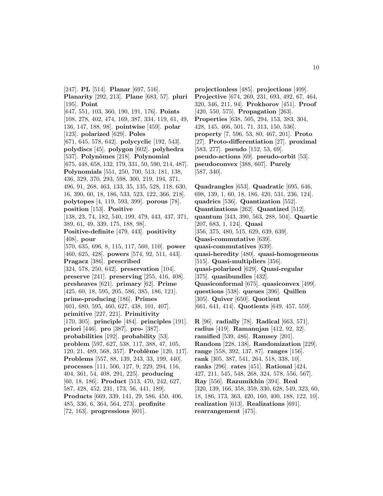[247]. **PL** [514]. **Planar** [697, 516]. **Planarity** [292, 213]. **Plane** [683, 57]. **pluri** [195]. **Point** [647, 551, 103, 360, 190, 191, 176]. **Points** [108, 278, 402, 474, 169, 387, 334, 119, 61, 49, 136, 147, 188, 98]. **pointwise** [459]. **polar** [123]. **polarized** [629]. **Poles** [671, 645, 578, 642]. **polycyclic** [192, 543]. **polydiscs** [45]. **polygon** [602]. **polyhedra** [537]. **Polynˆomes** [218]. **Polynomial** [675, 448, 658, 132, 179, 331, 50, 590, 214, 487]. **Polynomials** [551, 250, 700, 513, 181, 138, 436, 329, 370, 293, 598, 300, 219, 194, 371, 496, 91, 268, 463, 133, 35, 135, 528, 118, 630, 16, 390, 60, 18, 186, 533, 523, 122, 366, 218]. **polytopes** [4, 119, 593, 399]. **porous** [78]. **position** [153]. **Positive** [138, 23, 74, 182, 540, 199, 479, 443, 437, 371, 389, 61, 49, 339, 175, 188, 98]. **Positive-definite** [479, 443]. **positivity** [408]. **pour** [570, 635, 696, 8, 115, 117, 560, 110]. **power** [460, 625, 428]. **powers** [574, 92, 511, 443]. **Pragacz** [386]. **prescribed** [324, 578, 250, 642]. **preservation** [104]. **preserve** [241]. **preserving** [255, 416, 408]. **presheaves** [621]. **primary** [62]. **Prime** [425, 60, 18, 595, 205, 586, 385, 186, 121]. **prime-producing** [186]. **Primes** [601, 680, 595, 460, 627, 438, 101, 407]. **primitive** [227, 221]. **Primitivity** [170, 305]. **principle** [484]. **principles** [191]. **priori** [446]. **pro** [387]. **pro-** [387]. **probabilities** [192]. **probability** [53]. **problem** [597, 627, 538, 117, 388, 47, 105, 120, 21, 489, 568, 357]. **Problème** [120, 117]. **Problems** [557, 88, 139, 243, 33, 199, 440]. **processes** [111, 506, 127, 9, 229, 294, 116, 404, 361, 54, 408, 291, 225]. **producing** [60, 18, 186]. **Product** [513, 470, 242, 627, 587, 428, 452, 231, 173, 56, 441, 189]. **Products** [669, 339, 141, 29, 586, 450, 406, 485, 336, 6, 364, 564, 273]. **profinite** [72, 163]. **progressions** [601].

**projectionless** [485]. **projections** [409]. **Projective** [674, 269, 231, 693, 492, 67, 464, 320, 346, 211, 94]. **Prokhorov** [451]. **Proof** [420, 550, 575]. **Propagation** [263]. **Properties** [638, 505, 294, 153, 383, 304, 428, 145, 466, 501, 71, 313, 150, 536]. **property** [7, 596, 53, 80, 467, 201]. **Proto** [27]. **Proto-differentiation** [27]. **proximal** [583, 277]. **pseudo** [152, 53, 69]. **pseudo-actions** [69]. **pseudo-orbit** [53]. **pseudoconvex** [388, 607]. **Purely** [587, 340].

**Quadrangles** [653]. **Quadratic** [695, 646, 698, 139, 1, 60, 18, 186, 420, 531, 236, 124]. **quadrics** [536]. **Quantization** [552]. **Quantizations** [262]. **Quantized** [512]. **quantum** [343, 390, 563, 288, 504]. **Quartic** [207, 683, 1, 124]. **Quasi** [356, 375, 480, 515, 629, 639, 639]. **Quasi-commutative** [639]. **quasi-commutatives** [639]. **quasi-heredity** [480]. **quasi-homogeneous** [515]. **Quasi-multipliers** [356]. **quasi-polarized** [629]. **Quasi-regular** [375]. **quasibundles** [432]. **Quasiconformal** [675]. **quasiconvex** [499]. **questions** [538]. **queues** [396]. **Quillen** [305]. **Quiver** [650]. **Quotient** [661, 641, 414]. **Quotients** [649, 457, 559]. **R** [96]. **radially** [78]. **Radical** [663, 571]. **radius** [419]. **Ramanujan** [412, 92, 32]. **ramified** [539, 486]. **Ramsey** [201]. **Random** [228, 138]. **Randomization** [229]. **range** [558, 392, 137, 87]. **ranges** [156]. **rank** [305, 387, 541, 264, 518, 338, 10]. **ranks** [296]. **rates** [451]. **Rational** [424, 427, 211, 545, 548, 268, 324, 578, 556, 567]. **Ray** [556]. **Razumikhin** [394]. **Real** [320, 139, 166, 358, 359, 330, 628, 549, 323, 60,

18, 186, 173, 363, 420, 160, 400, 188, 122, 10]. **realization** [613]. **Realizations** [691]. **rearrangement** [475].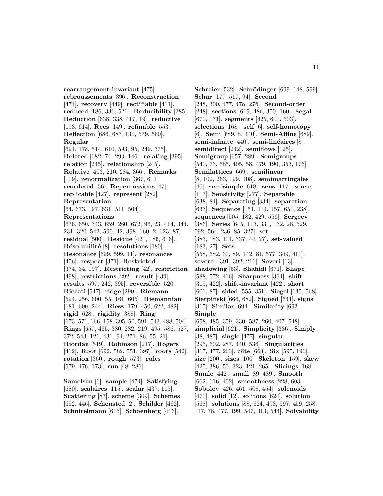**rearrangement-invariant** [475]. **rebroussements** [396]. **Reconstruction** [474]. **recovery** [449]. **rectifiable** [411]. **reduced** [186, 336, 521]. **Reducibility** [385]. **Reduction** [638, 338, 417, 19]. **reductive** [193, 614]. **Rees** [149]. **refinable** [553]. **Reflection** [686, 687, 130, 579, 580]. **Regular** [691, 178, 514, 610, 593, 95, 249, 375]. **Related** [682, 74, 293, 146]. **relating** [395]. **relation** [245]. **relationship** [245]. **Relative** [403, 210, 284, 366]. **Remarks** [109]. **renormalization** [367, 611]. **reordered** [56]. **Repercussions** [47]. **replicable** [427]. **represent** [282]. **Representation** [64, 673, 197, 631, 511, 504]. **Representations** [676, 650, 343, 659, 260, 672, 96, 23, 414, 344, 231, 320, 542, 590, 42, 398, 160, 2, 623, 87]. **residual** [500]. **Residue** [421, 186, 616]. **R´esolubilit´e** [8]. **resolutions** [180]. **Resonance** [699, 599, 11]. **resonances** [456]. **respect** [371]. **Restricted** [374, 34, 197]. **Restricting** [42]. **restriction** [498]. **restrictions** [292]. **result** [439]. **results** [597, 242, 395]. **reversible** [520]. **Riccati** [547]. **ridge** [290]. **Riemann** [594, 256, 600, 55, 161, 605]. **Riemannian** [181, 600, 244]. **Riesz** [179, 450, 622, 482]. **rigid** [628]. **rigidity** [388]. **Ring** [673, 571, 166, 158, 395, 50, 591, 543, 488, 504]. **Rings** [657, 465, 380, 282, 219, 495, 586, 527, 372, 543, 121, 431, 94, 271, 86, 55, 21]. **Riordan** [519]. **Robinson** [217]. **Rogers** [412]. **Root** [692, 582, 551, 397]. **roots** [542]. **rotation** [360]. **rough** [573]. **rules** [579, 476, 173]. **run** [48, 286].

**Samelson** [6]. **sample** [474]. **Satisfying** [680]. **scalaires** [115]. **scalar** [437, 115]. **Scattering** [87]. **scheme** [309]. **Schemes** [652, 446]. **Schensted** [2]. **Schilder** [462]. **Schnirelmann** [615]. **Schoenberg** [416].

**Schreier** [532]. **Schrödinger** [699, 148, 599]. **Schur** [177, 517, 94]. **Second** [248, 300, 477, 478, 276]. **Second-order** [248]. **sections** [619, 486, 350, 160]. **Segal** [670, 171]. **segments** [425, 601, 503]. **selections** [168]. **self** [6]. **self-homotopy** [6]. **Semi** [689, 8, 440]. **Semi-Affine** [689]. semi-infinite<sup>[440]</sup>. semi-linéaires<sup>[8]</sup>. **semidirect** [242]. **semiflows** [125]. **Semigroup** [657, 289]. **Semigroups** [540, 73, 585, 405, 58, 479, 190, 353, 176]. **Semilattices** [669]. **semilinear** [8, 102, 263, 199, 108]. **semimartingales** [46]. **semisimple** [618]. **sens** [117]. **sense** [117]. **Sensitivity** [277]. **Separable** [638, 84]. **Separating** [334]. **separation** [633]. **Sequence** [151, 114, 157, 651, 238]. **sequences** [505, 182, 429, 556]. **Sergeev** [386]. **Series** [645, 113, 331, 132, 28, 529, 592, 564, 236, 85, 327]. **set** [383, 183, 101, 337, 44, 27]. **set-valued** [183, 27]. **Sets** [558, 682, 30, 89, 142, 81, 577, 349, 411]. **several** [391, 392, 216]. **Severi** [13]. **shadowing** [53]. **Shahidi** [671]. **Shape** [588, 572, 416]. **Sharpness** [364]. **shift** [319, 422]. **shift-invariant** [422]. **short** [601, 87]. **sided** [555, 351]. **Siegel** [645, 568]. **Sierpinski** [666, 682]. **Signed** [641]. **signs** [315]. **Similar** [694]. **Similarity** [692]. **Simple** [658, 485, 359, 330, 587, 260, 407, 548]. **simplicial** [621]. **Simplicity** [336]. **Simply** [38, 487]. **single** [477]. **singular** [295, 602, 287, 440, 536]. **Singularities** [317, 477, 263]. **Site** [663]. **Six** [595, 196]. **size** [200]. **sizes** [100]. **Skeleton** [159]. **skew** [425, 386, 50, 323, 121, 265]. **Slicings** [168]. **Smale** [442]. **small** [89, 489]. **Smooth** [662, 616, 402]. **smoothness** [228, 603]. **Sobolev** [426, 461, 508, 454]. **solenoids** [470]. **solid** [12]. **solitons** [624]. **solution** [568]. **solutions** [88, 624, 493, 597, 459, 258, 117, 78, 477, 199, 547, 313, 544]. **Solvability**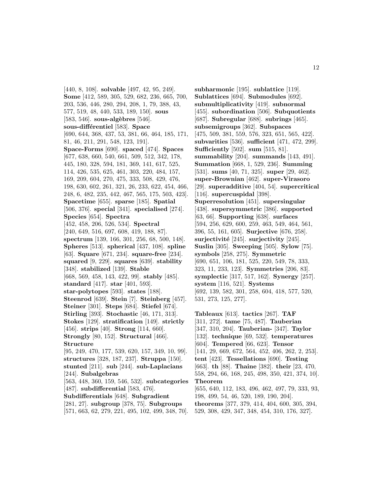[440, 8, 108]. **solvable** [497, 42, 95, 249]. **Some** [412, 589, 305, 529, 682, 236, 665, 700, 203, 536, 446, 280, 294, 208, 1, 79, 388, 43, 577, 519, 48, 440, 533, 189, 150]. **sous** [583, 546]. **sous-algèbres** [546]. **sous-diff´erentiel** [583]. **Space** [690, 644, 368, 437, 53, 381, 66, 464, 185, 171, 81, 46, 211, 291, 548, 123, 191]. **Space-Forms** [690]. **spaced** [474]. **Spaces** [677, 638, 660, 540, 661, 509, 512, 342, 178, 445, 180, 328, 594, 181, 369, 141, 617, 525, 114, 426, 535, 625, 461, 303, 220, 484, 157, 169, 209, 604, 270, 475, 333, 508, 429, 476, 198, 630, 602, 261, 321, 26, 233, 622, 454, 466, 248, 6, 482, 235, 442, 467, 565, 175, 503, 423]. **Spacetime** [655]. **sparse** [185]. **Spatial** [506, 376]. **special** [341]. **specialised** [274]. **Species** [654]. **Spectra** [452, 458, 206, 526, 534]. **Spectral** [240, 649, 516, 697, 608, 419, 188, 87]. **spectrum** [139, 166, 301, 256, 68, 500, 148]. **Spheres** [513]. **spherical** [437, 108]. **spline** [63]. **Square** [671, 234]. **square-free** [234]. **squared** [9, 229]. **squares** [639]. **stability** [348]. **stabilized** [139]. **Stable** [668, 569, 458, 143, 422, 99]. **stably** [485]. **standard** [417]. **star** [401, 593]. **star-polytopes** [593]. **states** [188]. **Steenrod** [639]. **Stein** [7]. **Steinberg** [457]. **Steiner** [301]. **Steps** [684]. **Stiefel** [674]. **Stirling** [393]. **Stochastic** [46, 171, 313]. **Stokes** [129]. **stratification** [149]. **strictly** [456]. **strips** [40]. **Strong** [114, 660]. **Strongly** [80, 152]. **Structural** [466]. **Structure** [95, 249, 470, 177, 539, 620, 157, 349, 10, 99]. **structures** [328, 187, 237]. **Struppa** [150]. **stunted** [211]. **sub** [244]. **sub-Laplacians** [244]. **Subalgebras** [563, 448, 360, 159, 546, 532]. **subcategories** [487]. **subdifferential** [583, 476]. **Subdifferentials** [648]. **Subgradient** [281, 27]. **subgroup** [378, 75]. **Subgroups** [571, 663, 62, 279, 221, 495, 102, 499, 348, 70].

**subharmonic** [195]. **sublattice** [119]. **Sublattices** [694]. **Submodules** [692]. **submultiplicativity** [419]. **subnormal** [455]. **subordination** [506]. **Subquotients** [687]. **Subregular** [688]. **subrings** [465]. **subsemigroups** [362]. **Subspaces** [475, 509, 381, 559, 576, 323, 651, 565, 422]. **subvarities** [536]. **sufficient** [471, 472, 299]. **Sufficiently** [502]. **sum** [515, 81]. **summability** [204]. **summands** [143, 491]. **Summation** [668, 1, 529, 236]. **Summing** [531]. **sums** [40, 71, 325]. **super** [29, 462]. **super-Brownian** [462]. **super-Virasoro** [29]. **superadditive** [404, 54]. **supercritical** [116]. **supercuspidal** [398]. **Superresolution** [451]. **supersingular** [438]. **supersymmetric** [386]. **supported** [63, 66]. **Supporting** [638]. **surfaces** [594, 256, 629, 600, 259, 463, 549, 464, 561, 396, 55, 161, 605]. **Surjective** [676, 258]. **surjectivit´e** [245]. **surjectivity** [245]. **Suslin** [305]. **Sweeping** [505]. **Sylow** [75]. **symbols** [258, 275]. **Symmetric** [690, 651, 106, 181, 525, 220, 549, 78, 333, 323, 11, 233, 123]. **Symmetries** [206, 83]. **symplectic** [317, 517, 162]. **Synergy** [257]. **system** [116, 521]. **Systems** [692, 139, 582, 301, 258, 604, 418, 577, 520, 531, 273, 125, 277]. **Tableaux** [613]. **tactics** [267]. **TAF**

[311, 272]. **tame** [75, 487]. **Tauberian** [347, 310, 204]. **Tauberian-** [347]. **Taylor** [132]. **technique** [69, 532]. **temperatures** [604]. **Tempered** [66, 623]. **Tensor** [141, 29, 669, 672, 564, 452, 406, 262, 2, 253]. **tent** [423]. **Tessellations** [690]. **Testing** [663]. **th** [88]. **Thaine** [382]. **their** [23, 470, 558, 294, 66, 168, 245, 498, 350, 421, 374, 10]. **Theorem** [655, 640, 112, 183, 496, 462, 497, 79, 333, 93, 198, 499, 54, 46, 520, 189, 190, 204]. **theorems** [377, 379, 414, 404, 600, 305, 394,

529, 308, 429, 347, 348, 454, 310, 176, 327].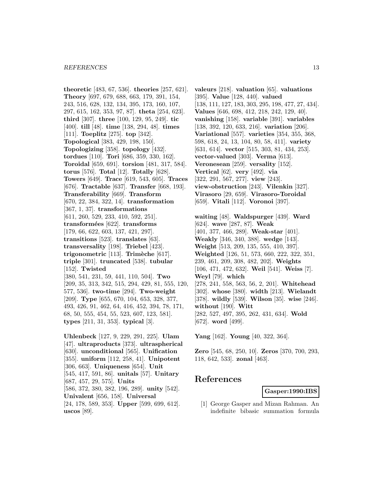**theoretic** [483, 67, 536]. **theories** [257, 621]. **Theory** [697, 679, 688, 663, 179, 391, 154, 243, 516, 628, 132, 134, 395, 173, 160, 107, 297, 615, 162, 353, 97, 87]. **theta** [254, 623]. **third** [307]. **three** [100, 129, 95, 249]. **tic** [400]. **till** [48]. **time** [138, 294, 48]. **times** [111]. **Toeplitz** [275]. **top** [342]. **Topological** [383, 429, 198, 150]. **Topologizing** [358]. **topology** [432]. **tordues** [110]. **Tori** [686, 359, 330, 162]. **Toroidal** [659, 691]. **torsion** [481, 317, 584]. **torus** [576]. **Total** [12]. **Totally** [628]. **Towers** [649]. **Trace** [619, 543, 605]. **Traces** [676]. **Tractable** [637]. **Transfer** [668, 193]. **Transferability** [669]. **Transform** [670, 22, 384, 322, 14]. **transformation** [367, 1, 37]. **transformations** [611, 260, 529, 233, 410, 592, 251]. **transform´ees** [622]. **transforms** [179, 66, 622, 603, 137, 421, 297]. **transitions** [523]. **translates** [63]. **transversality** [198]. **Triebel** [423]. **trigonometric** [113]. **Trim`eche** [617]. **triple** [301]. **truncated** [538]. **tubular** [152]. **Twisted** [380, 541, 231, 59, 441, 110, 504]. **Two** [209, 35, 313, 342, 515, 294, 429, 81, 555, 120, 577, 536]. **two-time** [294]. **Two-weight** [209]. **Type** [655, 670, 104, 653, 328, 377, 493, 426, 91, 462, 64, 416, 452, 394, 78, 171, 68, 50, 555, 454, 55, 523, 607, 123, 581]. **types** [211, 31, 353]. **typical** [3].

**Uhlenbeck** [127, 9, 229, 291, 225]. **Ulam** [47]. **ultraproducts** [373]. **ultraspherical** [630]. **unconditional** [565]. **Unification** [355]. **uniform** [112, 258, 41]. **Unipotent** [306, 663]. **Uniqueness** [654]. **Unit** [545, 417, 591, 86]. **unitals** [57]. **Unitary** [687, 457, 29, 575]. **Units** [586, 372, 380, 382, 196, 289]. **unity** [542]. **Univalent** [656, 158]. **Universal** [24, 178, 589, 353]. **Upper** [599, 699, 612]. **uscos** [89].

**valeurs** [218]. **valuation** [65]. **valuations** [395]. **Value** [128, 440]. **valued** [138, 111, 127, 183, 303, 295, 198, 477, 27, 434]. **Values** [646, 698, 412, 218, 242, 129, 40]. **vanishing** [158]. **variable** [391]. **variables** [138, 392, 120, 633, 216]. **variation** [206]. **Variational** [557]. **varieties** [354, 355, 368, 598, 618, 24, 13, 104, 80, 58, 411]. **variety** [631, 614]. **vector** [515, 303, 81, 434, 253]. **vector-valued** [303]. **Verma** [613]. **Veronesean** [259]. **versality** [152]. **Vertical** [62]. **very** [492]. **via** [322, 291, 567, 277]. **view** [243]. **view-obstruction** [243]. **Vilenkin** [327]. **Virasoro** [29, 659]. **Virasoro-Toroidal** [659]. **Vitali** [112]. **Voronoi** [397].

**waiting** [48]. **Waldspurger** [439]. **Ward** [624]. **wave** [287, 87]. **Weak** [401, 377, 466, 289]. **Weak-star** [401]. **Weakly** [346, 340, 388]. **wedge** [143]. **Weight** [513, 209, 135, 555, 410, 397]. **Weighted** [126, 51, 573, 660, 222, 322, 351, 239, 461, 209, 308, 482, 202]. **Weights** [106, 471, 472, 632]. **Weil** [541]. **Weiss** [7]. **Weyl** [79]. **which** [278, 241, 558, 563, 56, 2, 201]. **Whitehead** [302]. **whose** [380]. **width** [213]. **Wielandt** [378]. **wildly** [539]. **Wilson** [35]. **wise** [246]. **without** [190]. **Witt** [282, 527, 497, 395, 262, 431, 634]. **Wold** [672]. **word** [499].

**Yang** [162]. **Young** [40, 322, 364].

**Zero** [545, 68, 250, 10]. **Zeros** [370, 700, 293, 118, 642, 533]. **zonal** [463].

# **References**

**Gasper:1990:IBS**

[1] George Gasper and Mizan Rahman. An indefinite bibasic summation formula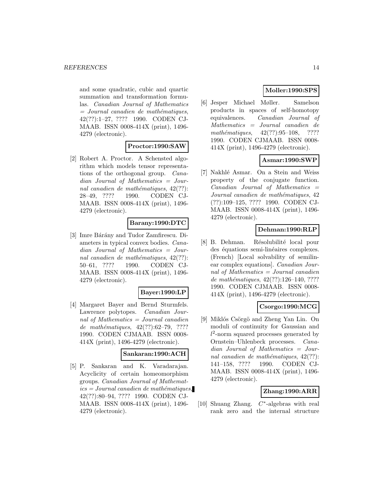and some quadratic, cubic and quartic summation and transformation formulas. Canadian Journal of Mathematics  $=$  Journal canadien de mathématiques, 42(??):1–27, ???? 1990. CODEN CJ-MAAB. ISSN 0008-414X (print), 1496- 4279 (electronic).

# **Proctor:1990:SAW**

[2] Robert A. Proctor. A Schensted algorithm which models tensor representations of the orthogonal group. Canadian Journal of Mathematics = Journal canadien de mathématiques,  $42(??)$ : 28–49, ???? 1990. CODEN CJ-MAAB. ISSN 0008-414X (print), 1496- 4279 (electronic).

### **Barany:1990:DTC**

[3] Imre Bárány and Tudor Zamfirescu. Diameters in typical convex bodies. Canadian Journal of Mathematics = Journal canadien de mathématiques,  $42(??)$ : 50–61, ???? 1990. CODEN CJ-MAAB. ISSN 0008-414X (print), 1496- 4279 (electronic).

#### **Bayer:1990:LP**

[4] Margaret Bayer and Bernd Sturmfels. Lawrence polytopes. Canadian Journal of Mathematics = Journal canadien de mathématiques,  $42(??):62-79, ????$ 1990. CODEN CJMAAB. ISSN 0008- 414X (print), 1496-4279 (electronic).

#### **Sankaran:1990:ACH**

[5] P. Sankaran and K. Varadarajan. Acyclicity of certain homeomorphism groups. Canadian Journal of Mathemat $ics = Journal\,c$  and  $i$ emathématiques, 42(??):80–94, ???? 1990. CODEN CJ-MAAB. ISSN 0008-414X (print), 1496- 4279 (electronic).

# **Moller:1990:SPS**

[6] Jesper Michael Møller. Samelson products in spaces of self-homotopy equivalences. Canadian Journal of Mathematics = Journal canadien de mathématiques,  $42(??):95-108$ , ???? 1990. CODEN CJMAAB. ISSN 0008- 414X (print), 1496-4279 (electronic).

# **Asmar:1990:SWP**

[7] Nakhlé Asmar. On a Stein and Weiss property of the conjugate function.  $Canadian$  Journal of Mathematics  $=$ Journal canadien de mathématiques, 42 (??):109–125, ???? 1990. CODEN CJ-MAAB. ISSN 0008-414X (print), 1496- 4279 (electronic).

# **Dehman:1990:RLP**

[8] B. Dehman. Résolubilité local pour des équations semi-linéaires complexes. (French) [Local solvability of semilinear complex equations]. Canadian Journal of Mathematics = Journal canadien de mathématiques,  $42(??):126-140, ????$ 1990. CODEN CJMAAB. ISSN 0008- 414X (print), 1496-4279 (electronic).

### **Csorgo:1990:MCG**

[9] Miklós Csörgö and Zheng Yan Lin. On moduli of continuity for Gaussian and  $l^2$ -norm squared processes generated by Ornstein–Uhlenbeck processes. Canadian Journal of Mathematics = Journal canadien de mathématiques,  $42(??)$ : 141–158, ???? 1990. CODEN CJ-MAAB. ISSN 0008-414X (print), 1496- 4279 (electronic).

### **Zhang:1990:ARR**

[10] Shuang Zhang. C∗-algebras with real rank zero and the internal structure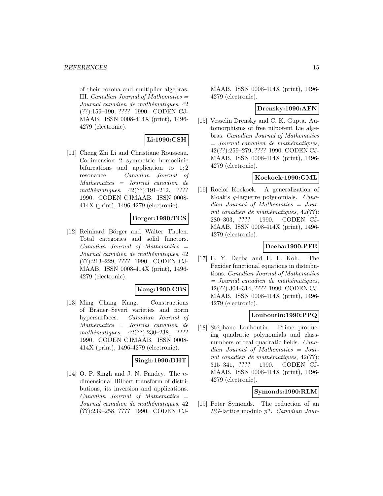of their corona and multiplier algebras. III. Canadian Journal of Mathematics = Journal canadien de mathématiques, 42 (??):159–190, ???? 1990. CODEN CJ-MAAB. ISSN 0008-414X (print), 1496- 4279 (electronic).

# **Li:1990:CSH**

[11] Cheng Zhi Li and Christiane Rousseau. Codimension 2 symmetric homoclinic bifurcations and application to 1:2 resonance. Canadian Journal of Mathematics = Journal canadien de mathématiques,  $42(??):191-212$ , ???? 1990. CODEN CJMAAB. ISSN 0008- 414X (print), 1496-4279 (electronic).

### **Borger:1990:TCS**

[12] Reinhard Börger and Walter Tholen. Total categories and solid functors.  $Canadian$  Journal of Mathematics  $=$ Journal canadien de mathématiques, 42 (??):213–229, ???? 1990. CODEN CJ-MAAB. ISSN 0008-414X (print), 1496- 4279 (electronic).

#### **Kang:1990:CBS**

[13] Ming Chang Kang. Constructions of Brauer–Severi varieties and norm hypersurfaces. Canadian Journal of Mathematics = Journal canadien de mathématiques,  $42(??):230-238$ , ???? 1990. CODEN CJMAAB. ISSN 0008- 414X (print), 1496-4279 (electronic).

### **Singh:1990:DHT**

[14] O. P. Singh and J. N. Pandey. The ndimensional Hilbert transform of distributions, its inversion and applications.  $Canadian$  Journal of Mathematics  $=$ Journal canadien de mathématiques, 42 (??):239–258, ???? 1990. CODEN CJ-

MAAB. ISSN 0008-414X (print), 1496- 4279 (electronic).

#### **Drensky:1990:AFN**

[15] Vesselin Drensky and C. K. Gupta. Automorphisms of free nilpotent Lie algebras. Canadian Journal of Mathematics  $=$  Journal canadien de mathématiques, 42(??):259–279, ???? 1990. CODEN CJ-MAAB. ISSN 0008-414X (print), 1496- 4279 (electronic).

### **Koekoek:1990:GML**

[16] Roelof Koekoek. A generalization of Moak's q-laguerre polynomials. Canadian Journal of Mathematics = Journal canadien de mathématiques,  $42(??)$ : 280–303, ???? 1990. CODEN CJ-MAAB. ISSN 0008-414X (print), 1496- 4279 (electronic).

# **Deeba:1990:PFE**

[17] E. Y. Deeba and E. L. Koh. The Pexider functional equations in distributions. Canadian Journal of Mathematics  $=$  Journal canadien de mathématiques, 42(??):304–314, ???? 1990. CODEN CJ-MAAB. ISSN 0008-414X (print), 1496- 4279 (electronic).

#### **Louboutin:1990:PPQ**

[18] Stéphane Louboutin. Prime producing quadratic polynomials and classnumbers of real quadratic fields. Canadian Journal of Mathematics = Journal canadien de mathématiques,  $42(??)$ : 315–341, ???? 1990. CODEN CJ-MAAB. ISSN 0008-414X (print), 1496- 4279 (electronic).

#### **Symonds:1990:RLM**

[19] Peter Symonds. The reduction of an RG-lattice modulo  $p^n$ . Canadian Jour-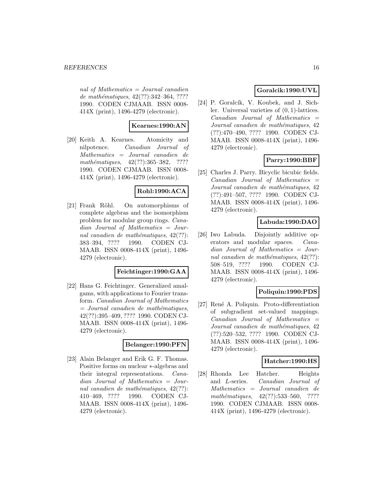nal of Mathematics  $=$  Journal canadien de mathématiques, 42(??):342–364, ???? 1990. CODEN CJMAAB. ISSN 0008- 414X (print), 1496-4279 (electronic).

# **Kearnes:1990:AN**

[20] Keith A. Kearnes. Atomicity and nilpotence. Canadian Journal of Mathematics = Journal canadien de mathématiques,  $42(??):365-382$ , ???? 1990. CODEN CJMAAB. ISSN 0008- 414X (print), 1496-4279 (electronic).

#### **Rohl:1990:ACA**

[21] Frank Röhl. On automorphisms of complete algebras and the isomorphism problem for modular group rings. Canadian Journal of Mathematics = Journal canadien de mathématiques,  $42(??)$ : 383–394, ???? 1990. CODEN CJ-MAAB. ISSN 0008-414X (print), 1496- 4279 (electronic).

#### **Feichtinger:1990:GAA**

[22] Hans G. Feichtinger. Generalized amalgams, with applications to Fourier transform. Canadian Journal of Mathematics  $=$  Journal canadien de mathématiques, 42(??):395–409, ???? 1990. CODEN CJ-MAAB. ISSN 0008-414X (print), 1496- 4279 (electronic).

# **Belanger:1990:PFN**

[23] Alain Belanger and Erik G. F. Thomas. Positive forms on nuclear ∗-algebras and their integral representations. Canadian Journal of Mathematics = Journal canadien de mathématiques,  $42(??)$ : 410–469, ???? 1990. CODEN CJ-MAAB. ISSN 0008-414X (print), 1496- 4279 (electronic).

### **Goralcik:1990:UVL**

[24] P. Goralcík, V. Koubek, and J. Sichler. Universal varieties of (0, 1)-lattices.  $Canadian$  Journal of Mathematics  $=$ Journal canadien de mathématiques, 42 (??):470–490, ???? 1990. CODEN CJ-MAAB. ISSN 0008-414X (print), 1496- 4279 (electronic).

# **Parry:1990:BBF**

[25] Charles J. Parry. Bicyclic bicubic fields.  $Canadian$  Journal of Mathematics  $=$ Journal canadien de mathématiques, 42 (??):491–507, ???? 1990. CODEN CJ-MAAB. ISSN 0008-414X (print), 1496- 4279 (electronic).

### **Labuda:1990:DAO**

[26] Iwo Labuda. Disjointly additive operators and modular spaces. Canadian Journal of Mathematics = Journal canadien de mathématiques,  $42(??)$ : 508–519, ???? 1990. CODEN CJ-MAAB. ISSN 0008-414X (print), 1496- 4279 (electronic).

### **Poliquin:1990:PDS**

[27] René A. Poliquin. Proto-differentiation of subgradient set-valued mappings.  $Canadian$  Journal of Mathematics  $=$ Journal canadien de mathématiques, 42 (??):520–532, ???? 1990. CODEN CJ-MAAB. ISSN 0008-414X (print), 1496- 4279 (electronic).

### **Hatcher:1990:HS**

[28] Rhonda Lee Hatcher. Heights and L-series. Canadian Journal of Mathematics = Journal canadien de mathématiques,  $42(??):533-560$ , ???? 1990. CODEN CJMAAB. ISSN 0008- 414X (print), 1496-4279 (electronic).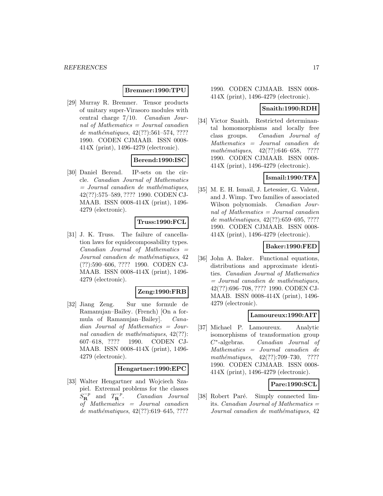#### **Bremner:1990:TPU**

[29] Murray R. Bremner. Tensor products of unitary super-Virasoro modules with central charge 7/10. Canadian Journal of Mathematics = Journal canadien de mathématiques,  $42(??):561-574, ????$ 1990. CODEN CJMAAB. ISSN 0008- 414X (print), 1496-4279 (electronic).

# **Berend:1990:ISC**

[30] Daniel Berend. IP-sets on the circle. Canadian Journal of Mathematics  $=$  Journal canadien de mathématiques, 42(??):575–589, ???? 1990. CODEN CJ-MAAB. ISSN 0008-414X (print), 1496- 4279 (electronic).

#### **Truss:1990:FCL**

[31] J. K. Truss. The failure of cancellation laws for equidecomposability types.  $Canadian$  Journal of Mathematics  $=$ Journal canadien de mathématiques, 42 (??):590–606, ???? 1990. CODEN CJ-MAAB. ISSN 0008-414X (print), 1496- 4279 (electronic).

#### **Zeng:1990:FRB**

[32] Jiang Zeng. Sur une formule de Ramanujan–Bailey. (French) [On a formula of Ramanujan–Bailey]. Canadian Journal of Mathematics = Journal canadien de mathématiques,  $42(??)$ : 607–618, ???? 1990. CODEN CJ-MAAB. ISSN 0008-414X (print), 1496- 4279 (electronic).

#### **Hengartner:1990:EPC**

[33] Walter Hengartner and Wojciech Szapiel. Extremal problems for the classes  $S_{\mathbf{R}}^{-p}$  and  $T_{\mathbf{R}}^{-p}$ **<sup>R</sup>** . Canadian Journal of Mathematics = Journal canadien de mathématiques,  $42(??):619-645, ????$ 

1990. CODEN CJMAAB. ISSN 0008- 414X (print), 1496-4279 (electronic).

#### **Snaith:1990:RDH**

[34] Victor Snaith. Restricted determinantal homomorphisms and locally free class groups. Canadian Journal of Mathematics = Journal canadien de mathématiques,  $42(??):646-658$ , ???? 1990. CODEN CJMAAB. ISSN 0008- 414X (print), 1496-4279 (electronic).

### **Ismail:1990:TFA**

[35] M. E. H. Ismail, J. Letessier, G. Valent, and J. Wimp. Two families of associated Wilson polynomials. *Canadian Jour*nal of Mathematics = Journal canadien de mathématiques,  $42(??):659-695, ????$ 1990. CODEN CJMAAB. ISSN 0008- 414X (print), 1496-4279 (electronic).

### **Baker:1990:FED**

[36] John A. Baker. Functional equations, distributions and approximate identities. Canadian Journal of Mathematics  $=$  Journal canadien de mathématiques, 42(??):696–708, ???? 1990. CODEN CJ-MAAB. ISSN 0008-414X (print), 1496- 4279 (electronic).

#### **Lamoureux:1990:AIT**

[37] Michael P. Lamoureux. Analytic isomorphisms of transformation group C∗-algebras. Canadian Journal of Mathematics = Journal canadien de  $mathématiques, 42(??):709-730, ????$ 1990. CODEN CJMAAB. ISSN 0008- 414X (print), 1496-4279 (electronic).

### **Pare:1990:SCL**

[38] Robert Paré. Simply connected limits. *Canadian Journal of Mathematics*  $=$ Journal canadien de mathématiques, 42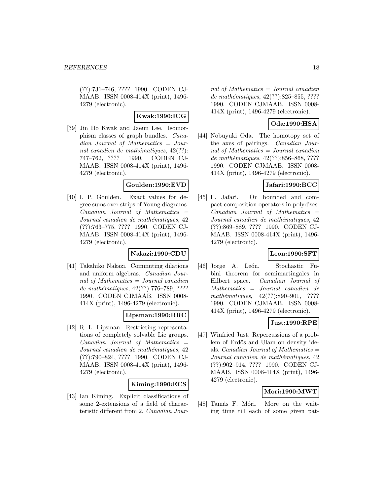(??):731–746, ???? 1990. CODEN CJ-MAAB. ISSN 0008-414X (print), 1496- 4279 (electronic).

# **Kwak:1990:ICG**

[39] Jin Ho Kwak and Jaeun Lee. Isomorphism classes of graph bundles. Canadian Journal of Mathematics = Journal canadien de mathématiques,  $42(??)$ : 747–762, ???? 1990. CODEN CJ-MAAB. ISSN 0008-414X (print), 1496- 4279 (electronic).

### **Goulden:1990:EVD**

[40] I. P. Goulden. Exact values for degree sums over strips of Young diagrams.  $Canadian$  Journal of Mathematics  $=$ Journal canadien de mathématiques, 42 (??):763–775, ???? 1990. CODEN CJ-MAAB. ISSN 0008-414X (print), 1496- 4279 (electronic).

### **Nakazi:1990:CDU**

[41] Takahiko Nakazi. Commuting dilations and uniform algebras. Canadian Journal of Mathematics = Journal canadien de mathématiques, 42(??):776–789, ???? 1990. CODEN CJMAAB. ISSN 0008- 414X (print), 1496-4279 (electronic).

# **Lipsman:1990:RRC**

[42] R. L. Lipsman. Restricting representations of completely solvable Lie groups.  $Canadian$  Journal of Mathematics  $=$ Journal canadien de mathématiques, 42 (??):790–824, ???? 1990. CODEN CJ-MAAB. ISSN 0008-414X (print), 1496- 4279 (electronic).

### **Kiming:1990:ECS**

[43] Ian Kiming. Explicit classifications of some 2-extensions of a field of characteristic different from 2. Canadian Journal of Mathematics  $=$  Journal canadien de mathématiques, 42(??):825–855, ???? 1990. CODEN CJMAAB. ISSN 0008- 414X (print), 1496-4279 (electronic).

# **Oda:1990:HSA**

[44] Nobuyuki Oda. The homotopy set of the axes of pairings. Canadian Journal of Mathematics = Journal canadien de mathématiques, 42(??):856–868, ???? 1990. CODEN CJMAAB. ISSN 0008- 414X (print), 1496-4279 (electronic).

# **Jafari:1990:BCC**

[45] F. Jafari. On bounded and compact composition operators in polydiscs.  $Canadian$  Journal of Mathematics  $=$ Journal canadien de mathématiques, 42 (??):869–889, ???? 1990. CODEN CJ-MAAB. ISSN 0008-414X (print), 1496- 4279 (electronic).

### **Leon:1990:SFT**

[46] Jorge A. León. Stochastic Fubini theorem for semimartingales in Hilbert space. Canadian Journal of Mathematics = Journal canadien de mathématiques,  $42(??):890-901$ , ???? 1990. CODEN CJMAAB. ISSN 0008- 414X (print), 1496-4279 (electronic).

### **Just:1990:RPE**

[47] Winfried Just. Repercussions of a problem of Erdős and Ulam on density ideals. *Canadian Journal of Mathematics*  $=$ Journal canadien de mathématiques, 42 (??):902–914, ???? 1990. CODEN CJ-MAAB. ISSN 0008-414X (print), 1496- 4279 (electronic).

### **Mori:1990:MWT**

[48] Tamás F. Móri. More on the waiting time till each of some given pat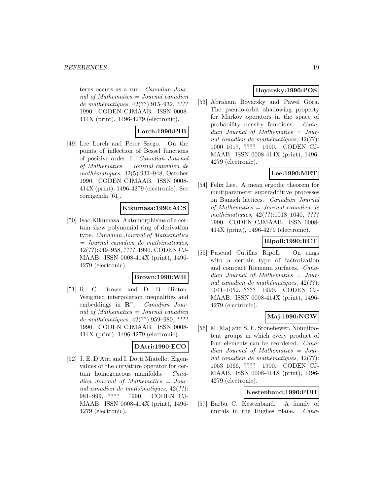terns occurs as a run. Canadian Journal of Mathematics = Journal canadien de mathématiques,  $42(??):915-932, ????$ 1990. CODEN CJMAAB. ISSN 0008- 414X (print), 1496-4279 (electronic).

### **Lorch:1990:PIB**

[49] Lee Lorch and Peter Szego. On the points of inflection of Bessel functions of positive order. I. Canadian Journal of Mathematics = Journal canadien de mathématiques,  $42(5):933-948$ , October 1990. CODEN CJMAAB. ISSN 0008- 414X (print), 1496-4279 (electronic). See corrigenda [61].

#### **Kikumasa:1990:ACS**

[50] Isao Kikumasa. Automorphisms of a certain skew polynomial ring of derivation type. Canadian Journal of Mathematics  $=$  Journal canadien de mathématiques, 42(??):949–958, ???? 1990. CODEN CJ-MAAB. ISSN 0008-414X (print), 1496- 4279 (electronic).

#### **Brown:1990:WII**

[51] R. C. Brown and D. B. Hinton. Weighted interpolation inequalities and embeddings in  $\mathbb{R}^n$ . *Canadian Jour*nal of Mathematics = Journal canadien de mathématiques, 42(??):959-980, ???? 1990. CODEN CJMAAB. ISSN 0008- 414X (print), 1496-4279 (electronic).

### **DAtri:1990:ECO**

[52] J. E. D'Atri and I. Dotti Miatello. Eigenvalues of the curvature operator for certain homogeneous manifolds. Canadian Journal of Mathematics = Journal canadien de mathématiques,  $42(??)$ : 981–999, ???? 1990. CODEN CJ-MAAB. ISSN 0008-414X (print), 1496- 4279 (electronic).

# **Boyarsky:1990:POS**

[53] Abraham Boyarsky and Pawel Góra. The pseudo-orbit shadowing property for Markov operators in the space of probability density functions. Canadian Journal of Mathematics = Journal canadien de mathématiques,  $42(??)$ : 1000–1017, ???? 1990. CODEN CJ-MAAB. ISSN 0008-414X (print), 1496- 4279 (electronic).

# **Lee:1990:MET**

[54] Felix Lee. A mean ergodic theorem for multiparameter superadditive processes on Banach lattices. Canadian Journal of Mathematics = Journal canadien de  $mathématiques, 42(??):1018–1040, ????$ 1990. CODEN CJMAAB. ISSN 0008- 414X (print), 1496-4279 (electronic).

# **Ripoll:1990:RCT**

[55] Pascual Cutillas Ripoll. On rings with a certain type of factorization and compact Riemann surfaces. Canadian Journal of Mathematics = Journal canadien de mathématiques,  $42(??)$ : 1041–1052, ???? 1990. CODEN CJ-MAAB. ISSN 0008-414X (print), 1496- 4279 (electronic).

# **Maj:1990:NGW**

[56] M. Maj and S. E. Stonehewer. Nonnilpotent groups in which every product of four elements can be reordered. Canadian Journal of Mathematics = Journal canadien de mathématiques,  $42(??)$ : 1053–1066, ???? 1990. CODEN CJ-MAAB. ISSN 0008-414X (print), 1496- 4279 (electronic).

### **Kestenband:1990:FUH**

[57] Barbu C. Kestenband. A family of unitals in the Hughes plane. Cana-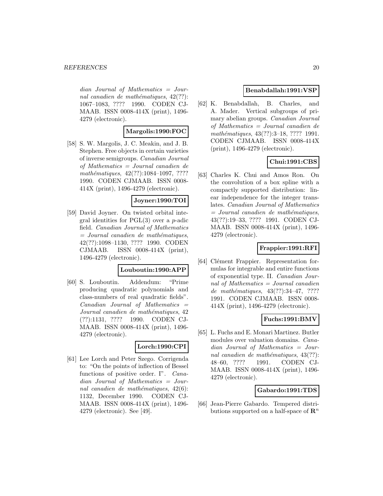dian Journal of Mathematics = Journal canadien de mathématiques,  $42(??)$ : 1067–1083, ???? 1990. CODEN CJ-MAAB. ISSN 0008-414X (print), 1496- 4279 (electronic).

# **Margolis:1990:FOC**

[58] S. W. Margolis, J. C. Meakin, and J. B. Stephen. Free objects in certain varieties of inverse semigroups. Canadian Journal of Mathematics = Journal canadien de mathématiques,  $42(??):1084-1097, ????$ 1990. CODEN CJMAAB. ISSN 0008- 414X (print), 1496-4279 (electronic).

### **Joyner:1990:TOI**

[59] David Joyner. On twisted orbital integral identities for PGL(3) over a p-adic field. Canadian Journal of Mathematics  $=$  Journal canadien de mathématiques, 42(??):1098–1130, ???? 1990. CODEN CJMAAB. ISSN 0008-414X (print), 1496-4279 (electronic).

#### **Louboutin:1990:APP**

[60] S. Louboutin. Addendum: "Prime producing quadratic polynomials and class-numbers of real quadratic fields". Canadian Journal of Mathematics = Journal canadien de mathématiques, 42 (??):1131, ???? 1990. CODEN CJ-MAAB. ISSN 0008-414X (print), 1496- 4279 (electronic).

#### **Lorch:1990:CPI**

[61] Lee Lorch and Peter Szego. Corrigenda to: "On the points of inflection of Bessel functions of positive order. I". Canadian Journal of Mathematics = Journal canadien de mathématiques,  $42(6)$ : 1132, December 1990. CODEN CJ-MAAB. ISSN 0008-414X (print), 1496- 4279 (electronic). See [49].

### **Benabdallah:1991:VSP**

[62] K. Benabdallah, B. Charles, and A. Mader. Vertical subgroups of primary abelian groups. Canadian Journal of Mathematics = Journal canadien de mathématiques, 43(??):3–18, ???? 1991. CODEN CJMAAB. ISSN 0008-414X (print), 1496-4279 (electronic).

# **Chui:1991:CBS**

[63] Charles K. Chui and Amos Ron. On the convolution of a box spline with a compactly supported distribution: linear independence for the integer translates. Canadian Journal of Mathematics  $=$  Journal canadien de mathématiques, 43(??):19–33, ???? 1991. CODEN CJ-MAAB. ISSN 0008-414X (print), 1496- 4279 (electronic).

# **Frappier:1991:RFI**

[64] Clément Frappier. Representation formulas for integrable and entire functions of exponential type. II. Canadian Journal of Mathematics  $=$  Journal canadien de mathématiques,  $43(??):34-47, ????$ 1991. CODEN CJMAAB. ISSN 0008- 414X (print), 1496-4279 (electronic).

### **Fuchs:1991:BMV**

[65] L. Fuchs and E. Monari Martinez. Butler modules over valuation domains. Canadian Journal of Mathematics = Journal canadien de mathématiques,  $43(??)$ : 48–60, ???? 1991. CODEN CJ-MAAB. ISSN 0008-414X (print), 1496- 4279 (electronic).

#### **Gabardo:1991:TDS**

[66] Jean-Pierre Gabardo. Tempered distributions supported on a half-space of **R**<sup>n</sup>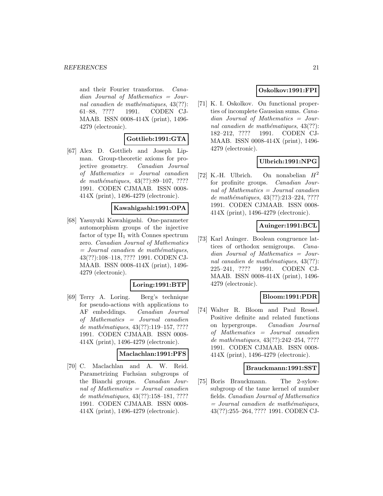and their Fourier transforms. Canadian Journal of Mathematics = Journal canadien de mathématiques,  $43(??)$ : 61–88, ???? 1991. CODEN CJ-MAAB. ISSN 0008-414X (print), 1496- 4279 (electronic).

### **Gottlieb:1991:GTA**

[67] Alex D. Gottlieb and Joseph Lipman. Group-theoretic axioms for projective geometry. Canadian Journal of Mathematics = Journal canadien de mathématiques,  $43(??):89-107, ????$ 1991. CODEN CJMAAB. ISSN 0008- 414X (print), 1496-4279 (electronic).

#### **Kawahigashi:1991:OPA**

[68] Yasuyuki Kawahigashi. One-parameter automorphism groups of the injective factor of type  $II_1$  with Connes spectrum zero. Canadian Journal of Mathematics  $=$  Journal canadien de mathématiques, 43(??):108–118, ???? 1991. CODEN CJ-MAAB. ISSN 0008-414X (print), 1496- 4279 (electronic).

#### **Loring:1991:BTP**

[69] Terry A. Loring. Berg's technique for pseudo-actions with applications to AF embeddings. Canadian Journal of Mathematics = Journal canadien de mathématiques, 43(??):119–157, ???? 1991. CODEN CJMAAB. ISSN 0008- 414X (print), 1496-4279 (electronic).

#### **Maclachlan:1991:PFS**

[70] C. Maclachlan and A. W. Reid. Parametrizing Fuchsian subgroups of the Bianchi groups. Canadian Journal of Mathematics = Journal canadien de mathématiques, 43(??):158–181, ???? 1991. CODEN CJMAAB. ISSN 0008- 414X (print), 1496-4279 (electronic).

# **Oskolkov:1991:FPI**

[71] K. I. Oskolkov. On functional properties of incomplete Gaussian sums. Canadian Journal of Mathematics = Journal canadien de mathématiques,  $43(??)$ : 182–212, ???? 1991. CODEN CJ-MAAB. ISSN 0008-414X (print), 1496- 4279 (electronic).

# **Ulbrich:1991:NPG**

[72] K.-H. Ulbrich. On nonabelian  $H^2$ for profinite groups. Canadian Journal of Mathematics = Journal canadien de mathématiques,  $43(??):213-224, ????$ 1991. CODEN CJMAAB. ISSN 0008- 414X (print), 1496-4279 (electronic).

### **Auinger:1991:BCL**

[73] Karl Auinger. Boolean congruence lattices of orthodox semigroups. Canadian Journal of Mathematics = Journal canadien de mathématiques,  $43(??)$ : 225–241, ???? 1991. CODEN CJ-MAAB. ISSN 0008-414X (print), 1496- 4279 (electronic).

#### **Bloom:1991:PDR**

[74] Walter R. Bloom and Paul Ressel. Positive definite and related functions on hypergroups. Canadian Journal of Mathematics = Journal canadien de mathématiques,  $43(??):242-254, ????$ 1991. CODEN CJMAAB. ISSN 0008- 414X (print), 1496-4279 (electronic).

#### **Brauckmann:1991:SST**

[75] Boris Brauckmann. The 2-sylowsubgroup of the tame kernel of number fields. Canadian Journal of Mathematics  $=$  Journal canadien de mathématiques, 43(??):255–264, ???? 1991. CODEN CJ-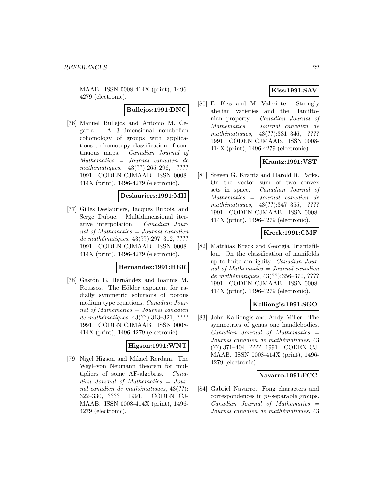MAAB. ISSN 0008-414X (print), 1496- 4279 (electronic).

#### **Bullejos:1991:DNC**

[76] Manuel Bullejos and Antonio M. Cegarra. A 3-dimensional nonabelian cohomology of groups with applications to homotopy classification of continuous maps. Canadian Journal of Mathematics = Journal canadien de mathématiques,  $43(??):265-296$ , ???? 1991. CODEN CJMAAB. ISSN 0008- 414X (print), 1496-4279 (electronic).

# **Deslauriers:1991:MII**

[77] Gilles Deslauriers, Jacques Dubois, and Serge Dubuc. Multidimensional iterative interpolation. Canadian Journal of Mathematics  $=$  Journal canadien de mathématiques,  $43(??):297-312, ????$ 1991. CODEN CJMAAB. ISSN 0008- 414X (print), 1496-4279 (electronic).

#### **Hernandez:1991:HER**

[78] Gastón E. Hernández and Ioannis M. Roussos. The Hölder exponent for radially symmetric solutions of porous medium type equations. Canadian Journal of Mathematics = Journal canadien de mathématiques,  $43(??):313-321, ????$ 1991. CODEN CJMAAB. ISSN 0008- 414X (print), 1496-4279 (electronic).

#### **Higson:1991:WNT**

[79] Nigel Higson and Mikael Rørdam. The Weyl–von Neumann theorem for multipliers of some AF-algebras. Canadian Journal of Mathematics = Journal canadien de mathématiques,  $43(??)$ : 322–330, ???? 1991. CODEN CJ-MAAB. ISSN 0008-414X (print), 1496- 4279 (electronic).

# **Kiss:1991:SAV**

[80] E. Kiss and M. Valeriote. Strongly abelian varieties and the Hamiltonian property. Canadian Journal of Mathematics = Journal canadien de mathématiques,  $43(??):331-346$ , ???? 1991. CODEN CJMAAB. ISSN 0008- 414X (print), 1496-4279 (electronic).

# **Krantz:1991:VST**

[81] Steven G. Krantz and Harold R. Parks. On the vector sum of two convex sets in space. Canadian Journal of Mathematics = Journal canadien de mathématiques,  $43(??):347-355$ , ???? 1991. CODEN CJMAAB. ISSN 0008- 414X (print), 1496-4279 (electronic).

### **Kreck:1991:CMF**

[82] Matthias Kreck and Georgia Triantafillou. On the classification of manifolds up to finite ambiguity. Canadian Journal of Mathematics = Journal canadien de mathématiques, 43(??):356–370, ???? 1991. CODEN CJMAAB. ISSN 0008- 414X (print), 1496-4279 (electronic).

#### **Kalliongis:1991:SGO**

[83] John Kalliongis and Andy Miller. The symmetries of genus one handlebodies.  $Canadian$  Journal of Mathematics  $=$ Journal canadien de mathématiques, 43 (??):371–404, ???? 1991. CODEN CJ-MAAB. ISSN 0008-414X (print), 1496- 4279 (electronic).

#### **Navarro:1991:FCC**

[84] Gabriel Navarro. Fong characters and correspondences in pi-separable groups.  $Canadian$  Journal of Mathematics  $=$ Journal canadien de mathématiques, 43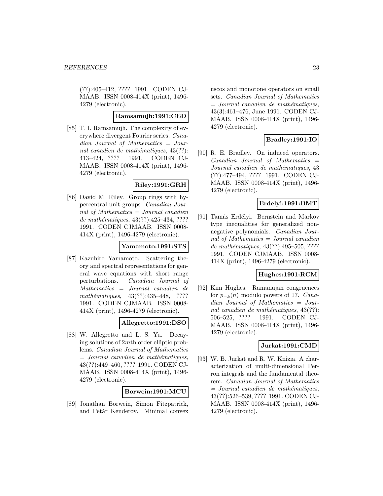(??):405–412, ???? 1991. CODEN CJ-MAAB. ISSN 0008-414X (print), 1496- 4279 (electronic).

### **Ramsamujh:1991:CED**

[85] T. I. Ramsamujh. The complexity of everywhere divergent Fourier series. Canadian Journal of Mathematics = Journal canadien de mathématiques,  $43(??)$ : 413–424, ???? 1991. CODEN CJ-MAAB. ISSN 0008-414X (print), 1496- 4279 (electronic).

#### **Riley:1991:GRH**

[86] David M. Riley. Group rings with hypercentral unit groups. Canadian Journal of Mathematics = Journal canadien de mathématiques,  $43(??):425-434, ????$ 1991. CODEN CJMAAB. ISSN 0008- 414X (print), 1496-4279 (electronic).

#### **Yamamoto:1991:STS**

[87] Kazuhiro Yamamoto. Scattering theory and spectral representations for general wave equations with short range perturbations. Canadian Journal of Mathematics = Journal canadien de mathématiques, 43(??):435–448, ???? 1991. CODEN CJMAAB. ISSN 0008- 414X (print), 1496-4279 (electronic).

#### **Allegretto:1991:DSO**

[88] W. Allegretto and L. S. Yu. Decaying solutions of 2mth order elliptic problems. Canadian Journal of Mathematics  $=$  Journal canadien de mathématiques, 43(??):449–460, ???? 1991. CODEN CJ-MAAB. ISSN 0008-414X (print), 1496- 4279 (electronic).

#### **Borwein:1991:MCU**

[89] Jonathan Borwein, Simon Fitzpatrick, and Petàr Kenderov. Minimal convex uscos and monotone operators on small sets. Canadian Journal of Mathematics  $=$  Journal canadien de mathématiques, 43(3):461–476, June 1991. CODEN CJ-MAAB. ISSN 0008-414X (print), 1496- 4279 (electronic).

# **Bradley:1991:IO**

[90] R. E. Bradley. On induced operators.  $Canadian$  Journal of Mathematics  $=$ Journal canadien de mathématiques, 43 (??):477–494, ???? 1991. CODEN CJ-MAAB. ISSN 0008-414X (print), 1496- 4279 (electronic).

### **Erdelyi:1991:BMT**

[91] Tamás Erdélyi. Bernstein and Markov type inequalities for generalized nonnegative polynomials. Canadian Journal of Mathematics = Journal canadien de mathématiques,  $43(??):495-505, ????$ 1991. CODEN CJMAAB. ISSN 0008- 414X (print), 1496-4279 (electronic).

#### **Hughes:1991:RCM**

[92] Kim Hughes. Ramanujan congruences for  $p_{-k}(n)$  modulo powers of 17. Canadian Journal of Mathematics = Journal canadien de mathématiques,  $43(??)$ : 506–525, ???? 1991. CODEN CJ-MAAB. ISSN 0008-414X (print), 1496- 4279 (electronic).

#### **Jurkat:1991:CMD**

[93] W. B. Jurkat and R. W. Knizia. A characterization of multi-dimensional Perron integrals and the fundamental theorem. Canadian Journal of Mathematics  $=$  Journal canadien de mathématiques, 43(??):526–539, ???? 1991. CODEN CJ-MAAB. ISSN 0008-414X (print), 1496- 4279 (electronic).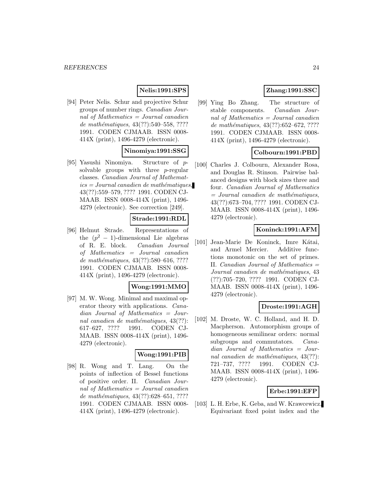# **Nelis:1991:SPS**

[94] Peter Nelis. Schur and projective Schur groups of number rings. Canadian Journal of Mathematics  $=$  Journal canadien de mathématiques, 43(??):540–558, ???? 1991. CODEN CJMAAB. ISSN 0008- 414X (print), 1496-4279 (electronic).

### **Ninomiya:1991:SSG**

[95] Yasushi Ninomiya. Structure of psolvable groups with three p-regular classes. Canadian Journal of Mathemat $ics = Journal\,c$  and  $i$ emathématiques, 43(??):559–579, ???? 1991. CODEN CJ-MAAB. ISSN 0008-414X (print), 1496- 4279 (electronic). See correction [249].

#### **Strade:1991:RDL**

[96] Helmut Strade. Representations of the  $(p^2 - 1)$ -dimensional Lie algebras of R. E. block. Canadian Journal of Mathematics = Journal canadien de mathématiques, 43(??):580–616, ???? 1991. CODEN CJMAAB. ISSN 0008- 414X (print), 1496-4279 (electronic).

#### **Wong:1991:MMO**

[97] M. W. Wong. Minimal and maximal operator theory with applications. Canadian Journal of Mathematics = Journal canadien de mathématiques,  $43(??)$ : 617–627, ???? 1991. CODEN CJ-MAAB. ISSN 0008-414X (print), 1496- 4279 (electronic).

#### **Wong:1991:PIB**

[98] R. Wong and T. Lang. On the points of inflection of Bessel functions of positive order. II. Canadian Journal of Mathematics  $=$  Journal canadien de mathématiques, 43(??):628–651, ???? 1991. CODEN CJMAAB. ISSN 0008- 414X (print), 1496-4279 (electronic).

# **Zhang:1991:SSC**

[99] Ying Bo Zhang. The structure of stable components. Canadian Journal of Mathematics = Journal canadien de mathématiques,  $43(??):652-672, ????$ 1991. CODEN CJMAAB. ISSN 0008- 414X (print), 1496-4279 (electronic).

### **Colbourn:1991:PBD**

[100] Charles J. Colbourn, Alexander Rosa, and Douglas R. Stinson. Pairwise balanced designs with block sizes three and four. Canadian Journal of Mathematics  $=$  Journal canadien de mathématiques, 43(??):673–704, ???? 1991. CODEN CJ-MAAB. ISSN 0008-414X (print), 1496- 4279 (electronic).

#### **Koninck:1991:AFM**

[101] Jean-Marie De Koninck, Imre Kátai, and Armel Mercier. Additive functions monotonic on the set of primes. II. Canadian Journal of Mathematics = Journal canadien de mathématiques, 43 (??):705–720, ???? 1991. CODEN CJ-MAAB. ISSN 0008-414X (print), 1496- 4279 (electronic).

### **Droste:1991:AGH**

[102] M. Droste, W. C. Holland, and H. D. Macpherson. Automorphism groups of homogeneous semilinear orders: normal subgroups and commutators. *Cana*dian Journal of Mathematics = Journal canadien de mathématiques,  $43(??)$ : 721–737, ???? 1991. CODEN CJ-MAAB. ISSN 0008-414X (print), 1496- 4279 (electronic).

#### **Erbe:1991:EFP**

[103] L. H. Erbe, K. Geba, and W. Krawcewicz. Equivariant fixed point index and the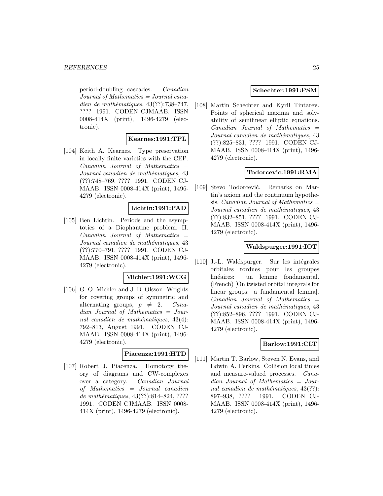period-doubling cascades. Canadian Journal of Mathematics = Journal canadien de mathématiques,  $43(??):738-747$ , ???? 1991. CODEN CJMAAB. ISSN 0008-414X (print), 1496-4279 (electronic).

#### **Kearnes:1991:TPL**

[104] Keith A. Kearnes. Type preservation in locally finite varieties with the CEP.  $Canadian$  Journal of Mathematics  $=$ Journal canadien de mathématiques, 43 (??):748–769, ???? 1991. CODEN CJ-MAAB. ISSN 0008-414X (print), 1496- 4279 (electronic).

### **Lichtin:1991:PAD**

[105] Ben Lichtin. Periods and the asymptotics of a Diophantine problem. II.  $Canadian$  Journal of Mathematics  $=$ Journal canadien de mathématiques, 43 (??):770–791, ???? 1991. CODEN CJ-MAAB. ISSN 0008-414X (print), 1496- 4279 (electronic).

#### **Michler:1991:WCG**

[106] G. O. Michler and J. B. Olsson. Weights for covering groups of symmetric and alternating groups,  $p \neq 2$ . Canadian Journal of Mathematics = Journal canadien de mathématiques,  $43(4)$ : 792–813, August 1991. CODEN CJ-MAAB. ISSN 0008-414X (print), 1496- 4279 (electronic).

### **Piacenza:1991:HTD**

[107] Robert J. Piacenza. Homotopy theory of diagrams and CW-complexes over a category. Canadian Journal of Mathematics = Journal canadien de mathématiques, 43(??):814–824, ???? 1991. CODEN CJMAAB. ISSN 0008- 414X (print), 1496-4279 (electronic).

#### **Schechter:1991:PSM**

[108] Martin Schechter and Kyril Tintarev. Points of spherical maxima and solvability of semilinear elliptic equations.  $Canadian$  Journal of Mathematics  $=$ Journal canadien de mathématiques, 43 (??):825–831, ???? 1991. CODEN CJ-MAAB. ISSN 0008-414X (print), 1496- 4279 (electronic).

### **Todorcevic:1991:RMA**

[109] Stevo Todorcević. Remarks on Martin's axiom and the continuum hypothesis. *Canadian Journal of Mathematics*  $=$ Journal canadien de mathématiques, 43 (??):832–851, ???? 1991. CODEN CJ-MAAB. ISSN 0008-414X (print), 1496- 4279 (electronic).

# **Waldspurger:1991:IOT**

[110] J.-L. Waldspurger. Sur les intégrales orbitales tordues pour les groupes linéaires: un lemme fondamental. (French) [On twisted orbital integrals for linear groups: a fundamental lemma].  $Canadian$  Journal of Mathematics  $=$ Journal canadien de mathématiques, 43 (??):852–896, ???? 1991. CODEN CJ-MAAB. ISSN 0008-414X (print), 1496- 4279 (electronic).

# **Barlow:1991:CLT**

[111] Martin T. Barlow, Steven N. Evans, and Edwin A. Perkins. Collision local times and measure-valued processes. Canadian Journal of Mathematics = Journal canadien de mathématiques,  $43(??)$ : 897–938, ???? 1991. CODEN CJ-MAAB. ISSN 0008-414X (print), 1496- 4279 (electronic).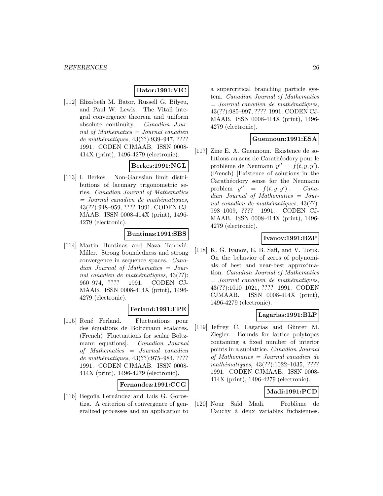#### **Bator:1991:VIC**

[112] Elizabeth M. Bator, Russell G. Bilyeu, and Paul W. Lewis. The Vitali integral convergence theorem and uniform absolute continuity. Canadian Journal of Mathematics = Journal canadien de mathématiques, 43(??):939-947, ???? 1991. CODEN CJMAAB. ISSN 0008- 414X (print), 1496-4279 (electronic).

# **Berkes:1991:NGL**

[113] I. Berkes. Non-Gaussian limit distributions of lacunary trigonometric series. Canadian Journal of Mathematics  $=$  Journal canadien de mathématiques, 43(??):948–959, ???? 1991. CODEN CJ-MAAB. ISSN 0008-414X (print), 1496- 4279 (electronic).

### **Buntinas:1991:SBS**

[114] Martin Buntinas and Naza Tanović-Miller. Strong boundedness and strong convergence in sequence spaces. Canadian Journal of Mathematics = Journal canadien de mathématiques,  $43(??)$ : 960–974, ???? 1991. CODEN CJ-MAAB. ISSN 0008-414X (print), 1496- 4279 (electronic).

### **Ferland:1991:FPE**

[115] René Ferland. Fluctuations pour des équations de Boltzmann scalaires. (French) [Fluctuations for scalar Boltzmann equations]. Canadian Journal of Mathematics = Journal canadien de mathématiques, 43(??):975–984, ???? 1991. CODEN CJMAAB. ISSN 0008- 414X (print), 1496-4279 (electronic).

#### **Fernandez:1991:CCG**

[116] Begoña Fernández and Luis G. Gorostiza. A criterion of convergence of generalized processes and an application to

a supercritical branching particle system. Canadian Journal of Mathematics  $=$  Journal canadien de mathématiques, 43(??):985–997, ???? 1991. CODEN CJ-MAAB. ISSN 0008-414X (print), 1496- 4279 (electronic).

#### **Guennoun:1991:ESA**

[117] Zine E. A. Guennoun. Existence de solutions au sens de Carathéodory pour le problème de Neumann  $y'' = f(t, y, y')$ . (French) [Existence of solutions in the Carathéodory sense for the Neumann problem  $y'' = f(t, y, y')$ . )]. Canadian Journal of Mathematics = Journal canadien de mathématiques,  $43(??)$ : 998–1009, ???? 1991. CODEN CJ-MAAB. ISSN 0008-414X (print), 1496- 4279 (electronic).

### **Ivanov:1991:BZP**

[118] K. G. Ivanov, E. B. Saff, and V. Totik. On the behavior of zeros of polynomials of best and near-best approximation. Canadian Journal of Mathematics  $=$  Journal canadien de mathématiques, 43(??):1010–1021, ???? 1991. CODEN CJMAAB. ISSN 0008-414X (print), 1496-4279 (electronic).

#### **Lagarias:1991:BLP**

[119] Jeffrey C. Lagarias and Günter M. Ziegler. Bounds for lattice polytopes containing a fixed number of interior points in a sublattice. Canadian Journal of Mathematics = Journal canadien de mathématiques, 43(??):1022-1035, ???? 1991. CODEN CJMAAB. ISSN 0008- 414X (print), 1496-4279 (electronic).

# **Madi:1991:PCD**

[120] Nour Saïd Madi. Problème de Cauchy à deux variables fuchsiennes.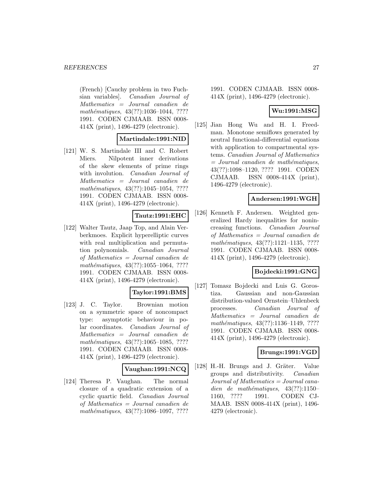#### *REFERENCES* 27

(French) [Cauchy problem in two Fuchsian variables]. Canadian Journal of Mathematics = Journal canadien de mathématiques, 43(??):1036-1044, ???? 1991. CODEN CJMAAB. ISSN 0008- 414X (print), 1496-4279 (electronic).

#### **Martindale:1991:NID**

[121] W. S. Martindale III and C. Robert Miers. Nilpotent inner derivations of the skew elements of prime rings with involution. *Canadian Journal of* Mathematics = Journal canadien de mathématiques,  $43(??):1045-1054, ????$ 1991. CODEN CJMAAB. ISSN 0008- 414X (print), 1496-4279 (electronic).

# **Tautz:1991:EHC**

[122] Walter Tautz, Jaap Top, and Alain Verberkmoes. Explicit hyperelliptic curves with real multiplication and permutation polynomials. Canadian Journal of Mathematics = Journal canadien de mathématiques,  $43(??):1055-1064, ????$ 1991. CODEN CJMAAB. ISSN 0008- 414X (print), 1496-4279 (electronic).

### **Taylor:1991:BMS**

[123] J. C. Taylor. Brownian motion on a symmetric space of noncompact type: asymptotic behaviour in polar coordinates. Canadian Journal of Mathematics = Journal canadien de mathématiques,  $43(??):1065-1085$ , ???? 1991. CODEN CJMAAB. ISSN 0008- 414X (print), 1496-4279 (electronic).

#### **Vaughan:1991:NCQ**

[124] Theresa P. Vaughan. The normal closure of a quadratic extension of a cyclic quartic field. Canadian Journal of Mathematics = Journal canadien de mathématiques,  $43(??):1086-1097, ????$ 

1991. CODEN CJMAAB. ISSN 0008- 414X (print), 1496-4279 (electronic).

### **Wu:1991:MSG**

[125] Jian Hong Wu and H. I. Freedman. Monotone semiflows generated by neutral functional-differential equations with application to compartmental systems. Canadian Journal of Mathematics  $=$  Journal canadien de mathématiques, 43(??):1098–1120, ???? 1991. CODEN CJMAAB. ISSN 0008-414X (print), 1496-4279 (electronic).

#### **Andersen:1991:WGH**

[126] Kenneth F. Andersen. Weighted generalized Hardy inequalities for nonincreasing functions. Canadian Journal of Mathematics = Journal canadien de mathématiques,  $43(??):1121-1135$ , ???? 1991. CODEN CJMAAB. ISSN 0008- 414X (print), 1496-4279 (electronic).

### **Bojdecki:1991:GNG**

[127] Tomasz Bojdecki and Luis G. Gorostiza. Gaussian and non-Gaussian distribution-valued Ornstein–Uhlenbeck processes. Canadian Journal of Mathematics = Journal canadien de mathématiques, 43(??):1136-1149, ???? 1991. CODEN CJMAAB. ISSN 0008- 414X (print), 1496-4279 (electronic).

#### **Brungs:1991:VGD**

[128] H.-H. Brungs and J. Gräter. Value groups and distributivity. Canadian Journal of Mathematics = Journal canadien de mathématiques,  $43(??):1150-$ 1160, ???? 1991. CODEN CJ-MAAB. ISSN 0008-414X (print), 1496- 4279 (electronic).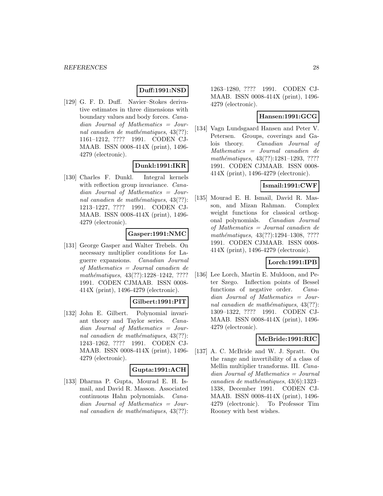# **Duff:1991:NSD**

[129] G. F. D. Duff. Navier–Stokes derivative estimates in three dimensions with boundary values and body forces. Canadian Journal of Mathematics = Journal canadien de mathématiques,  $43(??)$ : 1161–1212, ???? 1991. CODEN CJ-MAAB. ISSN 0008-414X (print), 1496- 4279 (electronic).

### **Dunkl:1991:IKR**

[130] Charles F. Dunkl. Integral kernels with reflection group invariance. *Cana*dian Journal of Mathematics = Journal canadien de mathématiques,  $43(??)$ : 1213–1227, ???? 1991. CODEN CJ-MAAB. ISSN 0008-414X (print), 1496- 4279 (electronic).

#### **Gasper:1991:NMC**

[131] George Gasper and Walter Trebels. On necessary multiplier conditions for Laguerre expansions. Canadian Journal of Mathematics = Journal canadien de mathématiques, 43(??):1228-1242, ???? 1991. CODEN CJMAAB. ISSN 0008- 414X (print), 1496-4279 (electronic).

### **Gilbert:1991:PIT**

[132] John E. Gilbert. Polynomial invariant theory and Taylor series. Canadian Journal of Mathematics = Journal canadien de mathématiques,  $43(??)$ : 1243–1262, ???? 1991. CODEN CJ-MAAB. ISSN 0008-414X (print), 1496- 4279 (electronic).

#### **Gupta:1991:ACH**

[133] Dharma P. Gupta, Mourad E. H. Ismail, and David R. Masson. Associated continuous Hahn polynomials. Canadian Journal of Mathematics = Journal canadien de mathématiques,  $43(??)$ : 1263–1280, ???? 1991. CODEN CJ-MAAB. ISSN 0008-414X (print), 1496- 4279 (electronic).

#### **Hansen:1991:GCG**

[134] Vagn Lundsgaard Hansen and Peter V. Petersen. Groups, coverings and Galois theory. Canadian Journal of Mathematics = Journal canadien de mathématiques, 43(??):1281-1293, ???? 1991. CODEN CJMAAB. ISSN 0008- 414X (print), 1496-4279 (electronic).

# **Ismail:1991:CWF**

[135] Mourad E. H. Ismail, David R. Masson, and Mizan Rahman. Complex weight functions for classical orthogonal polynomials. Canadian Journal of Mathematics = Journal canadien de mathématiques, 43(??):1294-1308, ???? 1991. CODEN CJMAAB. ISSN 0008- 414X (print), 1496-4279 (electronic).

### **Lorch:1991:IPB**

[136] Lee Lorch, Martin E. Muldoon, and Peter Szego. Inflection points of Bessel functions of negative order. Canadian Journal of Mathematics = Journal canadien de mathématiques,  $43(??)$ : 1309–1322, ???? 1991. CODEN CJ-MAAB. ISSN 0008-414X (print), 1496- 4279 (electronic).

### **McBride:1991:RIC**

[137] A. C. McBride and W. J. Spratt. On the range and invertibility of a class of Mellin multiplier transforms. III. Canadian Journal of Mathematics = Journal  $cana dien de mathématiques, 43(6):1323-$ 1338, December 1991. CODEN CJ-MAAB. ISSN 0008-414X (print), 1496- 4279 (electronic). To Professor Tim Rooney with best wishes.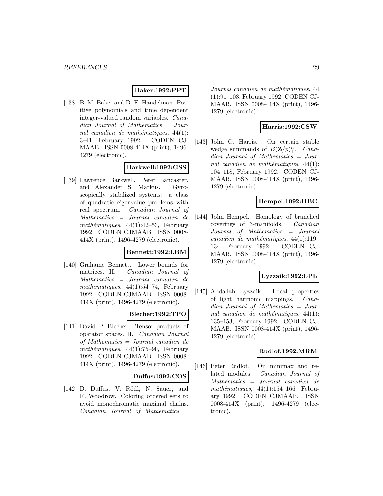### **Baker:1992:PPT**

[138] B. M. Baker and D. E. Handelman. Positive polynomials and time dependent integer-valued random variables. Canadian Journal of Mathematics = Journal canadien de mathématiques,  $44(1)$ : 3–41, February 1992. CODEN CJ-MAAB. ISSN 0008-414X (print), 1496- 4279 (electronic).

### **Barkwell:1992:GSS**

[139] Lawrence Barkwell, Peter Lancaster, and Alexander S. Markus. Gyroscopically stabilized systems: a class of quadratic eigenvalue problems with real spectrum. Canadian Journal of Mathematics = Journal canadien de mathématiques, 44(1):42–53, February 1992. CODEN CJMAAB. ISSN 0008- 414X (print), 1496-4279 (electronic).

#### **Bennett:1992:LBM**

[140] Grahame Bennett. Lower bounds for matrices. II. Canadian Journal of Mathematics = Journal canadien de mathématiques, 44(1):54–74, February 1992. CODEN CJMAAB. ISSN 0008- 414X (print), 1496-4279 (electronic).

### **Blecher:1992:TPO**

[141] David P. Blecher. Tensor products of operator spaces. II. Canadian Journal of Mathematics = Journal canadien de mathématiques,  $44(1)$ :75–90, February 1992. CODEN CJMAAB. ISSN 0008- 414X (print), 1496-4279 (electronic).

#### **Duffus:1992:COS**

[142] D. Duffus, V. Rödl, N. Sauer, and R. Woodrow. Coloring ordered sets to avoid monochromatic maximal chains.  $Canadian$  Journal of Mathematics  $=$ 

Journal canadien de mathématiques, 44 (1):91–103, February 1992. CODEN CJ-MAAB. ISSN 0008-414X (print), 1496- 4279 (electronic).

### **Harris:1992:CSW**

[143] John C. Harris. On certain stable wedge summands of  $B(\mathbf{Z}/p)^n_+$ . Canadian Journal of Mathematics = Journal canadien de mathématiques,  $44(1)$ : 104–118, February 1992. CODEN CJ-MAAB. ISSN 0008-414X (print), 1496- 4279 (electronic).

### **Hempel:1992:HBC**

[144] John Hempel. Homology of branched coverings of 3-manifolds. Canadian Journal of Mathematics = Journal canadien de mathématiques,  $44(1):119-$ 134, February 1992. CODEN CJ-MAAB. ISSN 0008-414X (print), 1496- 4279 (electronic).

### **Lyzzaik:1992:LPL**

[145] Abdallah Lyzzaik. Local properties of light harmonic mappings. Canadian Journal of Mathematics = Journal canadien de mathématiques,  $44(1)$ : 135–153, February 1992. CODEN CJ-MAAB. ISSN 0008-414X (print), 1496- 4279 (electronic).

# **Rudlof:1992:MRM**

[146] Peter Rudlof. On minimax and related modules. Canadian Journal of Mathematics = Journal canadien de mathématiques,  $44(1):154-166$ , February 1992. CODEN CJMAAB. ISSN 0008-414X (print), 1496-4279 (electronic).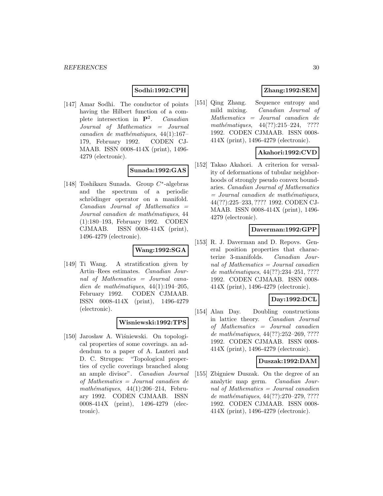# **Sodhi:1992:CPH**

[147] Amar Sodhi. The conductor of points having the Hilbert function of a complete intersection in **P**<sup>2</sup>. Canadian Journal of Mathematics = Journal canadien de mathématiques,  $44(1):167-$ 179, February 1992. CODEN CJ-MAAB. ISSN 0008-414X (print), 1496- 4279 (electronic).

# **Sunada:1992:GAS**

[148] Toshikazu Sunada. Group C∗-algebras and the spectrum of a periodic schrödinger operator on a manifold.  $Canadian$  Journal of Mathematics  $=$ Journal canadien de mathématiques, 44 (1):180–193, February 1992. CODEN CJMAAB. ISSN 0008-414X (print), 1496-4279 (electronic).

#### **Wang:1992:SGA**

[149] Ti Wang. A stratification given by Artin–Rees estimates. Canadian Journal of Mathematics = Journal canadien de mathématiques,  $44(1):194-205$ , February 1992. CODEN CJMAAB. ISSN 0008-414X (print), 1496-4279 (electronic).

#### **Wisniewski:1992:TPS**

[150] Jarosław A. Wiśniewski. On topological properties of some coverings. an addendum to a paper of A. Lanteri and D. C. Struppa: "Topological properties of cyclic coverings branched along an ample divisor". Canadian Journal of Mathematics = Journal canadien de mathématiques,  $44(1):206-214$ , February 1992. CODEN CJMAAB. ISSN 0008-414X (print), 1496-4279 (electronic).

# **Zhang:1992:SEM**

[151] Qing Zhang. Sequence entropy and mild mixing. Canadian Journal of Mathematics = Journal canadien de mathématiques,  $44(??):215-224$ , ???? 1992. CODEN CJMAAB. ISSN 0008- 414X (print), 1496-4279 (electronic).

# **Akahori:1992:CVD**

[152] Takao Akahori. A criterion for versality of deformations of tubular neighborhoods of strongly pseudo convex boundaries. Canadian Journal of Mathematics  $=$  Journal canadien de mathématiques, 44(??):225–233, ???? 1992. CODEN CJ-MAAB. ISSN 0008-414X (print), 1496- 4279 (electronic).

#### **Daverman:1992:GPP**

[153] R. J. Daverman and D. Repovs. General position properties that characterize 3-manifolds. Canadian Journal of Mathematics = Journal canadien de mathématiques, 44(??):234-251, ???? 1992. CODEN CJMAAB. ISSN 0008- 414X (print), 1496-4279 (electronic).

# **Day:1992:DCL**

[154] Alan Day. Doubling constructions in lattice theory. Canadian Journal of Mathematics = Journal canadien de mathématiques, 44(??):252-269, ???? 1992. CODEN CJMAAB. ISSN 0008- 414X (print), 1496-4279 (electronic).

#### **Duszak:1992:DAM**

[155] Zbigniew Duszak. On the degree of an analytic map germ. Canadian Journal of Mathematics = Journal canadien de mathématiques, 44(??):270–279, ???? 1992. CODEN CJMAAB. ISSN 0008- 414X (print), 1496-4279 (electronic).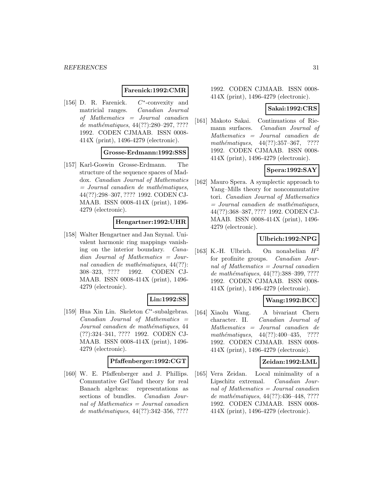#### **Farenick:1992:CMR**

[156] D. R. Farenick. C∗-convexity and matricial ranges. Canadian Journal of Mathematics = Journal canadien de mathématiques,  $44(??):280-297, ????$ 1992. CODEN CJMAAB. ISSN 0008- 414X (print), 1496-4279 (electronic).

#### **Grosse-Erdmann:1992:SSS**

[157] Karl-Goswin Grosse-Erdmann. The structure of the sequence spaces of Maddox. Canadian Journal of Mathematics  $=$  Journal canadien de mathématiques, 44(??):298–307, ???? 1992. CODEN CJ-MAAB. ISSN 0008-414X (print), 1496- 4279 (electronic).

#### **Hengartner:1992:UHR**

[158] Walter Hengartner and Jan Szynal. Univalent harmonic ring mappings vanishing on the interior boundary. Canadian Journal of Mathematics = Journal canadien de mathématiques,  $44(??)$ : 308–323, ???? 1992. CODEN CJ-MAAB. ISSN 0008-414X (print), 1496- 4279 (electronic).

# **Lin:1992:SS**

[159] Hua Xin Lin. Skeleton C∗-subalgebras.  $Canadian$  Journal of Mathematics  $=$ Journal canadien de mathématiques, 44 (??):324–341, ???? 1992. CODEN CJ-MAAB. ISSN 0008-414X (print), 1496- 4279 (electronic).

### **Pfaffenberger:1992:CGT**

[160] W. E. Pfaffenberger and J. Phillips. Commutative Gel'fand theory for real Banach algebras: representations as sections of bundles. Canadian Journal of Mathematics = Journal canadien de mathématiques,  $44(??):342-356, ????$ 

1992. CODEN CJMAAB. ISSN 0008- 414X (print), 1496-4279 (electronic).

#### **Sakai:1992:CRS**

[161] Makoto Sakai. Continuations of Riemann surfaces. Canadian Journal of Mathematics = Journal canadien de mathématiques,  $44(??):357-367$ , ???? 1992. CODEN CJMAAB. ISSN 0008- 414X (print), 1496-4279 (electronic).

### **Spera:1992:SAY**

[162] Mauro Spera. A symplectic approach to Yang–Mills theory for noncommutative tori. Canadian Journal of Mathematics  $=$  Journal canadien de mathématiques, 44(??):368–387, ???? 1992. CODEN CJ-MAAB. ISSN 0008-414X (print), 1496- 4279 (electronic).

#### **Ulbrich:1992:NPG**

[163] K.-H. Ulbrich. On nonabelian  $H^2$ for profinite groups. Canadian Journal of Mathematics = Journal canadien de mathématiques, 44(??):388-399, ???? 1992. CODEN CJMAAB. ISSN 0008- 414X (print), 1496-4279 (electronic).

### **Wang:1992:BCC**

[164] Xiaolu Wang. A bivariant Chern character. II. Canadian Journal of Mathematics = Journal canadien de mathématiques,  $44(??):400-435$ , ???? 1992. CODEN CJMAAB. ISSN 0008- 414X (print), 1496-4279 (electronic).

### **Zeidan:1992:LML**

[165] Vera Zeidan. Local minimality of a Lipschitz extremal. Canadian Journal of Mathematics = Journal canadien de mathématiques, 44(??):436-448, ???? 1992. CODEN CJMAAB. ISSN 0008- 414X (print), 1496-4279 (electronic).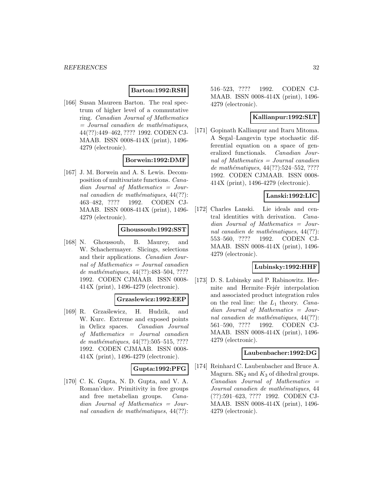### **Barton:1992:RSH**

[166] Susan Maureen Barton. The real spectrum of higher level of a commutative ring. Canadian Journal of Mathematics  $=$  Journal canadien de mathématiques, 44(??):449–462, ???? 1992. CODEN CJ-MAAB. ISSN 0008-414X (print), 1496- 4279 (electronic).

#### **Borwein:1992:DMF**

[167] J. M. Borwein and A. S. Lewis. Decomposition of multivariate functions. Canadian Journal of Mathematics = Journal canadien de mathématiques,  $44(??)$ : 463–482, ???? 1992. CODEN CJ-MAAB. ISSN 0008-414X (print), 1496- 4279 (electronic).

#### **Ghoussoub:1992:SST**

[168] N. Ghoussoub, B. Maurey, and W. Schachermayer. Slicings, selections and their applications. Canadian Journal of Mathematics  $=$  Journal canadien de mathématiques, 44(??):483-504, ???? 1992. CODEN CJMAAB. ISSN 0008- 414X (print), 1496-4279 (electronic).

#### **Grzaslewicz:1992:EEP**

[169] R. Grza´slewicz, H. Hudzik, and W. Kurc. Extreme and exposed points in Orlicz spaces. Canadian Journal of Mathematics = Journal canadien de mathématiques,  $44(??):505-515, ????$ 1992. CODEN CJMAAB. ISSN 0008- 414X (print), 1496-4279 (electronic).

# **Gupta:1992:PFG**

[170] C. K. Gupta, N. D. Gupta, and V. A. Roman'ckov. Primitivity in free groups and free metabelian groups. Canadian Journal of Mathematics = Journal canadien de mathématiques,  $44(??)$ :

516–523, ???? 1992. CODEN CJ-MAAB. ISSN 0008-414X (print), 1496- 4279 (electronic).

#### **Kallianpur:1992:SLT**

[171] Gopinath Kallianpur and Itaru Mitoma. A Segal–Langevin type stochastic differential equation on a space of generalized functionals. Canadian Journal of Mathematics = Journal canadien de mathématiques,  $44(??):524-552, ????$ 1992. CODEN CJMAAB. ISSN 0008- 414X (print), 1496-4279 (electronic).

# **Lanski:1992:LIC**

[172] Charles Lanski. Lie ideals and central identities with derivation. Canadian Journal of Mathematics = Journal canadien de mathématiques,  $44(??)$ : 553–560, ???? 1992. CODEN CJ-MAAB. ISSN 0008-414X (print), 1496- 4279 (electronic).

### **Lubinsky:1992:HHF**

[173] D. S. Lubinsky and P. Rabinowitz. Hermite and Hermite–Fejer interpolation and associated product integration rules on the real line: the  $L_1$  theory. Canadian Journal of Mathematics = Journal canadien de mathématiques,  $44(??)$ : 561–590, ???? 1992. CODEN CJ-MAAB. ISSN 0008-414X (print), 1496- 4279 (electronic).

#### **Laubenbacher:1992:DG**

[174] Reinhard C. Laubenbacher and Bruce A. Magurn.  $SK_2$  and  $K_3$  of dihedral groups.  $Canadian$  Journal of Mathematics  $=$ Journal canadien de mathématiques, 44 (??):591–623, ???? 1992. CODEN CJ-MAAB. ISSN 0008-414X (print), 1496- 4279 (electronic).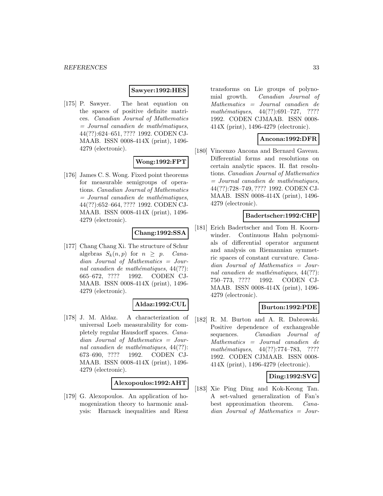#### **Sawyer:1992:HES**

[175] P. Sawyer. The heat equation on the spaces of positive definite matrices. Canadian Journal of Mathematics  $=$  Journal canadien de mathématiques, 44(??):624–651, ???? 1992. CODEN CJ-MAAB. ISSN 0008-414X (print), 1496- 4279 (electronic).

# **Wong:1992:FPT**

[176] James C. S. Wong. Fixed point theorems for measurable semigroups of operations. Canadian Journal of Mathematics  $=$  Journal canadien de mathématiques, 44(??):652–664, ???? 1992. CODEN CJ-MAAB. ISSN 0008-414X (print), 1496- 4279 (electronic).

#### **Chang:1992:SSA**

[177] Chang Chang Xi. The structure of Schur algebras  $S_k(n, p)$  for  $n \geq p$ . Canadian Journal of Mathematics = Journal canadien de mathématiques,  $44(??)$ : 665–672, ???? 1992. CODEN CJ-MAAB. ISSN 0008-414X (print), 1496- 4279 (electronic).

#### **Aldaz:1992:CUL**

[178] J. M. Aldaz. A characterization of universal Loeb measurability for completely regular Hausdorff spaces. Canadian Journal of Mathematics = Journal canadien de mathématiques,  $44(??)$ : 673–690, ???? 1992. CODEN CJ-MAAB. ISSN 0008-414X (print), 1496- 4279 (electronic).

**Alexopoulos:1992:AHT**

[179] G. Alexopoulos. An application of homogenization theory to harmonic analysis: Harnack inequalities and Riesz

transforms on Lie groups of polynomial growth. Canadian Journal of Mathematics = Journal canadien de mathématiques,  $44(??):691-727$ , ???? 1992. CODEN CJMAAB. ISSN 0008- 414X (print), 1496-4279 (electronic).

#### **Ancona:1992:DFR**

[180] Vincenzo Ancona and Bernard Gaveau. Differential forms and resolutions on certain analytic spaces. II. flat resolutions. Canadian Journal of Mathematics  $=$  Journal canadien de mathématiques, 44(??):728–749, ???? 1992. CODEN CJ-MAAB. ISSN 0008-414X (print), 1496- 4279 (electronic).

#### **Badertscher:1992:CHP**

[181] Erich Badertscher and Tom H. Koornwinder. Continuous Hahn polynomials of differential operator argument and analysis on Riemannian symmetric spaces of constant curvature. Canadian Journal of Mathematics = Journal canadien de mathématiques,  $44(??)$ : 750–773, ???? 1992. CODEN CJ-MAAB. ISSN 0008-414X (print), 1496- 4279 (electronic).

### **Burton:1992:PDE**

[182] R. M. Burton and A. R. Dabrowski. Positive dependence of exchangeable sequences. Canadian Journal of Mathematics = Journal canadien de mathématiques,  $44(??):774-783$ , ???? 1992. CODEN CJMAAB. ISSN 0008- 414X (print), 1496-4279 (electronic).

### **Ding:1992:SVG**

[183] Xie Ping Ding and Kok-Keong Tan. A set-valued generalization of Fan's best approximation theorem. Canadian Journal of Mathematics = Jour-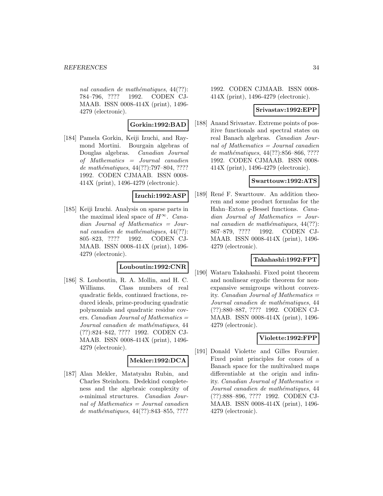nal canadien de mathématiques,  $44(??)$ : 784–796, ???? 1992. CODEN CJ-MAAB. ISSN 0008-414X (print), 1496- 4279 (electronic).

### **Gorkin:1992:BAD**

[184] Pamela Gorkin, Keiji Izuchi, and Raymond Mortini. Bourgain algebras of Douglas algebras. Canadian Journal of Mathematics = Journal canadien de mathématiques, 44(??):797–804, ???? 1992. CODEN CJMAAB. ISSN 0008- 414X (print), 1496-4279 (electronic).

# **Izuchi:1992:ASP**

[185] Keiji Izuchi. Analysis on sparse parts in the maximal ideal space of  $H^{\infty}$ . Canadian Journal of Mathematics = Journal canadien de mathématiques,  $44(??)$ : 805–823, ???? 1992. CODEN CJ-MAAB. ISSN 0008-414X (print), 1496- 4279 (electronic).

#### **Louboutin:1992:CNR**

[186] S. Louboutin, R. A. Mollin, and H. C. Williams. Class numbers of real quadratic fields, continued fractions, reduced ideals, prime-producing quadratic polynomials and quadratic residue covers. *Canadian Journal of Mathematics*  $=$ Journal canadien de mathématiques, 44 (??):824–842, ???? 1992. CODEN CJ-MAAB. ISSN 0008-414X (print), 1496- 4279 (electronic).

#### **Mekler:1992:DCA**

[187] Alan Mekler, Matatyahu Rubin, and Charles Steinhorn. Dedekind completeness and the algebraic complexity of o-minimal structures. Canadian Journal of Mathematics  $=$  Journal canadien de mathématiques, 44(??):843–855, ????

1992. CODEN CJMAAB. ISSN 0008- 414X (print), 1496-4279 (electronic).

#### **Srivastav:1992:EPP**

[188] Anand Srivastav. Extreme points of positive functionals and spectral states on real Banach algebras. Canadian Journal of Mathematics = Journal canadien de mathématiques, 44(??):856–866, ???? 1992. CODEN CJMAAB. ISSN 0008- 414X (print), 1496-4279 (electronic).

#### **Swarttouw:1992:ATS**

[189] René F. Swarttouw. An addition theorem and some product formulas for the Hahn–Exton q-Bessel functions. Canadian Journal of Mathematics = Journal canadien de mathématiques,  $44(??)$ : 867–879, ???? 1992. CODEN CJ-MAAB. ISSN 0008-414X (print), 1496- 4279 (electronic).

#### **Takahashi:1992:FPT**

[190] Wataru Takahashi. Fixed point theorem and nonlinear ergodic theorem for nonexpansive semigroups without convexity. Canadian Journal of Mathematics = Journal canadien de mathématiques, 44 (??):880–887, ???? 1992. CODEN CJ-MAAB. ISSN 0008-414X (print), 1496- 4279 (electronic).

### **Violette:1992:FPP**

[191] Donald Violette and Gilles Fournier. Fixed point principles for cones of a Banach space for the multivalued maps differentiable at the origin and infinity. *Canadian Journal of Mathematics*  $=$ Journal canadien de mathématiques, 44 (??):888–896, ???? 1992. CODEN CJ-MAAB. ISSN 0008-414X (print), 1496- 4279 (electronic).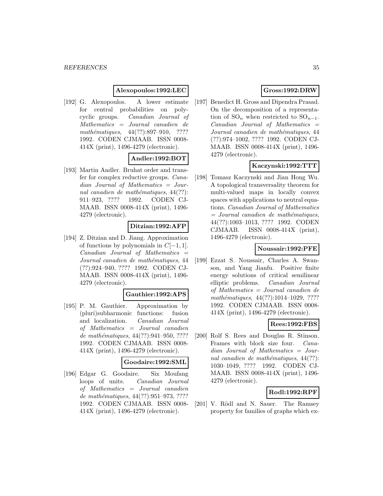#### **Alexopoulos:1992:LEC**

[192] G. Alexopoulos. A lower estimate for central probabilities on polycyclic groups. Canadian Journal of Mathematics = Journal canadien de mathématiques,  $44(??):897-910$ , ???? 1992. CODEN CJMAAB. ISSN 0008- 414X (print), 1496-4279 (electronic).

# **Andler:1992:BOT**

[193] Martin Andler. Bruhat order and transfer for complex reductive groups. Canadian Journal of Mathematics = Journal canadien de mathématiques,  $44(??)$ : 911–923, ???? 1992. CODEN CJ-MAAB. ISSN 0008-414X (print), 1496- 4279 (electronic).

# **Ditzian:1992:AFP**

[194] Z. Ditzian and D. Jiang. Approximation of functions by polynomials in  $C[-1, 1]$ .  $Canadian$  Journal of Mathematics  $=$ Journal canadien de mathématiques, 44 (??):924–940, ???? 1992. CODEN CJ-MAAB. ISSN 0008-414X (print), 1496- 4279 (electronic).

#### **Gauthier:1992:APS**

[195] P. M. Gauthier. Approximation by (pluri)subharmonic functions: fusion and localization. Canadian Journal of Mathematics = Journal canadien de mathématiques,  $44(??):941-950, ????$ 1992. CODEN CJMAAB. ISSN 0008- 414X (print), 1496-4279 (electronic).

### **Goodaire:1992:SML**

[196] Edgar G. Goodaire. Six Moufang loops of units. Canadian Journal of Mathematics = Journal canadien de mathématiques, 44(??):951–973, ???? 1992. CODEN CJMAAB. ISSN 0008- 414X (print), 1496-4279 (electronic).

# **Gross:1992:DRW**

[197] Benedict H. Gross and Dipendra Prasad. On the decomposition of a representation of  $\mathrm{SO}_n$  when restricted to  $\mathrm{SO}_{n-1}$ .  $Canadian$  Journal of Mathematics  $=$ Journal canadien de mathématiques, 44 (??):974–1002, ???? 1992. CODEN CJ-MAAB. ISSN 0008-414X (print), 1496- 4279 (electronic).

# **Kaczynski:1992:TTT**

[198] Tomasz Kaczynski and Jian Hong Wu. A topological transversality theorem for multi-valued maps in locally convex spaces with applications to neutral equations. Canadian Journal of Mathematics  $=$  Journal canadien de mathématiques, 44(??):1003–1013, ???? 1992. CODEN CJMAAB. ISSN 0008-414X (print), 1496-4279 (electronic).

# **Noussair:1992:PFE**

[199] Ezzat S. Noussair, Charles A. Swanson, and Yang Jianfu. Positive finite energy solutions of critical semilinear elliptic problems. Canadian Journal of Mathematics = Journal canadien de mathématiques, 44(??):1014-1029, ???? 1992. CODEN CJMAAB. ISSN 0008- 414X (print), 1496-4279 (electronic).

### **Rees:1992:FBS**

[200] Rolf S. Rees and Douglas R. Stinson. Frames with block size four. Canadian Journal of Mathematics = Journal canadien de mathématiques,  $44(??)$ : 1030–1049, ???? 1992. CODEN CJ-MAAB. ISSN 0008-414X (print), 1496- 4279 (electronic).

### **Rodl:1992:RPF**

[201] V. Rödl and N. Sauer. The Ramsey property for families of graphs which ex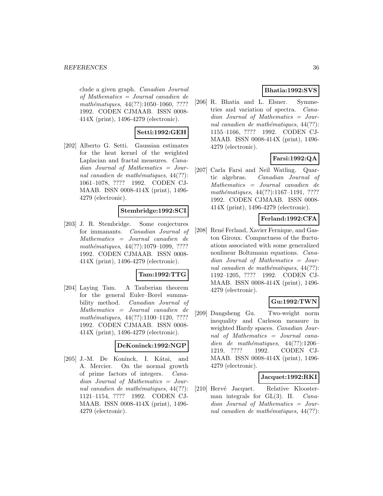clude a given graph. Canadian Journal of Mathematics = Journal canadien de mathématiques,  $44(??):1050-1060, ????$ 1992. CODEN CJMAAB. ISSN 0008- 414X (print), 1496-4279 (electronic).

#### **Setti:1992:GEH**

[202] Alberto G. Setti. Gaussian estimates for the heat kernel of the weighted Laplacian and fractal measures. Canadian Journal of Mathematics = Journal canadien de mathématiques,  $44(??)$ : 1061–1078, ???? 1992. CODEN CJ-MAAB. ISSN 0008-414X (print), 1496- 4279 (electronic).

#### **Stembridge:1992:SCI**

[203] J. R. Stembridge. Some conjectures for immanants. Canadian Journal of Mathematics = Journal canadien de mathématiques, 44(??):1079-1099, ???? 1992. CODEN CJMAAB. ISSN 0008- 414X (print), 1496-4279 (electronic).

#### **Tam:1992:TTG**

[204] Laying Tam. A Tauberian theorem for the general Euler–Borel summability method. Canadian Journal of Mathematics = Journal canadien de mathématiques,  $44(??):1100-1120, ????$ 1992. CODEN CJMAAB. ISSN 0008- 414X (print), 1496-4279 (electronic).

#### **DeKoninck:1992:NGP**

[205] J.-M. De Koninck, I. Kátai, and A. Mercier. On the normal growth of prime factors of integers. Canadian Journal of Mathematics = Journal canadien de mathématiques,  $44(??)$ : 1121–1154, ???? 1992. CODEN CJ-MAAB. ISSN 0008-414X (print), 1496- 4279 (electronic).

### **Bhatia:1992:SVS**

[206] R. Bhatia and L. Elsner. Symmetries and variation of spectra. Canadian Journal of Mathematics = Journal canadien de mathématiques,  $44(??)$ : 1155–1166, ???? 1992. CODEN CJ-MAAB. ISSN 0008-414X (print), 1496- 4279 (electronic).

# **Farsi:1992:QA**

[207] Carla Farsi and Neil Watling. Quartic algebras. Canadian Journal of Mathematics = Journal canadien de mathématiques, 44(??):1167-1191, ???? 1992. CODEN CJMAAB. ISSN 0008- 414X (print), 1496-4279 (electronic).

### **Ferland:1992:CFA**

[208] René Ferland, Xavier Fernique, and Gaston Giroux. Compactness of the fluctuations associated with some generalized nonlinear Boltzmann equations. Canadian Journal of Mathematics = Journal canadien de mathématiques,  $44(??)$ : 1192–1205, ???? 1992. CODEN CJ-MAAB. ISSN 0008-414X (print), 1496- 4279 (electronic).

# **Gu:1992:TWN**

[209] Dangsheng Gu. Two-weight norm inequality and Carleson measure in weighted Hardy spaces. Canadian Journal of Mathematics = Journal canadien de mathématiques,  $44(??):1206-$ 1219, ???? 1992. CODEN CJ-MAAB. ISSN 0008-414X (print), 1496- 4279 (electronic).

### **Jacquet:1992:RKI**

[210] Hervé Jacquet. Relative Kloosterman integrals for  $GL(3)$ . II. *Cana*dian Journal of Mathematics = Journal canadien de mathématiques,  $44(??)$ :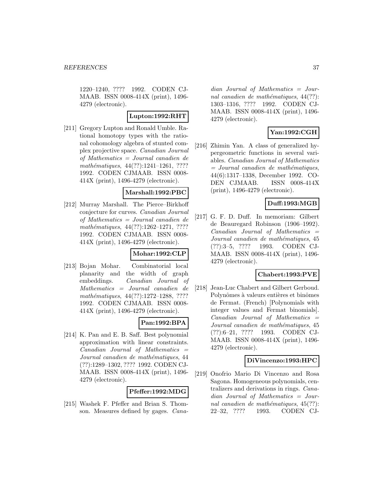1220–1240, ???? 1992. CODEN CJ-MAAB. ISSN 0008-414X (print), 1496- 4279 (electronic).

### **Lupton:1992:RHT**

[211] Gregory Lupton and Ronald Umble. Rational homotopy types with the rational cohomology algebra of stunted complex projective space. Canadian Journal of Mathematics = Journal canadien de mathématiques, 44(??):1241-1261, ???? 1992. CODEN CJMAAB. ISSN 0008- 414X (print), 1496-4279 (electronic).

#### **Marshall:1992:PBC**

[212] Murray Marshall. The Pierce–Birkhoff conjecture for curves. Canadian Journal of Mathematics = Journal canadien de mathématiques, 44(??):1262-1271, ???? 1992. CODEN CJMAAB. ISSN 0008- 414X (print), 1496-4279 (electronic).

## **Mohar:1992:CLP**

[213] Bojan Mohar. Combinatorial local planarity and the width of graph embeddings. Canadian Journal of Mathematics = Journal canadien de mathématiques, 44(??):1272-1288, ???? 1992. CODEN CJMAAB. ISSN 0008- 414X (print), 1496-4279 (electronic).

## **Pan:1992:BPA**

[214] K. Pan and E. B. Saff. Best polynomial approximation with linear constraints.  $Canadian$  Journal of Mathematics  $=$ Journal canadien de mathématiques, 44 (??):1289–1302, ???? 1992. CODEN CJ-MAAB. ISSN 0008-414X (print), 1496- 4279 (electronic).

### **Pfeffer:1992:MDG**

[215] Washek F. Pfeffer and Brian S. Thomson. Measures defined by gages. Canadian Journal of Mathematics = Journal canadien de mathématiques,  $44(??)$ : 1303–1316, ???? 1992. CODEN CJ-MAAB. ISSN 0008-414X (print), 1496- 4279 (electronic).

## **Yan:1992:CGH**

[216] Zhimin Yan. A class of generalized hypergeometric functions in several variables. Canadian Journal of Mathematics  $=$  Journal canadien de mathématiques, 44(6):1317–1338, December 1992. CO-DEN CJMAAB. ISSN 0008-414X (print), 1496-4279 (electronic).

## **Duff:1993:MGB**

[217] G. F. D. Duff. In memoriam: Gilbert de Beauregard Robinson (1906–1992).  $Canadian$  Journal of Mathematics  $=$ Journal canadien de mathématiques, 45 (??):3–5, ???? 1993. CODEN CJ-MAAB. ISSN 0008-414X (print), 1496- 4279 (electronic).

#### **Chabert:1993:PVE**

[218] Jean-Luc Chabert and Gilbert Gerboud. Polynômes à valeurs entières et binômes de Fermat. (French) [Polynomials with integer values and Fermat binomials].  $Canadian$  Journal of Mathematics  $=$ Journal canadien de mathématiques, 45 (??):6–21, ???? 1993. CODEN CJ-MAAB. ISSN 0008-414X (print), 1496- 4279 (electronic).

#### **DiVincenzo:1993:HPC**

[219] Onofrio Mario Di Vincenzo and Rosa Sagona. Homogeneous polynomials, centralizers and derivations in rings. Canadian Journal of Mathematics = Journal canadien de mathématiques,  $45(??)$ : 22–32, ???? 1993. CODEN CJ-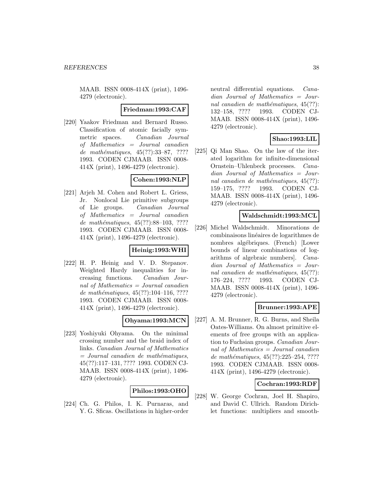MAAB. ISSN 0008-414X (print), 1496- 4279 (electronic).

#### **Friedman:1993:CAF**

[220] Yaakov Friedman and Bernard Russo. Classification of atomic facially symmetric spaces. Canadian Journal of Mathematics = Journal canadien de mathématiques,  $45(??):33–87, ????$ 1993. CODEN CJMAAB. ISSN 0008- 414X (print), 1496-4279 (electronic).

### **Cohen:1993:NLP**

[221] Arjeh M. Cohen and Robert L. Griess, Jr. Nonlocal Lie primitive subgroups of Lie groups. Canadian Journal of Mathematics = Journal canadien de mathématiques,  $45(??):88-103, ????$ 1993. CODEN CJMAAB. ISSN 0008- 414X (print), 1496-4279 (electronic).

## **Heinig:1993:WHI**

[222] H. P. Heinig and V. D. Stepanov. Weighted Hardy inequalities for increasing functions. Canadian Journal of Mathematics = Journal canadien de mathématiques,  $45(??):104-116, ????$ 1993. CODEN CJMAAB. ISSN 0008- 414X (print), 1496-4279 (electronic).

## **Ohyama:1993:MCN**

[223] Yoshiyuki Ohyama. On the minimal crossing number and the braid index of links. Canadian Journal of Mathematics  $=$  Journal canadien de mathématiques, 45(??):117–131, ???? 1993. CODEN CJ-MAAB. ISSN 0008-414X (print), 1496- 4279 (electronic).

#### **Philos:1993:OHO**

[224] Ch. G. Philos, I. K. Purnaras, and Y. G. Sficas. Oscillations in higher-order

neutral differential equations. Canadian Journal of Mathematics = Journal canadien de mathématiques,  $45(??)$ : 132–158, ???? 1993. CODEN CJ-MAAB. ISSN 0008-414X (print), 1496- 4279 (electronic).

### **Shao:1993:LIL**

[225] Qi Man Shao. On the law of the iterated logarithm for infinite-dimensional Ornstein–Uhlenbeck processes. Canadian Journal of Mathematics = Journal canadien de mathématiques,  $45(??)$ : 159–175, ???? 1993. CODEN CJ-MAAB. ISSN 0008-414X (print), 1496- 4279 (electronic).

### **Waldschmidt:1993:MCL**

[226] Michel Waldschmidt. Minorations de combinaisons lin´eaires de logarithmes de nombres algébriques. (French) [Lower bounds of linear combinations of logarithms of algebraic numbers]. Canadian Journal of Mathematics = Journal canadien de mathématiques,  $45(??)$ : 176–224, ???? 1993. CODEN CJ-MAAB. ISSN 0008-414X (print), 1496- 4279 (electronic).

## **Brunner:1993:APE**

[227] A. M. Brunner, R. G. Burns, and Sheila Oates-Williams. On almost primitive elements of free groups with an application to Fuchsian groups. Canadian Journal of Mathematics = Journal canadien de mathématiques,  $45(??):225-254, ????$ 1993. CODEN CJMAAB. ISSN 0008- 414X (print), 1496-4279 (electronic).

#### **Cochran:1993:RDF**

[228] W. George Cochran, Joel H. Shapiro, and David C. Ullrich. Random Dirichlet functions: multipliers and smooth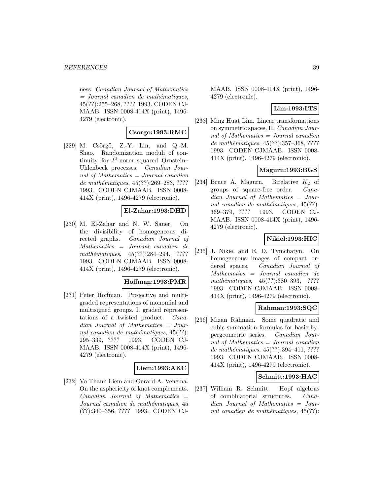ness. Canadian Journal of Mathematics  $=$  Journal canadien de mathématiques, 45(??):255–268, ???? 1993. CODEN CJ-MAAB. ISSN 0008-414X (print), 1496- 4279 (electronic).

### **Csorgo:1993:RMC**

 $[229]$  M. Csörgö, Z.-Y. Lin, and Q.-M. Shao. Randomization moduli of continuity for  $l^2$ -norm squared Ornstein-Uhlenbeck processes. Canadian Journal of Mathematics  $=$  Journal canadien de mathématiques,  $45(??):269-283, ????$ 1993. CODEN CJMAAB. ISSN 0008- 414X (print), 1496-4279 (electronic).

## **El-Zahar:1993:DHD**

[230] M. El-Zahar and N. W. Sauer. On the divisibility of homogeneous directed graphs. Canadian Journal of Mathematics = Journal canadien de mathématiques,  $45(??):284-294$ , ???? 1993. CODEN CJMAAB. ISSN 0008- 414X (print), 1496-4279 (electronic).

### **Hoffman:1993:PMR**

[231] Peter Hoffman. Projective and multigraded representations of monomial and multisigned groups. I. graded representations of a twisted product. Canadian Journal of Mathematics = Journal canadien de mathématiques,  $45(??)$ : 295–339, ???? 1993. CODEN CJ-MAAB. ISSN 0008-414X (print), 1496- 4279 (electronic).

### **Liem:1993:AKC**

[232] Vo Thanh Liem and Gerard A. Venema. On the asphericity of knot complements. Canadian Journal of Mathematics = Journal canadien de mathématiques, 45 (??):340–356, ???? 1993. CODEN CJ-

MAAB. ISSN 0008-414X (print), 1496- 4279 (electronic).

### **Lim:1993:LTS**

[233] Ming Huat Lim. Linear transformations on symmetric spaces. II. Canadian Journal of Mathematics  $=$  Journal canadien de mathématiques, 45(??):357–368, ???? 1993. CODEN CJMAAB. ISSN 0008- 414X (print), 1496-4279 (electronic).

## **Magurn:1993:BGS**

[234] Bruce A. Magurn. Birelative  $K_2$  of groups of square-free order. Canadian Journal of Mathematics = Journal canadien de mathématiques,  $45(??)$ : 369–379, ???? 1993. CODEN CJ-MAAB. ISSN 0008-414X (print), 1496- 4279 (electronic).

## **Nikiel:1993:HIC**

[235] J. Nikiel and E. D. Tymchatyn. On homogeneous images of compact ordered spaces. Canadian Journal of Mathematics = Journal canadien de mathématiques, 45(??):380–393, ???? 1993. CODEN CJMAAB. ISSN 0008- 414X (print), 1496-4279 (electronic).

# **Rahman:1993:SQC**

[236] Mizan Rahman. Some quadratic and cubic summation formulas for basic hypergeometric series. Canadian Journal of Mathematics = Journal canadien de mathématiques,  $45(??):394-411, ????$ 1993. CODEN CJMAAB. ISSN 0008- 414X (print), 1496-4279 (electronic).

#### **Schmitt:1993:HAC**

[237] William R. Schmitt. Hopf algebras of combinatorial structures. Canadian Journal of Mathematics = Journal canadien de mathématiques,  $45(??)$ :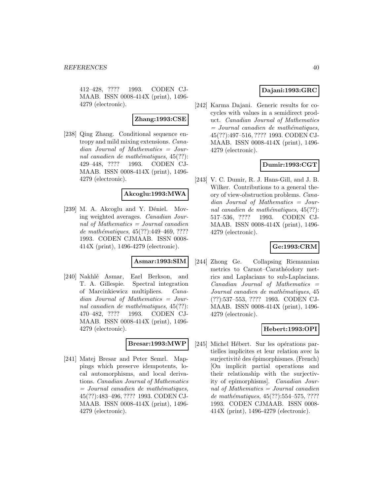412–428, ???? 1993. CODEN CJ-MAAB. ISSN 0008-414X (print), 1496- 4279 (electronic).

**Zhang:1993:CSE**

[238] Qing Zhang. Conditional sequence entropy and mild mixing extensions. Canadian Journal of Mathematics = Journal canadien de mathématiques,  $45(??)$ : 429–448, ???? 1993. CODEN CJ-MAAB. ISSN 0008-414X (print), 1496- 4279 (electronic).

### **Akcoglu:1993:MWA**

 $[239]$  M. A. Akcoglu and Y. Déniel. Moving weighted averages. Canadian Journal of Mathematics = Journal canadien de mathématiques, 45(??):449-469, ???? 1993. CODEN CJMAAB. ISSN 0008- 414X (print), 1496-4279 (electronic).

## **Asmar:1993:SIM**

[240] Nakhlé Asmar, Earl Berkson, and T. A. Gillespie. Spectral integration of Marcinkiewicz multipliers. Canadian Journal of Mathematics = Journal canadien de mathématiques,  $45(??)$ : 470–482, ???? 1993. CODEN CJ-MAAB. ISSN 0008-414X (print), 1496- 4279 (electronic).

#### **Bresar:1993:MWP**

[241] Matej Bresar and Peter Semrl. Mappings which preserve idempotents, local automorphisms, and local derivations. Canadian Journal of Mathematics  $=$  Journal canadien de mathématiques, 45(??):483–496, ???? 1993. CODEN CJ-MAAB. ISSN 0008-414X (print), 1496- 4279 (electronic).

# **Dajani:1993:GRC**

[242] Karma Dajani. Generic results for cocycles with values in a semidirect product. Canadian Journal of Mathematics  $=$  Journal canadien de mathématiques, 45(??):497–516, ???? 1993. CODEN CJ-MAAB. ISSN 0008-414X (print), 1496- 4279 (electronic).

## **Dumir:1993:CGT**

[243] V. C. Dumir, R. J. Hans-Gill, and J. B. Wilker. Contributions to a general theory of view-obstruction problems. Canadian Journal of Mathematics = Journal canadien de mathématiques,  $45(??)$ : 517–536, ???? 1993. CODEN CJ-MAAB. ISSN 0008-414X (print), 1496- 4279 (electronic).

## **Ge:1993:CRM**

[244] Zhong Ge. Collapsing Riemannian metrics to Carnot–Carathéodory metrics and Laplacians to sub-Laplacians.  $Canadian$  Journal of Mathematics  $=$ Journal canadien de mathématiques, 45 (??):537–553, ???? 1993. CODEN CJ-MAAB. ISSN 0008-414X (print), 1496- 4279 (electronic).

## **Hebert:1993:OPI**

[245] Michel Hébert. Sur les opérations partielles implicites et leur relation avec la surjectivité des épimorphismes. (French) [On implicit partial operations and their relationship with the surjectivity of epimorphisms]. Canadian Journal of Mathematics = Journal canadien de mathématiques,  $45(??):554–575, ????$ 1993. CODEN CJMAAB. ISSN 0008- 414X (print), 1496-4279 (electronic).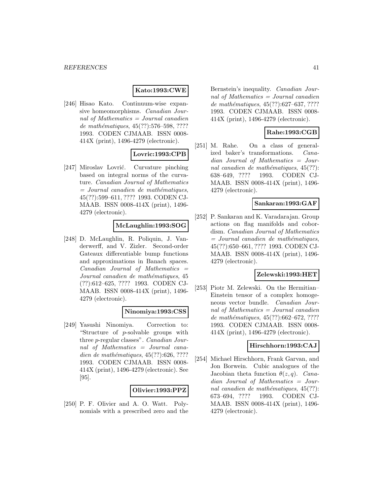### **Kato:1993:CWE**

[246] Hisao Kato. Continuum-wise expansive homeomorphisms. Canadian Journal of Mathematics = Journal canadien de mathématiques,  $45(??):576-598, ????$ 1993. CODEN CJMAAB. ISSN 0008- 414X (print), 1496-4279 (electronic).

#### **Lovric:1993:CPB**

[247] Miroslav Lovrić. Curvature pinching based on integral norms of the curvature. Canadian Journal of Mathematics  $=$  Journal canadien de mathématiques, 45(??):599–611, ???? 1993. CODEN CJ-MAAB. ISSN 0008-414X (print), 1496- 4279 (electronic).

### **McLaughlin:1993:SOG**

[248] D. McLaughlin, R. Poliquin, J. Vanderwerff, and V. Zizler. Second-order Gateaux differentiable bump functions and approximations in Banach spaces.  $Canadian$  Journal of Mathematics  $=$ Journal canadien de mathématiques, 45 (??):612–625, ???? 1993. CODEN CJ-MAAB. ISSN 0008-414X (print), 1496- 4279 (electronic).

#### **Ninomiya:1993:CSS**

[249] Yasushi Ninomiya. Correction to: "Structure of p-solvable groups with three p-regular classes". Canadian Journal of Mathematics = Journal canadien de mathématiques,  $45(??):626, ????$ 1993. CODEN CJMAAB. ISSN 0008- 414X (print), 1496-4279 (electronic). See [95].

#### **Olivier:1993:PPZ**

[250] P. F. Olivier and A. O. Watt. Polynomials with a prescribed zero and the

Bernstein's inequality. Canadian Journal of Mathematics = Journal canadien de mathématiques,  $45(??):627-637, ????$ 1993. CODEN CJMAAB. ISSN 0008- 414X (print), 1496-4279 (electronic).

## **Rahe:1993:CGB**

[251] M. Rahe. On a class of generalized baker's transformations. Canadian Journal of Mathematics = Journal canadien de mathématiques,  $45(??)$ : 638–649, ???? 1993. CODEN CJ-MAAB. ISSN 0008-414X (print), 1496- 4279 (electronic).

### **Sankaran:1993:GAF**

[252] P. Sankaran and K. Varadarajan. Group actions on flag manifolds and cobordism. Canadian Journal of Mathematics  $=$  Journal canadien de mathématiques, 45(??):650–661, ???? 1993. CODEN CJ-MAAB. ISSN 0008-414X (print), 1496- 4279 (electronic).

### **Zelewski:1993:HET**

[253] Piotr M. Zelewski. On the Hermitian– Einstein tensor of a complex homogeneous vector bundle. Canadian Journal of Mathematics = Journal canadien de mathématiques,  $45(??):662-672, ????$ 1993. CODEN CJMAAB. ISSN 0008- 414X (print), 1496-4279 (electronic).

#### **Hirschhorn:1993:CAJ**

[254] Michael Hirschhorn, Frank Garvan, and Jon Borwein. Cubic analogues of the Jacobian theta function  $\theta(z,q)$ . Canadian Journal of Mathematics = Journal canadien de mathématiques,  $45(??)$ : 673–694, ???? 1993. CODEN CJ-MAAB. ISSN 0008-414X (print), 1496- 4279 (electronic).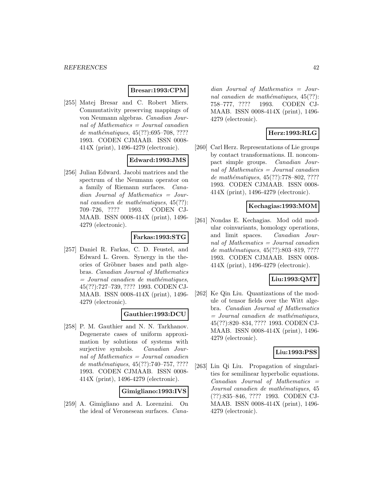## **Bresar:1993:CPM**

[255] Matej Bresar and C. Robert Miers. Commutativity preserving mappings of von Neumann algebras. Canadian Journal of Mathematics = Journal canadien de mathématiques,  $45(??):695–708, ????$ 1993. CODEN CJMAAB. ISSN 0008- 414X (print), 1496-4279 (electronic).

### **Edward:1993:JMS**

[256] Julian Edward. Jacobi matrices and the spectrum of the Neumann operator on a family of Riemann surfaces. Canadian Journal of Mathematics = Journal canadien de mathématiques,  $45(??)$ : 709–726, ???? 1993. CODEN CJ-MAAB. ISSN 0008-414X (print), 1496- 4279 (electronic).

## **Farkas:1993:STG**

[257] Daniel R. Farkas, C. D. Feustel, and Edward L. Green. Synergy in the theories of Gröbner bases and path algebras. Canadian Journal of Mathematics  $=$  Journal canadien de mathématiques, 45(??):727–739, ???? 1993. CODEN CJ-MAAB. ISSN 0008-414X (print), 1496- 4279 (electronic).

#### **Gauthier:1993:DCU**

[258] P. M. Gauthier and N. N. Tarkhanov. Degenerate cases of uniform approximation by solutions of systems with surjective symbols. Canadian Journal of Mathematics = Journal canadien de mathématiques,  $45(??):740-757, ????$ 1993. CODEN CJMAAB. ISSN 0008- 414X (print), 1496-4279 (electronic).

**Gimigliano:1993:IVS**

[259] A. Gimigliano and A. Lorenzini. On the ideal of Veronesean surfaces. Cana-

dian Journal of Mathematics = Journal canadien de mathématiques,  $45(??)$ : 758–777, ???? 1993. CODEN CJ-MAAB. ISSN 0008-414X (print), 1496- 4279 (electronic).

## **Herz:1993:RLG**

[260] Carl Herz. Representations of Lie groups by contact transformations. II. noncompact simple groups. Canadian Journal of Mathematics = Journal canadien de mathématiques,  $45(??):778-802, ????$ 1993. CODEN CJMAAB. ISSN 0008- 414X (print), 1496-4279 (electronic).

### **Kechagias:1993:MOM**

[261] Nondas E. Kechagias. Mod odd modular coinvariants, homology operations, and limit spaces. Canadian Journal of Mathematics = Journal canadien de mathématiques, 45(??):803-819, ???? 1993. CODEN CJMAAB. ISSN 0008- 414X (print), 1496-4279 (electronic).

## **Liu:1993:QMT**

[262] Ke Qin Liu. Quantizations of the module of tensor fields over the Witt algebra. Canadian Journal of Mathematics  $=$  Journal canadien de mathématiques, 45(??):820–834, ???? 1993. CODEN CJ-MAAB. ISSN 0008-414X (print), 1496- 4279 (electronic).

#### **Liu:1993:PSS**

[263] Lin Qi Liu. Propagation of singularities for semilinear hyperbolic equations.  $Canadian$  Journal of Mathematics  $=$ Journal canadien de mathématiques, 45 (??):835–846, ???? 1993. CODEN CJ-MAAB. ISSN 0008-414X (print), 1496- 4279 (electronic).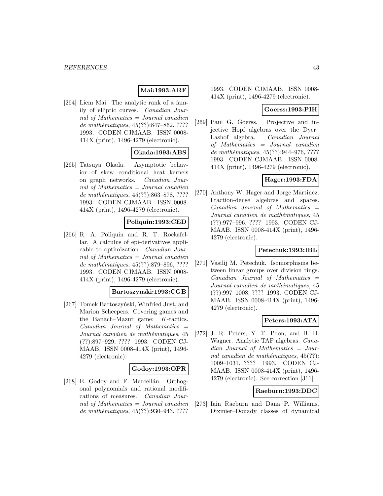# **Mai:1993:ARF**

[264] Liem Mai. The analytic rank of a family of elliptic curves. Canadian Journal of Mathematics = Journal canadien de mathématiques,  $45(??):847-862, ????$ 1993. CODEN CJMAAB. ISSN 0008- 414X (print), 1496-4279 (electronic).

## **Okada:1993:ABS**

[265] Tatsuya Okada. Asymptotic behavior of skew conditional heat kernels on graph networks. Canadian Journal of Mathematics = Journal canadien de mathématiques,  $45(??)$ :863–878, ???? 1993. CODEN CJMAAB. ISSN 0008- 414X (print), 1496-4279 (electronic).

### **Poliquin:1993:CED**

[266] R. A. Poliquin and R. T. Rockafellar. A calculus of epi-derivatives applicable to optimization. Canadian Journal of Mathematics  $=$  Journal canadien de mathématiques, 45(??):879–896, ???? 1993. CODEN CJMAAB. ISSN 0008- 414X (print), 1496-4279 (electronic).

#### **Bartoszynski:1993:CGB**

[267] Tomek Bartoszyński, Winfried Just, and Marion Scheepers. Covering games and the Banach–Mazur game: K-tactics.  $Canadian$  Journal of Mathematics  $=$ Journal canadien de mathématiques, 45 (??):897–929, ???? 1993. CODEN CJ-MAAB. ISSN 0008-414X (print), 1496- 4279 (electronic).

#### **Godoy:1993:OPR**

[268] E. Godoy and F. Marcellán. Orthogonal polynomials and rational modifications of measures. Canadian Journal of Mathematics  $=$  Journal canadien de mathématiques,  $45(??):930-943, ????$ 

1993. CODEN CJMAAB. ISSN 0008- 414X (print), 1496-4279 (electronic).

### **Goerss:1993:PIH**

[269] Paul G. Goerss. Projective and injective Hopf algebras over the Dyer– Lashof algebra. Canadian Journal of Mathematics = Journal canadien de mathématiques, 45(??):944–976, ???? 1993. CODEN CJMAAB. ISSN 0008- 414X (print), 1496-4279 (electronic).

### **Hager:1993:FDA**

[270] Anthony W. Hager and Jorge Martinez. Fraction-dense algebras and spaces.  $Canadian$  Journal of Mathematics  $=$ Journal canadien de mathématiques, 45 (??):977–996, ???? 1993. CODEN CJ-MAAB. ISSN 0008-414X (print), 1496- 4279 (electronic).

### **Petechuk:1993:IBL**

[271] Vasilij M. Petechuk. Isomorphisms between linear groups over division rings.  $Canadian$  Journal of Mathematics  $=$ Journal canadien de mathématiques, 45 (??):997–1008, ???? 1993. CODEN CJ-MAAB. ISSN 0008-414X (print), 1496- 4279 (electronic).

## **Peters:1993:ATA**

[272] J. R. Peters, Y. T. Poon, and B. H. Wagner. Analytic TAF algebras. Canadian Journal of Mathematics = Journal canadien de mathématiques,  $45(??)$ : 1009–1031, ???? 1993. CODEN CJ-MAAB. ISSN 0008-414X (print), 1496- 4279 (electronic). See correction [311].

#### **Raeburn:1993:DDC**

[273] Iain Raeburn and Dana P. Williams. Dixmier–Douady classes of dynamical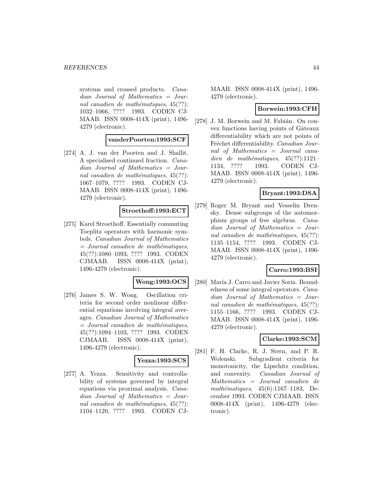systems and crossed products. Canadian Journal of Mathematics = Journal canadien de mathématiques,  $45(??)$ : 1032–1066, ???? 1993. CODEN CJ-MAAB. ISSN 0008-414X (print), 1496- 4279 (electronic).

#### **vanderPoorten:1993:SCF**

[274] A. J. van der Poorten and J. Shallit. A specialised continued fraction. Canadian Journal of Mathematics = Journal canadien de mathématiques,  $45(??)$ : 1067–1079, ???? 1993. CODEN CJ-MAAB. ISSN 0008-414X (print), 1496- 4279 (electronic).

### **Stroethoff:1993:ECT**

[275] Karel Stroethoff. Essentially commuting Toeplitz operators with harmonic symbols. Canadian Journal of Mathematics  $=$  Journal canadien de mathématiques, 45(??):1080–1093, ???? 1993. CODEN CJMAAB. ISSN 0008-414X (print), 1496-4279 (electronic).

#### **Wong:1993:OCS**

[276] James S. W. Wong. Oscillation criteria for second order nonlinear differential equations involving integral averages. Canadian Journal of Mathematics  $=$  Journal canadien de mathématiques, 45(??):1094–1103, ???? 1993. CODEN CJMAAB. ISSN 0008-414X (print), 1496-4279 (electronic).

#### **Yezza:1993:SCS**

[277] A. Yezza. Sensitivity and controllability of systems governed by integral equations via proximal analysis. Canadian Journal of Mathematics = Journal canadien de mathématiques,  $45(??)$ : 1104–1120, ???? 1993. CODEN CJ-

MAAB. ISSN 0008-414X (print), 1496- 4279 (electronic).

#### **Borwein:1993:CFH**

[278] J. M. Borwein and M. Fabián. On convex functions having points of Gâteaux differentiability which are not points of Fréchet differentiability. Canadian Journal of Mathematics = Journal canadien de mathématiques,  $45(??):1121-$ 1134, ???? 1993. CODEN CJ-MAAB. ISSN 0008-414X (print), 1496- 4279 (electronic).

# **Bryant:1993:DSA**

[279] Roger M. Bryant and Vesselin Drensky. Dense subgroups of the automorphism groups of free algebras. Canadian Journal of Mathematics = Journal canadien de mathématiques,  $45(??)$ : 1135–1154, ???? 1993. CODEN CJ-MAAB. ISSN 0008-414X (print), 1496- 4279 (electronic).

#### **Carro:1993:BSI**

[280] María J. Carro and Javier Soria. Boundedness of some integral operators. Canadian Journal of Mathematics = Journal canadien de mathématiques,  $45(??)$ : 1155–1166, ???? 1993. CODEN CJ-MAAB. ISSN 0008-414X (print), 1496- 4279 (electronic).

## **Clarke:1993:SCM**

[281] F. H. Clarke, R. J. Stern, and P. R. Wolenski. Subgradient criteria for monotonicity, the Lipschitz condition, and convexity. Canadian Journal of Mathematics = Journal canadien de mathématiques,  $45(6):1167-1183$ , December 1993. CODEN CJMAAB. ISSN 0008-414X (print), 1496-4279 (electronic).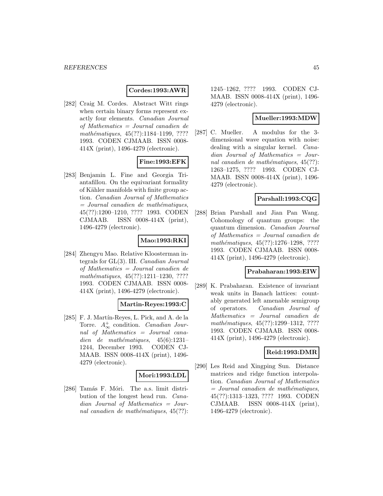### **Cordes:1993:AWR**

[282] Craig M. Cordes. Abstract Witt rings when certain binary forms represent exactly four elements. Canadian Journal of Mathematics = Journal canadien de mathématiques,  $45(??):1184-1199, ????$ 1993. CODEN CJMAAB. ISSN 0008- 414X (print), 1496-4279 (electronic).

### **Fine:1993:EFK**

[283] Benjamin L. Fine and Georgia Triantafillou. On the equivariant formality of Kähler manifolds with finite group action. Canadian Journal of Mathematics  $=$  Journal canadien de mathématiques, 45(??):1200–1210, ???? 1993. CODEN CJMAAB. ISSN 0008-414X (print), 1496-4279 (electronic).

### **Mao:1993:RKI**

[284] Zhengyu Mao. Relative Kloosterman integrals for GL(3). III. Canadian Journal of Mathematics = Journal canadien de mathématiques,  $45(??):1211-1230, ????$ 1993. CODEN CJMAAB. ISSN 0008- 414X (print), 1496-4279 (electronic).

#### **Martin-Reyes:1993:C**

[285] F. J. Martín-Reyes, L. Pick, and A. de la Torre.  $A^+_{\infty}$  condition. Canadian Journal of Mathematics = Journal canadien de mathématiques,  $45(6):1231-$ 1244, December 1993. CODEN CJ-MAAB. ISSN 0008-414X (print), 1496- 4279 (electronic).

## **Mori:1993:LDL**

[286] Tamás F. Móri. The a.s. limit distribution of the longest head run. Canadian Journal of Mathematics = Journal canadien de mathématiques,  $45(??)$ :

1245–1262, ???? 1993. CODEN CJ-MAAB. ISSN 0008-414X (print), 1496- 4279 (electronic).

#### **Mueller:1993:MDW**

[287] C. Mueller. A modulus for the 3 dimensional wave equation with noise: dealing with a singular kernel. Canadian Journal of Mathematics = Journal canadien de mathématiques,  $45(??)$ : 1263–1275, ???? 1993. CODEN CJ-MAAB. ISSN 0008-414X (print), 1496- 4279 (electronic).

### **Parshall:1993:CQG**

[288] Brian Parshall and Jian Pan Wang. Cohomology of quantum groups: the quantum dimension. Canadian Journal of Mathematics = Journal canadien de mathématiques,  $45(??):1276-1298$ , ???? 1993. CODEN CJMAAB. ISSN 0008- 414X (print), 1496-4279 (electronic).

### **Prabaharan:1993:EIW**

[289] K. Prabaharan. Existence of invariant weak units in Banach lattices: countably generated left amenable semigroup of operators. Canadian Journal of Mathematics = Journal canadien de mathématiques, 45(??):1299-1312, ???? 1993. CODEN CJMAAB. ISSN 0008- 414X (print), 1496-4279 (electronic).

#### **Reid:1993:DMR**

[290] Les Reid and Xingping Sun. Distance matrices and ridge function interpolation. Canadian Journal of Mathematics  $=$  Journal canadien de mathématiques, 45(??):1313–1323, ???? 1993. CODEN CJMAAB. ISSN 0008-414X (print), 1496-4279 (electronic).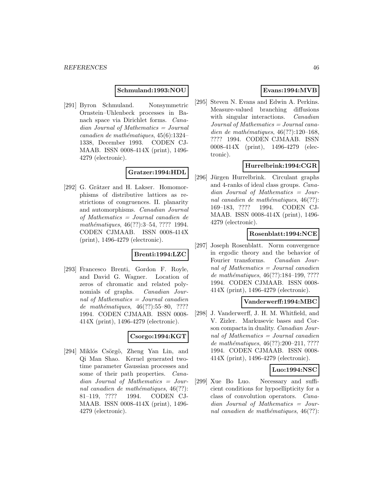#### **Schmuland:1993:NOU**

[291] Byron Schmuland. Nonsymmetric Ornstein–Uhlenbeck processes in Banach space via Dirichlet forms. Canadian Journal of Mathematics = Journal  $cana dien de mathématiques, 45(6):1324-$ 1338, December 1993. CODEN CJ-MAAB. ISSN 0008-414X (print), 1496- 4279 (electronic).

## **Gratzer:1994:HDL**

[292] G. Grätzer and H. Lakser. Homomorphisms of distributive lattices as restrictions of congruences. II. planarity and automorphisms. Canadian Journal of Mathematics = Journal canadien de mathématiques, 46(??):3–54, ???? 1994. CODEN CJMAAB. ISSN 0008-414X (print), 1496-4279 (electronic).

#### **Brenti:1994:LZC**

[293] Francesco Brenti, Gordon F. Royle, and David G. Wagner. Location of zeros of chromatic and related polynomials of graphs. Canadian Journal of Mathematics = Journal canadien de mathématiques,  $46(??):55–80, ????$ 1994. CODEN CJMAAB. ISSN 0008- 414X (print), 1496-4279 (electronic).

## **Csorgo:1994:KGT**

[294] Miklós Csörgö, Zheng Yan Lin, and Qi Man Shao. Kernel generated twotime parameter Gaussian processes and some of their path properties. *Cana*dian Journal of Mathematics = Journal canadien de mathématiques,  $46(??)$ : 81–119, ???? 1994. CODEN CJ-MAAB. ISSN 0008-414X (print), 1496- 4279 (electronic).

## **Evans:1994:MVB**

[295] Steven N. Evans and Edwin A. Perkins. Measure-valued branching diffusions with singular interactions. *Canadian* Journal of Mathematics = Journal canadien de mathématiques,  $46(??):120-168$ , ???? 1994. CODEN CJMAAB. ISSN 0008-414X (print), 1496-4279 (electronic).

## **Hurrelbrink:1994:CGR**

[296] Jürgen Hurrelbrink. Circulant graphs and 4-ranks of ideal class groups. Canadian Journal of Mathematics = Journal canadien de mathématiques,  $46(??)$ : 169–183, ???? 1994. CODEN CJ-MAAB. ISSN 0008-414X (print), 1496- 4279 (electronic).

#### **Rosenblatt:1994:NCE**

[297] Joseph Rosenblatt. Norm convergence in ergodic theory and the behavior of Fourier transforms. Canadian Journal of Mathematics  $=$  Journal canadien de mathématiques, 46(??):184-199, ???? 1994. CODEN CJMAAB. ISSN 0008- 414X (print), 1496-4279 (electronic).

### **Vanderwerff:1994:MBC**

[298] J. Vanderwerff, J. H. M. Whitfield, and V. Zizler. Markusevic bases and Corson compacta in duality. Canadian Journal of Mathematics = Journal canadien de mathématiques, 46(??):200-211, ???? 1994. CODEN CJMAAB. ISSN 0008- 414X (print), 1496-4279 (electronic).

## **Luo:1994:NSC**

[299] Xue Bo Luo. Necessary and sufficient conditions for hypoellipticity for a class of convolution operators. Canadian Journal of Mathematics = Journal canadien de mathématiques,  $46(??)$ :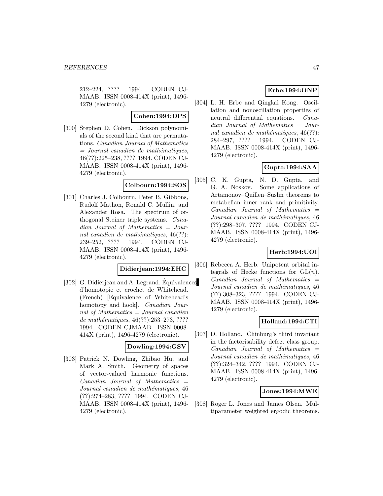212–224, ???? 1994. CODEN CJ-MAAB. ISSN 0008-414X (print), 1496- 4279 (electronic).

### **Cohen:1994:DPS**

[300] Stephen D. Cohen. Dickson polynomials of the second kind that are permutations. Canadian Journal of Mathematics  $=$  Journal canadien de mathématiques, 46(??):225–238, ???? 1994. CODEN CJ-MAAB. ISSN 0008-414X (print), 1496- 4279 (electronic).

#### **Colbourn:1994:SOS**

[301] Charles J. Colbourn, Peter B. Gibbons, Rudolf Mathon, Ronald C. Mullin, and Alexander Rosa. The spectrum of orthogonal Steiner triple systems. Canadian Journal of Mathematics = Journal canadien de mathématiques,  $46(??)$ : 239–252, ???? 1994. CODEN CJ-MAAB. ISSN 0008-414X (print), 1496- 4279 (electronic).

## **Didierjean:1994:EHC**

[302] G. Didierjean and A. Legrand. Equivalences d'homotopie et crochet de Whitehead. (French) [Equivalence of Whitehead's homotopy and hook]. Canadian Journal of Mathematics  $=$  Journal canadien de mathématiques, 46(??):253-273, ???? 1994. CODEN CJMAAB. ISSN 0008- 414X (print), 1496-4279 (electronic).

#### **Dowling:1994:GSV**

[303] Patrick N. Dowling, Zhibao Hu, and Mark A. Smith. Geometry of spaces of vector-valued harmonic functions.  $Canadian$  Journal of Mathematics  $=$ Journal canadien de mathématiques, 46 (??):274–283, ???? 1994. CODEN CJ-MAAB. ISSN 0008-414X (print), 1496- 4279 (electronic).

## **Erbe:1994:ONP**

[304] L. H. Erbe and Qingkai Kong. Oscillation and nonoscillation properties of neutral differential equations. Canadian Journal of Mathematics = Journal canadien de mathématiques,  $46(??)$ : 284–297, ???? 1994. CODEN CJ-MAAB. ISSN 0008-414X (print), 1496- 4279 (electronic).

# **Gupta:1994:SAA**

[305] C. K. Gupta, N. D. Gupta, and G. A. Noskov. Some applications of Artamonov–Quillen–Suslin theorems to metabelian inner rank and primitivity.  $Canadian$  Journal of Mathematics  $=$ Journal canadien de mathématiques, 46 (??):298–307, ???? 1994. CODEN CJ-MAAB. ISSN 0008-414X (print), 1496- 4279 (electronic).

# **Herb:1994:UOI**

[306] Rebecca A. Herb. Unipotent orbital integrals of Hecke functions for  $GL(n)$ .  $Canadian$  Journal of Mathematics  $=$ Journal canadien de mathématiques, 46 (??):308–323, ???? 1994. CODEN CJ-MAAB. ISSN 0008-414X (print), 1496- 4279 (electronic).

## **Holland:1994:CTI**

[307] D. Holland. Chinburg's third invariant in the factorisability defect class group.  $Canadian$  Journal of Mathematics  $=$ Journal canadien de mathématiques, 46 (??):324–342, ???? 1994. CODEN CJ-MAAB. ISSN 0008-414X (print), 1496- 4279 (electronic).

## **Jones:1994:MWE**

[308] Roger L. Jones and James Olsen. Multiparameter weighted ergodic theorems.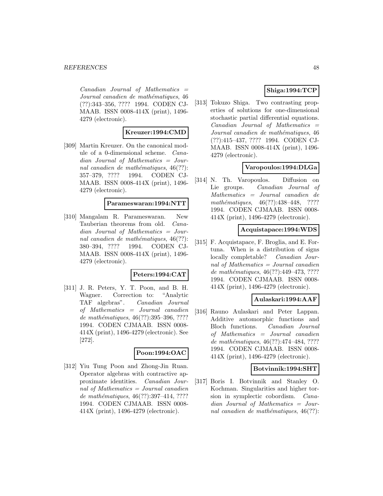$Canadian$  Journal of Mathematics  $=$ Journal canadien de mathématiques, 46 (??):343–356, ???? 1994. CODEN CJ-MAAB. ISSN 0008-414X (print), 1496- 4279 (electronic).

### **Kreuzer:1994:CMD**

[309] Martin Kreuzer. On the canonical module of a 0-dimensional scheme. Canadian Journal of Mathematics = Journal canadien de mathématiques,  $46(??)$ : 357–379, ???? 1994. CODEN CJ-MAAB. ISSN 0008-414X (print), 1496- 4279 (electronic).

#### **Parameswaran:1994:NTT**

[310] Mangalam R. Parameswaran. New Tauberian theorems from old. Canadian Journal of Mathematics = Journal canadien de mathématiques,  $46(??)$ : 380–394, ???? 1994. CODEN CJ-MAAB. ISSN 0008-414X (print), 1496- 4279 (electronic).

#### **Peters:1994:CAT**

[311] J. R. Peters, Y. T. Poon, and B. H. Wagner. Correction to: "Analytic TAF algebras". Canadian Journal of Mathematics = Journal canadien de mathématiques,  $46(??):395-396, ????$ 1994. CODEN CJMAAB. ISSN 0008- 414X (print), 1496-4279 (electronic). See [272].

#### **Poon:1994:OAC**

[312] Yiu Tung Poon and Zhong-Jin Ruan. Operator algebras with contractive approximate identities. Canadian Journal of Mathematics = Journal canadien de mathématiques,  $46(??):397-414, ????$ 1994. CODEN CJMAAB. ISSN 0008- 414X (print), 1496-4279 (electronic).

## **Shiga:1994:TCP**

[313] Tokuzo Shiga. Two contrasting properties of solutions for one-dimensional stochastic partial differential equations.  $Canadian$  Journal of Mathematics  $=$ Journal canadien de mathématiques, 46 (??):415–437, ???? 1994. CODEN CJ-MAAB. ISSN 0008-414X (print), 1496- 4279 (electronic).

## **Varopoulos:1994:DLGa**

[314] N. Th. Varopoulos. Diffusion on Lie groups. Canadian Journal of Mathematics = Journal canadien de mathématiques,  $46(??):438-448$ , ???? 1994. CODEN CJMAAB. ISSN 0008- 414X (print), 1496-4279 (electronic).

#### **Acquistapace:1994:WDS**

[315] F. Acquistapace, F. Broglia, and E. Fortuna. When is a distribution of signs locally completable? Canadian Journal of Mathematics = Journal canadien de mathématiques, 46(??):449–473, ???? 1994. CODEN CJMAAB. ISSN 0008- 414X (print), 1496-4279 (electronic).

### **Aulaskari:1994:AAF**

[316] Rauno Aulaskari and Peter Lappan. Additive automorphic functions and Bloch functions. Canadian Journal of Mathematics = Journal canadien de mathématiques,  $46(??):474-484, ????$ 1994. CODEN CJMAAB. ISSN 0008- 414X (print), 1496-4279 (electronic).

#### **Botvinnik:1994:SHT**

[317] Boris I. Botvinnik and Stanley O. Kochman. Singularities and higher torsion in symplectic cobordism. Canadian Journal of Mathematics = Journal canadien de mathématiques,  $46(??)$ :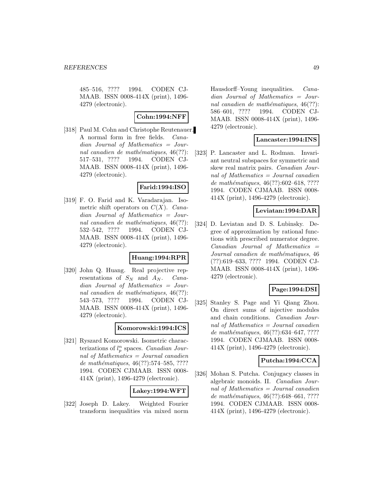485–516, ???? 1994. CODEN CJ-MAAB. ISSN 0008-414X (print), 1496- 4279 (electronic).

### **Cohn:1994:NFF**

[318] Paul M. Cohn and Christophe Reutenauer. A normal form in free fields. Canadian Journal of Mathematics = Journal canadien de mathématiques,  $46(??)$ : 517–531, ???? 1994. CODEN CJ-MAAB. ISSN 0008-414X (print), 1496- 4279 (electronic).

#### **Farid:1994:ISO**

[319] F. O. Farid and K. Varadarajan. Isometric shift operators on  $C(X)$ . Canadian Journal of Mathematics = Journal canadien de mathématiques,  $46(??)$ : 532–542, ???? 1994. CODEN CJ-MAAB. ISSN 0008-414X (print), 1496- 4279 (electronic).

#### **Huang:1994:RPR**

[320] John Q. Huang. Real projective representations of  $S_N$  and  $A_N$ . Canadian Journal of Mathematics = Journal canadien de mathématiques,  $46(??)$ : 543–573, ???? 1994. CODEN CJ-MAAB. ISSN 0008-414X (print), 1496- 4279 (electronic).

## **Komorowski:1994:ICS**

[321] Ryszard Komorowski. Isometric characterizations of  $l_p^n$  spaces. Canadian Journal of Mathematics = Journal canadien de mathématiques,  $46(??)$ :574–585, ???? 1994. CODEN CJMAAB. ISSN 0008- 414X (print), 1496-4279 (electronic).

## **Lakey:1994:WFT**

[322] Joseph D. Lakey. Weighted Fourier transform inequalities via mixed norm Hausdorff–Young inequalities. Canadian Journal of Mathematics = Journal canadien de mathématiques,  $46(??)$ : 586–601, ???? 1994. CODEN CJ-MAAB. ISSN 0008-414X (print), 1496- 4279 (electronic).

#### **Lancaster:1994:INS**

[323] P. Lancaster and L. Rodman. Invariant neutral subspaces for symmetric and skew real matrix pairs. Canadian Journal of Mathematics = Journal canadien de mathématiques,  $46(??):602-618, ????$ 1994. CODEN CJMAAB. ISSN 0008- 414X (print), 1496-4279 (electronic).

### **Leviatan:1994:DAR**

[324] D. Leviatan and D. S. Lubinsky. Degree of approximation by rational functions with prescribed numerator degree. Canadian Journal of Mathematics = Journal canadien de mathématiques, 46 (??):619–633, ???? 1994. CODEN CJ-MAAB. ISSN 0008-414X (print), 1496- 4279 (electronic).

## **Page:1994:DSI**

[325] Stanley S. Page and Yi Qiang Zhou. On direct sums of injective modules and chain conditions. Canadian Journal of Mathematics = Journal canadien de mathématiques,  $46(??):634–647, ????$ 1994. CODEN CJMAAB. ISSN 0008- 414X (print), 1496-4279 (electronic).

## **Putcha:1994:CCA**

[326] Mohan S. Putcha. Conjugacy classes in algebraic monoids. II. Canadian Journal of Mathematics = Journal canadien de mathématiques,  $46(??):648–661, ????$ 1994. CODEN CJMAAB. ISSN 0008- 414X (print), 1496-4279 (electronic).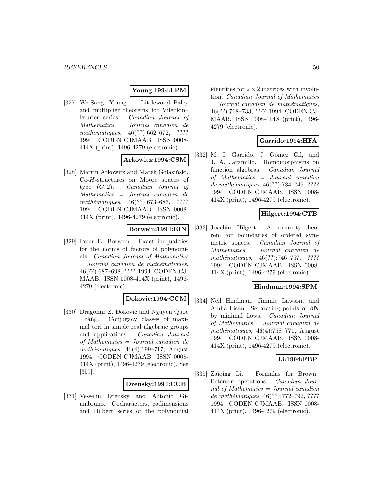## **Young:1994:LPM**

[327] Wo-Sang Young. Littlewood–Paley and multiplier theorems for Vilenkin– Fourier series. Canadian Journal of Mathematics = Journal canadien de mathématiques,  $46(??):662-672$ , ???? 1994. CODEN CJMAAB. ISSN 0008- 414X (print), 1496-4279 (electronic).

# **Arkowitz:1994:CSM**

[328] Martin Arkowitz and Marek Golasiński. Co-H-structures on Moore spaces of type  $(G, 2)$ . Canadian Journal of Mathematics = Journal canadien de mathématiques,  $46(??):673–686$ , ???? 1994. CODEN CJMAAB. ISSN 0008- 414X (print), 1496-4279 (electronic).

### **Borwein:1994:EIN**

[329] Peter B. Borwein. Exact inequalities for the norms of factors of polynomials. Canadian Journal of Mathematics  $=$  Journal canadien de mathématiques, 46(??):687–698, ???? 1994. CODEN CJ-MAAB. ISSN 0008-414X (print), 1496- 4279 (electronic).

## **Dokovic:1994:CCM**

[330] Dragomir Ž. Đoković and Nguyêñ Quôć Thǎng. Conjugacy classes of maximal tori in simple real algebraic groups and applications. Canadian Journal of Mathematics = Journal canadien de mathématiques,  $46(4):699-717$ , August 1994. CODEN CJMAAB. ISSN 0008- 414X (print), 1496-4279 (electronic). See [359].

### **Drensky:1994:CCH**

[331] Vesselin Drensky and Antonio Giambruno. Cocharacters, codimensions and Hilbert series of the polynomial identities for  $2 \times 2$  matrices with involution. Canadian Journal of Mathematics  $=$  Journal canadien de mathématiques, 46(??):718–733, ???? 1994. CODEN CJ-MAAB. ISSN 0008-414X (print), 1496- 4279 (electronic).

## **Garrido:1994:HFA**

[332] M. I. Garrido, J. Gómez Gil, and J. A. Jaramillo. Homomorphisms on function algebras. Canadian Journal of Mathematics = Journal canadien de mathématiques,  $46(??):734-745, ????$ 1994. CODEN CJMAAB. ISSN 0008- 414X (print), 1496-4279 (electronic).

# **Hilgert:1994:CTB**

[333] Joachim Hilgert. A convexity theorem for boundaries of ordered symmetric spaces. Canadian Journal of Mathematics = Journal canadien de mathématiques,  $46(??):746-757$ , ???? 1994. CODEN CJMAAB. ISSN 0008- 414X (print), 1496-4279 (electronic).

#### **Hindman:1994:SPM**

[334] Neil Hindman, Jimmie Lawson, and Amha Lisan. Separating points of β**N** by minimal flows. Canadian Journal of Mathematics = Journal canadien de  $mathématiques, 46(4):758–771, August$ 1994. CODEN CJMAAB. ISSN 0008- 414X (print), 1496-4279 (electronic).

#### **Li:1994:FBP**

[335] Zaiqing Li. Formulas for Brown– Peterson operations. Canadian Journal of Mathematics  $=$  Journal canadien de mathématiques,  $46(??):772-792, ????$ 1994. CODEN CJMAAB. ISSN 0008- 414X (print), 1496-4279 (electronic).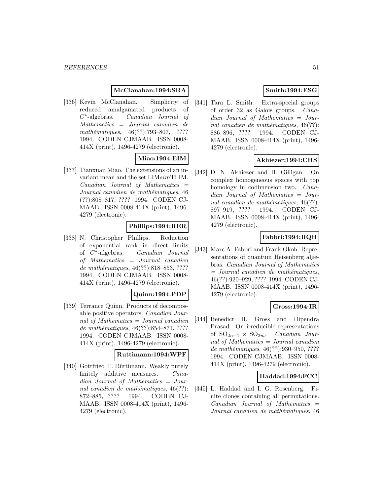### **McClanahan:1994:SRA**

[336] Kevin McClanahan. Simplicity of reduced amalgamated products of C∗-algebras. Canadian Journal of Mathematics = Journal canadien de mathématiques,  $46(??):793-807$ , ???? 1994. CODEN CJMAAB. ISSN 0008- 414X (print), 1496-4279 (electronic).

## **Miao:1994:EIM**

[337] Tianxuan Miao. The extensions of an invariant mean and the set LIMsimTLIM. Canadian Journal of Mathematics = Journal canadien de mathématiques, 46 (??):808–817, ???? 1994. CODEN CJ-MAAB. ISSN 0008-414X (print), 1496- 4279 (electronic).

## **Phillips:1994:RER**

[338] N. Christopher Phillips. Reduction of exponential rank in direct limits of C∗-algebras. Canadian Journal of Mathematics = Journal canadien de mathématiques, 46(??):818–853, ???? 1994. CODEN CJMAAB. ISSN 0008- 414X (print), 1496-4279 (electronic).

#### **Quinn:1994:PDP**

[339] Terrance Quinn. Products of decomposable positive operators. Canadian Journal of Mathematics  $=$  Journal canadien de mathématiques, 46(??):854–871, ???? 1994. CODEN CJMAAB. ISSN 0008- 414X (print), 1496-4279 (electronic).

#### **Ruttimann:1994:WPF**

[340] Gottfried T. Rüttimann. Weakly purely finitely additive measures. Canadian Journal of Mathematics = Journal canadien de mathématiques,  $46(??)$ : 872–885, ???? 1994. CODEN CJ-MAAB. ISSN 0008-414X (print), 1496- 4279 (electronic).

# **Smith:1994:ESG**

[341] Tara L. Smith. Extra-special groups of order 32 as Galois groups. Canadian Journal of Mathematics = Journal canadien de mathématiques,  $46(??)$ : 886–896, ???? 1994. CODEN CJ-MAAB. ISSN 0008-414X (print), 1496- 4279 (electronic).

## **Akhiezer:1994:CHS**

[342] D. N. Akhiezer and B. Gilligan. On complex homogeneous spaces with top homology in codimension two. *Cana*dian Journal of Mathematics = Journal canadien de mathématiques,  $46(??)$ : 897–919, ???? 1994. CODEN CJ-MAAB. ISSN 0008-414X (print), 1496- 4279 (electronic).

# **Fabbri:1994:RQH**

[343] Marc A. Fabbri and Frank Okoh. Representations of quantum Heisenberg algebras. Canadian Journal of Mathematics  $=$  Journal canadien de mathématiques, 46(??):920–929, ???? 1994. CODEN CJ-MAAB. ISSN 0008-414X (print), 1496- 4279 (electronic).

#### **Gross:1994:IR**

[344] Benedict H. Gross and Dipendra Prasad. On irreducible representations of  $SO_{2n+1} \times SO_{2m}$ . *Canadian Jour*nal of Mathematics = Journal canadien de mathématiques, 46(??):930–950, ???? 1994. CODEN CJMAAB. ISSN 0008- 414X (print), 1496-4279 (electronic).

#### **Haddad:1994:FCC**

[345] L. Haddad and I. G. Rosenberg. Finite clones containing all permutations.  $Canadian$  Journal of Mathematics  $=$ Journal canadien de mathématiques, 46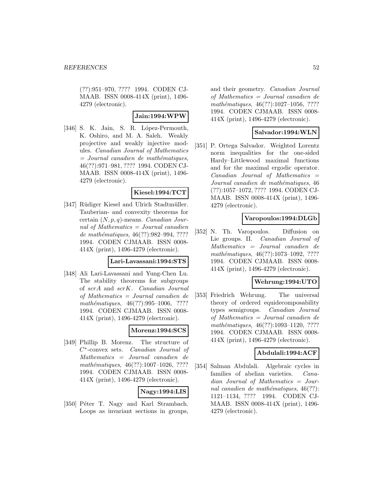(??):951–970, ???? 1994. CODEN CJ-MAAB. ISSN 0008-414X (print), 1496- 4279 (electronic).

### **Jain:1994:WPW**

[346] S. K. Jain, S. R. López-Permouth, K. Oshiro, and M. A. Saleh. Weakly projective and weakly injective modules. Canadian Journal of Mathematics  $=$  Journal canadien de mathématiques, 46(??):971–981, ???? 1994. CODEN CJ-MAAB. ISSN 0008-414X (print), 1496- 4279 (electronic).

#### **Kiesel:1994:TCT**

[347] Rüdiger Kiesel and Ulrich Stadtmüller. Tauberian- and convexity theorems for certain  $(N, p, q)$ -means. *Canadian Jour*nal of Mathematics = Journal canadien de mathématiques,  $46(??):982-994, ????$ 1994. CODEN CJMAAB. ISSN 0008- 414X (print), 1496-4279 (electronic).

#### **Lari-Lavassani:1994:STS**

[348] Ali Lari-Lavassani and Yung-Chen Lu. The stability theorems for subgroups of scrA and scrK. Canadian Journal of Mathematics = Journal canadien de mathématiques,  $46(??):995-1006$ , ???? 1994. CODEN CJMAAB. ISSN 0008- 414X (print), 1496-4279 (electronic).

## **Morenz:1994:SCS**

[349] Phillip B. Morenz. The structure of C∗-convex sets. Canadian Journal of Mathematics = Journal canadien de mathématiques,  $46(??):1007-1026, ????$ 1994. CODEN CJMAAB. ISSN 0008- 414X (print), 1496-4279 (electronic).

### **Nagy:1994:LIS**

[350] Péter T. Nagy and Karl Strambach. Loops as invariant sections in groups, and their geometry. Canadian Journal of Mathematics = Journal canadien de mathématiques, 46(??):1027-1056, ???? 1994. CODEN CJMAAB. ISSN 0008- 414X (print), 1496-4279 (electronic).

#### **Salvador:1994:WLN**

[351] P. Ortega Salvador. Weighted Lorentz norm inequalities for the one-sided Hardy–Littlewood maximal functions and for the maximal ergodic operator. Canadian Journal of Mathematics = Journal canadien de mathématiques, 46 (??):1057–1072, ???? 1994. CODEN CJ-MAAB. ISSN 0008-414X (print), 1496- 4279 (electronic).

#### **Varopoulos:1994:DLGb**

[352] N. Th. Varopoulos. Diffusion on Lie groups. II. Canadian Journal of Mathematics = Journal canadien de mathématiques, 46(??):1073-1092, ???? 1994. CODEN CJMAAB. ISSN 0008- 414X (print), 1496-4279 (electronic).

#### **Wehrung:1994:UTO**

[353] Friedrich Wehrung. The universal theory of ordered equidecomposability types semigroups. Canadian Journal of Mathematics = Journal canadien de mathématiques, 46(??):1093-1120, ???? 1994. CODEN CJMAAB. ISSN 0008- 414X (print), 1496-4279 (electronic).

#### **Abdulali:1994:ACF**

[354] Salman Abdulali. Algebraic cycles in families of abelian varieties. Canadian Journal of Mathematics = Journal canadien de mathématiques,  $46(??)$ : 1121–1134, ???? 1994. CODEN CJ-MAAB. ISSN 0008-414X (print), 1496- 4279 (electronic).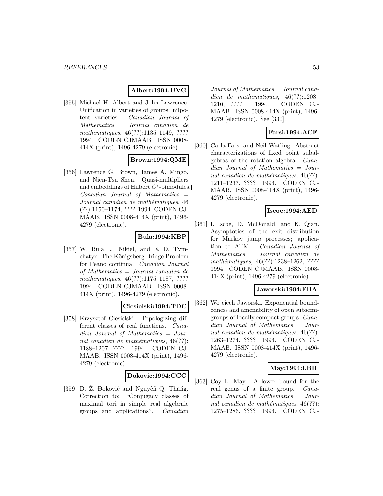## **Albert:1994:UVG**

[355] Michael H. Albert and John Lawrence. Unification in varieties of groups: nilpotent varieties. Canadian Journal of Mathematics = Journal canadien de mathématiques, 46(??):1135-1149, ???? 1994. CODEN CJMAAB. ISSN 0008- 414X (print), 1496-4279 (electronic).

## **Brown:1994:QME**

[356] Lawrence G. Brown, James A. Mingo, and Nien-Tsu Shen. Quasi-multipliers and embeddings of Hilbert  $C^*$ -bimodules.  $Canadian$  Journal of Mathematics  $=$ Journal canadien de mathématiques, 46 (??):1150–1174, ???? 1994. CODEN CJ-MAAB. ISSN 0008-414X (print), 1496- 4279 (electronic).

### **Bula:1994:KBP**

[357] W. Bula, J. Nikiel, and E. D. Tymchatyn. The Königsberg Bridge Problem for Peano continua. Canadian Journal of Mathematics = Journal canadien de mathématiques, 46(??):1175–1187, ???? 1994. CODEN CJMAAB. ISSN 0008- 414X (print), 1496-4279 (electronic).

#### **Ciesielski:1994:TDC**

[358] Krzysztof Ciesielski. Topologizing different classes of real functions. Canadian Journal of Mathematics = Journal canadien de mathématiques,  $46(??)$ : 1188–1207, ???? 1994. CODEN CJ-MAAB. ISSN 0008-414X (print), 1496- 4279 (electronic).

#### **Dokovic:1994:CCC**

[359] D. Ž. Đoković and Nguyêñ Q. Thăńg. Correction to: "Conjugacy classes of maximal tori in simple real algebraic groups and applications". Canadian

 $Journal of Mathematics = Journal cana$ dien de mathématiques,  $46(??):1208-$ 1210, ???? 1994. CODEN CJ-MAAB. ISSN 0008-414X (print), 1496- 4279 (electronic). See [330].

### **Farsi:1994:ACF**

[360] Carla Farsi and Neil Watling. Abstract characterizations of fixed point subalgebras of the rotation algebra. Canadian Journal of Mathematics = Journal canadien de mathématiques,  $46(??)$ : 1211–1237, ???? 1994. CODEN CJ-MAAB. ISSN 0008-414X (print), 1496- 4279 (electronic).

### **Iscoe:1994:AED**

[361] I. Iscoe, D. McDonald, and K. Qian. Asymptotics of the exit distribution for Markov jump processes; application to ATM. Canadian Journal of Mathematics = Journal canadien de mathématiques, 46(??):1238-1262, ???? 1994. CODEN CJMAAB. ISSN 0008- 414X (print), 1496-4279 (electronic).

#### **Jaworski:1994:EBA**

[362] Wojciech Jaworski. Exponential boundedness and amenability of open subsemigroups of locally compact groups. Canadian Journal of Mathematics = Journal canadien de mathématiques,  $46(??)$ : 1263–1274, ???? 1994. CODEN CJ-MAAB. ISSN 0008-414X (print), 1496- 4279 (electronic).

#### **May:1994:LBR**

[363] Coy L. May. A lower bound for the real genus of a finite group. Canadian Journal of Mathematics = Journal canadien de mathématiques,  $46(??)$ : 1275–1286, ???? 1994. CODEN CJ-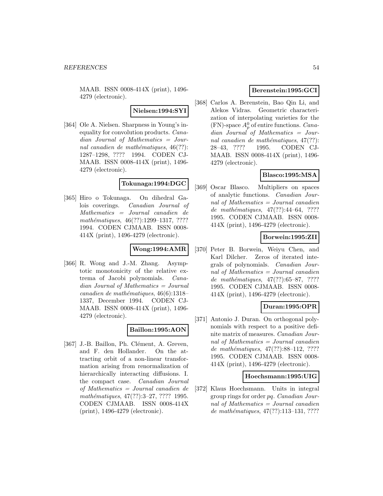MAAB. ISSN 0008-414X (print), 1496- 4279 (electronic).

**Nielsen:1994:SYI**

[364] Ole A. Nielsen. Sharpness in Young's inequality for convolution products. Canadian Journal of Mathematics = Journal canadien de mathématiques,  $46(??)$ : 1287–1298, ???? 1994. CODEN CJ-MAAB. ISSN 0008-414X (print), 1496- 4279 (electronic).

### **Tokunaga:1994:DGC**

[365] Hiro o Tokunaga. On dihedral Galois coverings. Canadian Journal of Mathematics = Journal canadien de mathématiques, 46(??):1299–1317, ???? 1994. CODEN CJMAAB. ISSN 0008- 414X (print), 1496-4279 (electronic).

## **Wong:1994:AMR**

[366] R. Wong and J.-M. Zhang. Asymptotic monotonicity of the relative extrema of Jacobi polynomials. Canadian Journal of Mathematics = Journal canadien de mathématiques,  $46(6):1318-$ 1337, December 1994. CODEN CJ-MAAB. ISSN 0008-414X (print), 1496- 4279 (electronic).

## **Baillon:1995:AON**

[367] J.-B. Baillon, Ph. Clément, A. Greven, and F. den Hollander. On the attracting orbit of a non-linear transformation arising from renormalization of hierarchically interacting diffusions. I. the compact case. Canadian Journal of Mathematics = Journal canadien de mathématiques, 47(??):3–27, ???? 1995. CODEN CJMAAB. ISSN 0008-414X (print), 1496-4279 (electronic).

## **Berenstein:1995:GCI**

[368] Carlos A. Berenstein, Bao Qin Li, and Alekos Vidras. Geometric characterization of interpolating varieties for the (FN)-space  $A_p^0$  of entire functions. *Cana*dian Journal of Mathematics = Journal canadien de mathématiques,  $47(??)$ : 28–43, ???? 1995. CODEN CJ-MAAB. ISSN 0008-414X (print), 1496- 4279 (electronic).

# **Blasco:1995:MSA**

[369] Oscar Blasco. Multipliers on spaces of analytic functions. Canadian Journal of Mathematics = Journal canadien de mathématiques,  $47(??):44-64, ????$ 1995. CODEN CJMAAB. ISSN 0008- 414X (print), 1496-4279 (electronic).

## **Borwein:1995:ZII**

[370] Peter B. Borwein, Weiyu Chen, and Karl Dilcher. Zeros of iterated integrals of polynomials. Canadian Journal of Mathematics = Journal canadien de mathématiques,  $47(??):65–87, ????$ 1995. CODEN CJMAAB. ISSN 0008- 414X (print), 1496-4279 (electronic).

## **Duran:1995:OPR**

[371] Antonio J. Duran. On orthogonal polynomials with respect to a positive definite matrix of measures. Canadian Journal of Mathematics = Journal canadien de mathématiques,  $47(??):88-112$ , ???? 1995. CODEN CJMAAB. ISSN 0008- 414X (print), 1496-4279 (electronic).

#### **Hoechsmann:1995:UIG**

[372] Klaus Hoechsmann. Units in integral group rings for order pq. Canadian Journal of Mathematics = Journal canadien de mathématiques,  $47(??):113-131, ????$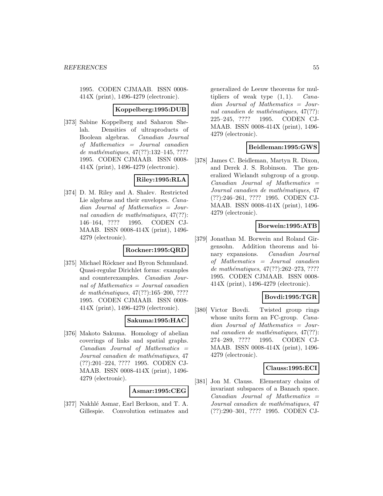1995. CODEN CJMAAB. ISSN 0008- 414X (print), 1496-4279 (electronic).

#### **Koppelberg:1995:DUB**

[373] Sabine Koppelberg and Saharon Shelah. Densities of ultraproducts of Boolean algebras. Canadian Journal of Mathematics = Journal canadien de mathématiques,  $47(??):132-145, ????$ 1995. CODEN CJMAAB. ISSN 0008- 414X (print), 1496-4279 (electronic).

## **Riley:1995:RLA**

[374] D. M. Riley and A. Shalev. Restricted Lie algebras and their envelopes. Canadian Journal of Mathematics = Journal canadien de mathématiques,  $47(??)$ : 146–164, ???? 1995. CODEN CJ-MAAB. ISSN 0008-414X (print), 1496- 4279 (electronic).

## **Rockner:1995:QRD**

[375] Michael Röckner and Byron Schmuland. Quasi-regular Dirichlet forms: examples and counterexamples. Canadian Journal of Mathematics = Journal canadien de mathématiques, 47(??):165-200, ???? 1995. CODEN CJMAAB. ISSN 0008- 414X (print), 1496-4279 (electronic).

## **Sakuma:1995:HAC**

[376] Makoto Sakuma. Homology of abelian coverings of links and spatial graphs.  $Canadian$  Journal of Mathematics  $=$ Journal canadien de mathématiques, 47 (??):201–224, ???? 1995. CODEN CJ-MAAB. ISSN 0008-414X (print), 1496- 4279 (electronic).

#### **Asmar:1995:CEG**

[377] Nakhlé Asmar, Earl Berkson, and T. A. Gillespie. Convolution estimates and

generalized de Leeuw theorems for multipliers of weak type  $(1, 1)$ . Canadian Journal of Mathematics = Journal canadien de mathématiques,  $47(??)$ : 225–245, ???? 1995. CODEN CJ-MAAB. ISSN 0008-414X (print), 1496- 4279 (electronic).

### **Beidleman:1995:GWS**

[378] James C. Beidleman, Martyn R. Dixon, and Derek J. S. Robinson. The generalized Wielandt subgroup of a group.  $Canadian$  Journal of Mathematics  $=$ Journal canadien de mathématiques, 47 (??):246–261, ???? 1995. CODEN CJ-MAAB. ISSN 0008-414X (print), 1496- 4279 (electronic).

## **Borwein:1995:ATB**

[379] Jonathan M. Borwein and Roland Girgensohn. Addition theorems and binary expansions. Canadian Journal of Mathematics = Journal canadien de mathématiques,  $47(??):262-273, ????$ 1995. CODEN CJMAAB. ISSN 0008- 414X (print), 1496-4279 (electronic).

## **Bovdi:1995:TGR**

[380] Victor Bovdi. Twisted group rings whose units form an FC-group. *Cana*dian Journal of Mathematics = Journal canadien de mathématiques,  $47(??)$ : 274–289, ???? 1995. CODEN CJ-MAAB. ISSN 0008-414X (print), 1496- 4279 (electronic).

#### **Clauss:1995:ECI**

[381] Jon M. Clauss. Elementary chains of invariant subspaces of a Banach space.  $Canadian$  Journal of Mathematics  $=$ Journal canadien de mathématiques, 47 (??):290–301, ???? 1995. CODEN CJ-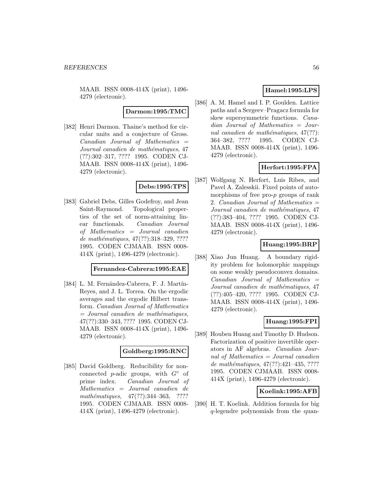MAAB. ISSN 0008-414X (print), 1496- 4279 (electronic).

**Darmon:1995:TMC**

[382] Henri Darmon. Thaine's method for circular units and a conjecture of Gross.  $Canadian$  Journal of Mathematics  $=$ Journal canadien de mathématiques, 47 (??):302–317, ???? 1995. CODEN CJ-MAAB. ISSN 0008-414X (print), 1496- 4279 (electronic).

## **Debs:1995:TPS**

[383] Gabriel Debs, Gilles Godefroy, and Jean Saint-Raymond. Topological properties of the set of norm-attaining linear functionals. Canadian Journal of Mathematics = Journal canadien de mathématiques,  $47(??):318-329, ????$ 1995. CODEN CJMAAB. ISSN 0008- 414X (print), 1496-4279 (electronic).

## **Fernandez-Cabrera:1995:EAE**

[384] L. M. Fernández-Cabrera, F. J. Martín-Reyes, and J. L. Torrea. On the ergodic averages and the ergodic Hilbert transform. Canadian Journal of Mathematics  $=$  Journal canadien de mathématiques, 47(??):330–343, ???? 1995. CODEN CJ-MAAB. ISSN 0008-414X (print), 1496- 4279 (electronic).

### **Goldberg:1995:RNC**

[385] David Goldberg. Reducibility for nonconnected p-adic groups, with  $G^{\circ}$  of prime index. Canadian Journal of Mathematics = Journal canadien de mathématiques,  $47(??):344-363$ , ???? 1995. CODEN CJMAAB. ISSN 0008- 414X (print), 1496-4279 (electronic).

# **Hamel:1995:LPS**

[386] A. M. Hamel and I. P. Goulden. Lattice paths and a Sergeev–Pragacz formula for skew supersymmetric functions. Canadian Journal of Mathematics = Journal canadien de mathématiques,  $47(??)$ : 364–382, ???? 1995. CODEN CJ-MAAB. ISSN 0008-414X (print), 1496- 4279 (electronic).

# **Herfort:1995:FPA**

[387] Wolfgang N. Herfort, Luis Ribes, and Pavel A. Zalesskii. Fixed points of automorphisms of free pro-p groups of rank 2. Canadian Journal of Mathematics = Journal canadien de mathématiques, 47 (??):383–404, ???? 1995. CODEN CJ-MAAB. ISSN 0008-414X (print), 1496- 4279 (electronic).

## **Huang:1995:BRP**

[388] Xiao Jun Huang. A boundary rigidity problem for holomorphic mappings on some weakly pseudoconvex domains.  $Canadian$  Journal of Mathematics  $=$ Journal canadien de mathématiques, 47 (??):405–420, ???? 1995. CODEN CJ-MAAB. ISSN 0008-414X (print), 1496- 4279 (electronic).

## **Huang:1995:FPI**

[389] Houben Huang and Timothy D. Hudson. Factorization of positive invertible operators in AF algebras. Canadian Journal of Mathematics = Journal canadien de mathématiques,  $47(??):421-435, ????$ 1995. CODEN CJMAAB. ISSN 0008- 414X (print), 1496-4279 (electronic).

## **Koelink:1995:AFB**

[390] H. T. Koelink. Addition formula for big q-legendre polynomials from the quan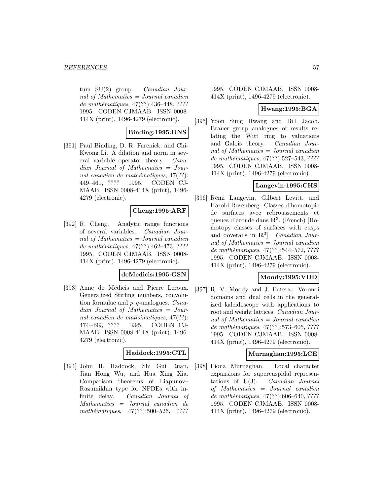tum  $SU(2)$  group. *Canadian Jour*nal of Mathematics = Journal canadien de mathématiques,  $47(??):436-448, ????$ 1995. CODEN CJMAAB. ISSN 0008- 414X (print), 1496-4279 (electronic).

### **Binding:1995:DNS**

[391] Paul Binding, D. R. Farenick, and Chi-Kwong Li. A dilation and norm in several variable operator theory. Canadian Journal of Mathematics = Journal canadien de mathématiques,  $47(??)$ : 449–461, ???? 1995. CODEN CJ-MAAB. ISSN 0008-414X (print), 1496- 4279 (electronic).

### **Cheng:1995:ARF**

[392] R. Cheng. Analytic range functions of several variables. Canadian Journal of Mathematics = Journal canadien de mathématiques,  $47(??):462-473, ????$ 1995. CODEN CJMAAB. ISSN 0008- 414X (print), 1496-4279 (electronic).

#### **deMedicis:1995:GSN**

[393] Anne de Médicis and Pierre Leroux. Generalized Stirling numbers, convolution formulae and p, q-analogues. Canadian Journal of Mathematics = Journal canadien de mathématiques,  $47(??)$ : 474–499, ???? 1995. CODEN CJ-MAAB. ISSN 0008-414X (print), 1496- 4279 (electronic).

#### **Haddock:1995:CTL**

[394] John R. Haddock, Shi Gui Ruan, Jian Hong Wu, and Hua Xing Xia. Comparison theorems of Liapunov– Razumikhin type for NFDEs with infinite delay. Canadian Journal of Mathematics = Journal canadien de mathématiques,  $47(??):500-526$ , ????

1995. CODEN CJMAAB. ISSN 0008- 414X (print), 1496-4279 (electronic).

### **Hwang:1995:BGA**

[395] Yoon Sung Hwang and Bill Jacob. Brauer group analogues of results relating the Witt ring to valuations and Galois theory. Canadian Journal of Mathematics = Journal canadien de mathématiques,  $47(??):527-543, ????$ 1995. CODEN CJMAAB. ISSN 0008- 414X (print), 1496-4279 (electronic).

### **Langevin:1995:CHS**

[396] Rémi Langevin, Gilbert Levitt, and Harold Rosenberg. Classes d'homotopie de surfaces avec rebroussements et queues d'aronde dans **R**<sup>3</sup>. (French) [Homotopy classes of surfaces with cusps and dovetails in **R**<sup>3</sup>]. Canadian Journal of Mathematics = Journal canadien de mathématiques,  $47(??):544-572, ????$ 1995. CODEN CJMAAB. ISSN 0008- 414X (print), 1496-4279 (electronic).

## **Moody:1995:VDD**

[397] R. V. Moody and J. Patera. Voronoi domains and dual cells in the generalized kaleidoscope with applications to root and weight lattices. Canadian Journal of Mathematics = Journal canadien de mathématiques, 47(??):573–605, ???? 1995. CODEN CJMAAB. ISSN 0008- 414X (print), 1496-4279 (electronic).

#### **Murnaghan:1995:LCE**

[398] Fiona Murnaghan. Local character expansions for supercuspidal representations of U(3). Canadian Journal of Mathematics = Journal canadien de mathématiques,  $47(??):606–640, ????$ 1995. CODEN CJMAAB. ISSN 0008- 414X (print), 1496-4279 (electronic).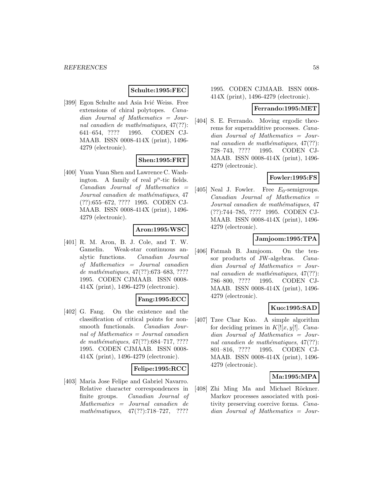### **Schulte:1995:FEC**

[399] Egon Schulte and Asia Ivić Weiss. Free extensions of chiral polytopes. Canadian Journal of Mathematics = Journal canadien de mathématiques,  $47(??)$ : 641–654, ???? 1995. CODEN CJ-MAAB. ISSN 0008-414X (print), 1496- 4279 (electronic).

## **Shen:1995:FRT**

[400] Yuan Yuan Shen and Lawrence C. Washington. A family of real  $p^n$ -tic fields.  $Canadian$  Journal of Mathematics  $=$ Journal canadien de mathématiques, 47 (??):655–672, ???? 1995. CODEN CJ-MAAB. ISSN 0008-414X (print), 1496- 4279 (electronic).

### **Aron:1995:WSC**

[401] R. M. Aron, B. J. Cole, and T. W. Gamelin. Weak-star continuous analytic functions. Canadian Journal of Mathematics = Journal canadien de mathématiques, 47(??):673–683, ???? 1995. CODEN CJMAAB. ISSN 0008- 414X (print), 1496-4279 (electronic).

## **Fang:1995:ECC**

[402] G. Fang. On the existence and the classification of critical points for nonsmooth functionals. Canadian Journal of Mathematics = Journal canadien de mathématiques,  $47(??)$ :684–717, ???? 1995. CODEN CJMAAB. ISSN 0008- 414X (print), 1496-4279 (electronic).

## **Felipe:1995:RCC**

[403] Maria Jose Felipe and Gabriel Navarro. Relative character correspondences in finite groups. Canadian Journal of Mathematics = Journal canadien de mathématiques,  $47(??):718-727$ , ????

### 1995. CODEN CJMAAB. ISSN 0008- 414X (print), 1496-4279 (electronic).

#### **Ferrando:1995:MET**

[404] S. E. Ferrando. Moving ergodic theorems for superadditive processes. Canadian Journal of Mathematics = Journal canadien de mathématiques,  $47(??)$ : 728–743, ???? 1995. CODEN CJ-MAAB. ISSN 0008-414X (print), 1496- 4279 (electronic).

## **Fowler:1995:FS**

[405] Neal J. Fowler. Free  $E_0$ -semigroups.  $Canadian$  Journal of Mathematics  $=$ Journal canadien de mathématiques, 47 (??):744–785, ???? 1995. CODEN CJ-MAAB. ISSN 0008-414X (print), 1496- 4279 (electronic).

### **Jamjoom:1995:TPA**

[406] Fatmah B. Jamjoom. On the tensor products of JW-algebras. Canadian Journal of Mathematics = Journal canadien de mathématiques,  $47(??)$ : 786–800, ???? 1995. CODEN CJ-MAAB. ISSN 0008-414X (print), 1496- 4279 (electronic).

## **Kuo:1995:SAD**

[407] Tzee Char Kuo. A simple algorithm for deciding primes in  $K[[x, y]]$ . Canadian Journal of Mathematics = Journal canadien de mathématiques,  $47(??)$ : 801–816, ???? 1995. CODEN CJ-MAAB. ISSN 0008-414X (print), 1496- 4279 (electronic).

#### **Ma:1995:MPA**

[408] Zhi Ming Ma and Michael Röckner. Markov processes associated with positivity preserving coercive forms. Canadian Journal of Mathematics = Jour-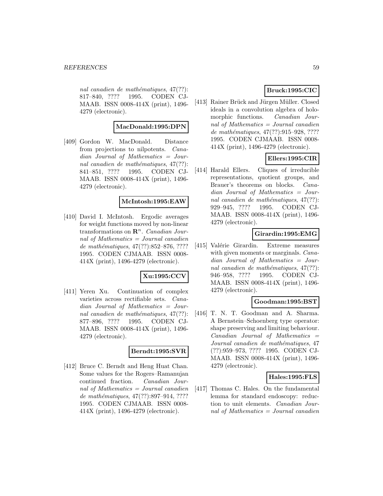nal canadien de mathématiques,  $47(??)$ : 817–840, ???? 1995. CODEN CJ-MAAB. ISSN 0008-414X (print), 1496- 4279 (electronic).

## **MacDonald:1995:DPN**

[409] Gordon W. MacDonald. Distance from projections to nilpotents. Canadian Journal of Mathematics = Journal canadien de mathématiques,  $47(??)$ : 841–851, ???? 1995. CODEN CJ-MAAB. ISSN 0008-414X (print), 1496- 4279 (electronic).

#### **McIntosh:1995:EAW**

[410] David I. McIntosh. Ergodic averages for weight functions moved by non-linear transformations on  $\mathbb{R}^n$ . Canadian Journal of Mathematics  $=$  Journal canadien de mathématiques, 47(??):852–876, ???? 1995. CODEN CJMAAB. ISSN 0008- 414X (print), 1496-4279 (electronic).

## **Xu:1995:CCV**

[411] Yeren Xu. Continuation of complex varieties across rectifiable sets. Canadian Journal of Mathematics = Journal canadien de mathématiques,  $47(??)$ : 877–896, ???? 1995. CODEN CJ-MAAB. ISSN 0008-414X (print), 1496- 4279 (electronic).

### **Berndt:1995:SVR**

[412] Bruce C. Berndt and Heng Huat Chan. Some values for the Rogers–Ramanujan continued fraction. Canadian Journal of Mathematics  $=$  Journal canadien de mathématiques, 47(??):897-914, ???? 1995. CODEN CJMAAB. ISSN 0008- 414X (print), 1496-4279 (electronic).

# **Bruck:1995:CIC**

[413] Rainer Brück and Jürgen Müller. Closed ideals in a convolution algebra of holomorphic functions. Canadian Journal of Mathematics = Journal canadien de mathématiques,  $47(??):915-928, ????$ 1995. CODEN CJMAAB. ISSN 0008- 414X (print), 1496-4279 (electronic).

## **Ellers:1995:CIR**

[414] Harald Ellers. Cliques of irreducible representations, quotient groups, and Brauer's theorems on blocks. Canadian Journal of Mathematics = Journal canadien de mathématiques,  $47(??)$ : 929–945, ???? 1995. CODEN CJ-MAAB. ISSN 0008-414X (print), 1496- 4279 (electronic).

### **Girardin:1995:EMG**

[415] Valérie Girardin. Extreme measures with given moments or marginals. *Cana*dian Journal of Mathematics = Journal canadien de mathématiques,  $47(??)$ : 946–958, ???? 1995. CODEN CJ-MAAB. ISSN 0008-414X (print), 1496- 4279 (electronic).

#### **Goodman:1995:BST**

[416] T. N. T. Goodman and A. Sharma. A Bernstein–Schoenberg type operator: shape preserving and limiting behaviour.  $Canadian$  Journal of Mathematics  $=$ Journal canadien de mathématiques, 47 (??):959–973, ???? 1995. CODEN CJ-MAAB. ISSN 0008-414X (print), 1496- 4279 (electronic).

#### **Hales:1995:FLS**

[417] Thomas C. Hales. On the fundamental lemma for standard endoscopy: reduction to unit elements. Canadian Journal of Mathematics = Journal canadien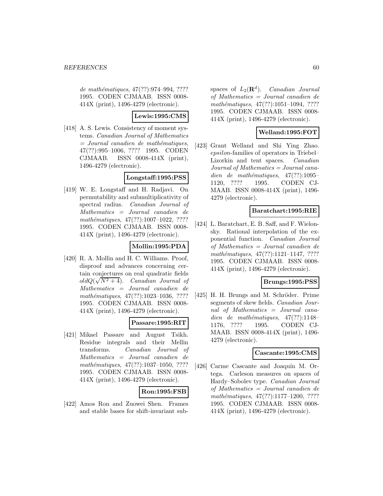de mathématiques, 47(??):974–994, ???? 1995. CODEN CJMAAB. ISSN 0008- 414X (print), 1496-4279 (electronic).

### **Lewis:1995:CMS**

[418] A. S. Lewis. Consistency of moment systems. Canadian Journal of Mathematics  $=$  Journal canadien de mathématiques, 47(??):995–1006, ???? 1995. CODEN CJMAAB. ISSN 0008-414X (print), 1496-4279 (electronic).

### **Longstaff:1995:PSS**

[419] W. E. Longstaff and H. Radjavi. On permutability and submultiplicativity of spectral radius. Canadian Journal of Mathematics = Journal canadien de mathématiques,  $47(??):1007-1022$ , ???? 1995. CODEN CJMAAB. ISSN 0008- 414X (print), 1496-4279 (electronic).

## **Mollin:1995:PDA**

[420] R. A. Mollin and H. C. Williams. Proof, disproof and advances concerning certain conjectures on real quadratic fields tain conjectures on real quadratic nelas<br> $oldQ(\sqrt{N^2+4})$ . *Canadian Journal of* Mathematics = Journal canadien de mathématiques, 47(??):1023-1036, ???? 1995. CODEN CJMAAB. ISSN 0008- 414X (print), 1496-4279 (electronic).

#### **Passare:1995:RIT**

[421] Mikael Passare and August Tsikh. Residue integrals and their Mellin transforms. Canadian Journal of Mathematics = Journal canadien de  $mathématiques, 47(??):1037–1050, ????$ 1995. CODEN CJMAAB. ISSN 0008- 414X (print), 1496-4279 (electronic).

## **Ron:1995:FSB**

[422] Amos Ron and Zuowei Shen. Frames and stable bases for shift-invariant sub-

spaces of  $L_2(\mathbf{R}^d)$ . Canadian Journal of Mathematics = Journal canadien de mathématiques,  $47(??):1051-1094$ , ???? 1995. CODEN CJMAAB. ISSN 0008- 414X (print), 1496-4279 (electronic).

## **Welland:1995:FOT**

[423] Grant Welland and Shi Ying Zhao. epsilon-families of operators in Triebel– Lizorkin and tent spaces. Canadian Journal of Mathematics = Journal canadien de mathématiques,  $47(??):1095-$ 1120, ???? 1995. CODEN CJ-MAAB. ISSN 0008-414X (print), 1496- 4279 (electronic).

#### **Baratchart:1995:RIE**

[424] L. Baratchart, E. B. Saff, and F. Wielonsky. Rational interpolation of the exponential function. Canadian Journal of Mathematics = Journal canadien de mathématiques, 47(??):1121-1147, ???? 1995. CODEN CJMAAB. ISSN 0008- 414X (print), 1496-4279 (electronic).

#### **Brungs:1995:PSS**

[425] H. H. Brungs and M. Schröder. Prime segments of skew fields. Canadian Journal of Mathematics = Journal canadien de mathématiques,  $47(??):1148-$ 1176, ???? 1995. CODEN CJ-MAAB. ISSN 0008-414X (print), 1496- 4279 (electronic).

#### **Cascante:1995:CMS**

[426] Carme Cascante and Joaquín M. Ortega. Carleson measures on spaces of Hardy–Sobolev type. Canadian Journal of Mathematics = Journal canadien de mathématiques, 47(??):1177-1200, ???? 1995. CODEN CJMAAB. ISSN 0008- 414X (print), 1496-4279 (electronic).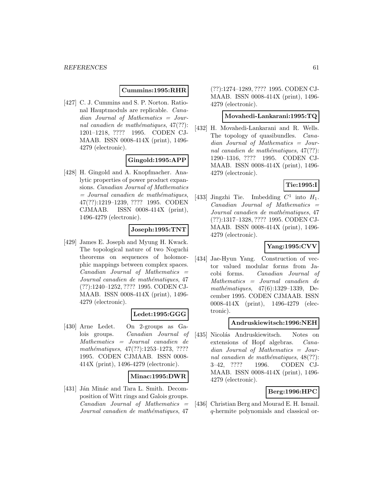## **Cummins:1995:RHR**

[427] C. J. Cummins and S. P. Norton. Rational Hauptmoduls are replicable. Canadian Journal of Mathematics = Journal canadien de mathématiques,  $47(??)$ : 1201–1218, ???? 1995. CODEN CJ-MAAB. ISSN 0008-414X (print), 1496- 4279 (electronic).

#### **Gingold:1995:APP**

[428] H. Gingold and A. Knopfmacher. Analytic properties of power product expansions. Canadian Journal of Mathematics  $=$  Journal canadien de mathématiques, 47(??):1219–1239, ???? 1995. CODEN CJMAAB. ISSN 0008-414X (print), 1496-4279 (electronic).

### **Joseph:1995:TNT**

[429] James E. Joseph and Myung H. Kwack. The topological nature of two Noguchi theorems on sequences of holomorphic mappings between complex spaces.  $Canadian$  Journal of Mathematics  $=$ Journal canadien de mathématiques, 47 (??):1240–1252, ???? 1995. CODEN CJ-MAAB. ISSN 0008-414X (print), 1496- 4279 (electronic).

## **Ledet:1995:GGG**

[430] Arne Ledet. On 2-groups as Galois groups. Canadian Journal of Mathematics = Journal canadien de mathématiques,  $47(??):1253-1273, ????$ 1995. CODEN CJMAAB. ISSN 0008- 414X (print), 1496-4279 (electronic).

#### **Minac:1995:DWR**

[431] Ján Minác and Tara L. Smith. Decomposition of Witt rings and Galois groups.  $Canadian$  Journal of Mathematics  $=$ Journal canadien de mathématiques, 47

(??):1274–1289, ???? 1995. CODEN CJ-MAAB. ISSN 0008-414X (print), 1496- 4279 (electronic).

#### **Movahedi-Lankarani:1995:TQ**

[432] H. Movahedi-Lankarani and R. Wells. The topology of quasibundles. *Cana*dian Journal of Mathematics = Journal canadien de mathématiques,  $47(??)$ : 1290–1316, ???? 1995. CODEN CJ-MAAB. ISSN 0008-414X (print), 1496- 4279 (electronic).

## **Tie:1995:I**

[433] Jingzhi Tie. Imbedding  $C^1$  into  $H_1$ .  $Canadian$  Journal of Mathematics  $=$ Journal canadien de mathématiques, 47 (??):1317–1328, ???? 1995. CODEN CJ-MAAB. ISSN 0008-414X (print), 1496- 4279 (electronic).

## **Yang:1995:CVV**

[434] Jae-Hyun Yang. Construction of vector valued modular forms from Jacobi forms. Canadian Journal of Mathematics = Journal canadien de mathématiques,  $47(6):1329-1339$ , December 1995. CODEN CJMAAB. ISSN 0008-414X (print), 1496-4279 (electronic).

### **Andruskiewitsch:1996:NEH**

[435] Nicolás Andruskiewitsch. Notes on extensions of Hopf algebras. Canadian Journal of Mathematics = Journal canadien de mathématiques,  $48(??)$ : 3–42, ???? 1996. CODEN CJ-MAAB. ISSN 0008-414X (print), 1496- 4279 (electronic).

## **Berg:1996:HPC**

[436] Christian Berg and Mourad E. H. Ismail. q-hermite polynomials and classical or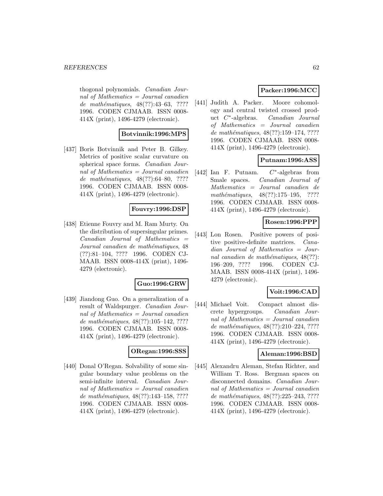thogonal polynomials. Canadian Journal of Mathematics  $=$  Journal canadien de mathématiques, 48(??):43–63, ???? 1996. CODEN CJMAAB. ISSN 0008- 414X (print), 1496-4279 (electronic).

## **Botvinnik:1996:MPS**

[437] Boris Botvinnik and Peter B. Gilkey. Metrics of positive scalar curvature on spherical space forms. Canadian Journal of Mathematics  $=$  Journal canadien de mathématiques, 48(??):64–80, ???? 1996. CODEN CJMAAB. ISSN 0008- 414X (print), 1496-4279 (electronic).

### **Fouvry:1996:DSP**

[438] Etienne Fouvry and M. Ram Murty. On the distribution of supersingular primes.  $Canadian$  Journal of Mathematics  $=$ Journal canadien de mathématiques, 48 (??):81–104, ???? 1996. CODEN CJ-MAAB. ISSN 0008-414X (print), 1496- 4279 (electronic).

#### **Guo:1996:GRW**

[439] Jiandong Guo. On a generalization of a result of Waldspurger. Canadian Journal of Mathematics = Journal canadien de mathématiques,  $48(??):105–142, ????$ 1996. CODEN CJMAAB. ISSN 0008- 414X (print), 1496-4279 (electronic).

### **ORegan:1996:SSS**

[440] Donal O'Regan. Solvability of some singular boundary value problems on the semi-infinite interval. Canadian Journal of Mathematics = Journal canadien de mathématiques, 48(??):143-158, ???? 1996. CODEN CJMAAB. ISSN 0008- 414X (print), 1496-4279 (electronic).

## **Packer:1996:MCC**

[441] Judith A. Packer. Moore cohomology and central twisted crossed product C∗-algebras. Canadian Journal of Mathematics = Journal canadien de mathématiques, 48(??):159–174, ???? 1996. CODEN CJMAAB. ISSN 0008- 414X (print), 1496-4279 (electronic).

## **Putnam:1996:ASS**

[442] Ian F. Putnam.  $C^*$ -algebras from Smale spaces. Canadian Journal of Mathematics = Journal canadien de mathématiques,  $48(??):175-195$ , ???? 1996. CODEN CJMAAB. ISSN 0008- 414X (print), 1496-4279 (electronic).

#### **Rosen:1996:PPP**

[443] Lon Rosen. Positive powers of positive positive-definite matrices. Canadian Journal of Mathematics = Journal canadien de mathématiques,  $48(??)$ : 196–209, ???? 1996. CODEN CJ-MAAB. ISSN 0008-414X (print), 1496- 4279 (electronic).

## **Voit:1996:CAD**

[444] Michael Voit. Compact almost discrete hypergroups. Canadian Journal of Mathematics = Journal canadien de mathématiques, 48(??):210–224, ???? 1996. CODEN CJMAAB. ISSN 0008- 414X (print), 1496-4279 (electronic).

#### **Aleman:1996:BSD**

[445] Alexandru Aleman, Stefan Richter, and William T. Ross. Bergman spaces on disconnected domains. Canadian Journal of Mathematics = Journal canadien de mathématiques, 48(??):225-243, ???? 1996. CODEN CJMAAB. ISSN 0008- 414X (print), 1496-4279 (electronic).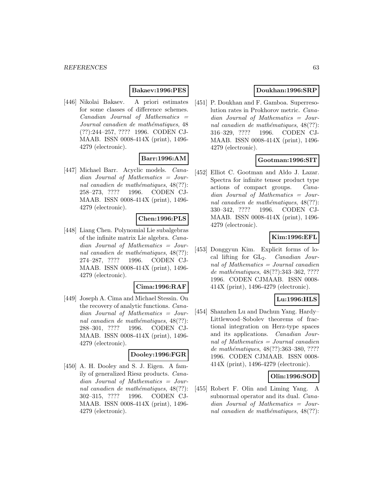## **Bakaev:1996:PES**

[446] Nikolai Bakaev. A priori estimates for some classes of difference schemes. Canadian Journal of Mathematics = Journal canadien de mathématiques, 48 (??):244–257, ???? 1996. CODEN CJ-MAAB. ISSN 0008-414X (print), 1496- 4279 (electronic).

## **Barr:1996:AM**

[447] Michael Barr. Acyclic models. Canadian Journal of Mathematics = Journal canadien de mathématiques,  $48(??)$ : 258–273, ???? 1996. CODEN CJ-MAAB. ISSN 0008-414X (print), 1496- 4279 (electronic).

## **Chen:1996:PLS**

[448] Liang Chen. Polynomial Lie subalgebras of the infinite matrix Lie algebra. Canadian Journal of Mathematics = Journal canadien de mathématiques,  $48(??)$ : 274–287, ???? 1996. CODEN CJ-MAAB. ISSN 0008-414X (print), 1496- 4279 (electronic).

#### **Cima:1996:RAF**

[449] Joseph A. Cima and Michael Stessin. On the recovery of analytic functions. Canadian Journal of Mathematics = Journal canadien de mathématiques,  $48(??)$ : 288–301, ???? 1996. CODEN CJ-MAAB. ISSN 0008-414X (print), 1496- 4279 (electronic).

#### **Dooley:1996:FGR**

[450] A. H. Dooley and S. J. Eigen. A family of generalized Riesz products. Canadian Journal of Mathematics = Journal canadien de mathématiques,  $48(??)$ : 302–315, ???? 1996. CODEN CJ-MAAB. ISSN 0008-414X (print), 1496- 4279 (electronic).

## **Doukhan:1996:SRP**

[451] P. Doukhan and F. Gamboa. Superresolution rates in Prokhorov metric. Canadian Journal of Mathematics = Journal canadien de mathématiques,  $48(??)$ : 316–329, ???? 1996. CODEN CJ-MAAB. ISSN 0008-414X (print), 1496- 4279 (electronic).

## **Gootman:1996:SIT**

[452] Elliot C. Gootman and Aldo J. Lazar. Spectra for infinite tensor product type actions of compact groups. Canadian Journal of Mathematics = Journal canadien de mathématiques,  $48(??)$ : 330–342, ???? 1996. CODEN CJ-MAAB. ISSN 0008-414X (print), 1496- 4279 (electronic).

## **Kim:1996:EFL**

[453] Donggyun Kim. Explicit forms of local lifting for  $GL_2$ . *Canadian Jour*nal of Mathematics = Journal canadien de mathématiques, 48(??):343-362, ???? 1996. CODEN CJMAAB. ISSN 0008- 414X (print), 1496-4279 (electronic).

## **Lu:1996:HLS**

[454] Shanzhen Lu and Dachun Yang. Hardy– Littlewood–Sobolev theorems of fractional integration on Herz-type spaces and its applications. Canadian Journal of Mathematics = Journal canadien de mathématiques, 48(??):363-380, ???? 1996. CODEN CJMAAB. ISSN 0008- 414X (print), 1496-4279 (electronic).

#### **Olin:1996:SOD**

[455] Robert F. Olin and Liming Yang. A subnormal operator and its dual. *Cana*dian Journal of Mathematics = Journal canadien de mathématiques,  $48(??)$ :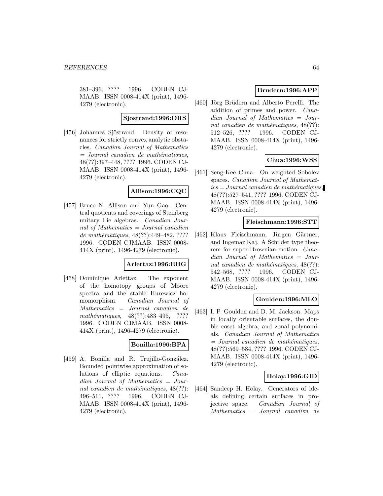381–396, ???? 1996. CODEN CJ-MAAB. ISSN 0008-414X (print), 1496- 4279 (electronic).

#### **Sjostrand:1996:DRS**

[456] Johannes Sjöstrand. Density of resonances for strictly convex analytic obstacles. Canadian Journal of Mathematics  $=$  Journal canadien de mathématiques, 48(??):397–448, ???? 1996. CODEN CJ-MAAB. ISSN 0008-414X (print), 1496- 4279 (electronic).

### **Allison:1996:CQC**

[457] Bruce N. Allison and Yun Gao. Central quotients and coverings of Steinberg unitary Lie algebras. Canadian Journal of Mathematics = Journal canadien de mathématiques,  $48(??):449-482, ????$ 1996. CODEN CJMAAB. ISSN 0008- 414X (print), 1496-4279 (electronic).

#### **Arlettaz:1996:EHG**

[458] Dominique Arlettaz. The exponent of the homotopy groups of Moore spectra and the stable Hurewicz homomorphism. Canadian Journal of Mathematics = Journal canadien de mathématiques,  $48(??):483-495$ , ???? 1996. CODEN CJMAAB. ISSN 0008- 414X (print), 1496-4279 (electronic).

## **Bonilla:1996:BPA**

[459] A. Bonilla and R. Trujillo-González. Bounded pointwise approximation of solutions of elliptic equations. Canadian Journal of Mathematics = Journal canadien de mathématiques,  $48(??)$ : 496–511, ???? 1996. CODEN CJ-MAAB. ISSN 0008-414X (print), 1496- 4279 (electronic).

## **Brudern:1996:APP**

[460] Jörg Brüdern and Alberto Perelli. The addition of primes and power. Canadian Journal of Mathematics = Journal canadien de mathématiques,  $48(??)$ : 512–526, ???? 1996. CODEN CJ-MAAB. ISSN 0008-414X (print), 1496- 4279 (electronic).

## **Chua:1996:WSS**

[461] Seng-Kee Chua. On weighted Sobolev spaces. Canadian Journal of Mathemat $ics = Journal\,c$  and  $i$ emathématiques, 48(??):527–541, ???? 1996. CODEN CJ-MAAB. ISSN 0008-414X (print), 1496- 4279 (electronic).

#### **Fleischmann:1996:STT**

[462] Klaus Fleischmann, Jürgen Gärtner, and Ingemar Kaj. A Schilder type theorem for super-Brownian motion. Canadian Journal of Mathematics = Journal canadien de mathématiques,  $48(??)$ : 542–568, ???? 1996. CODEN CJ-MAAB. ISSN 0008-414X (print), 1496- 4279 (electronic).

#### **Goulden:1996:MLO**

[463] I. P. Goulden and D. M. Jackson. Maps in locally orientable surfaces, the double coset algebra, and zonal polynomials. Canadian Journal of Mathematics  $=$  Journal canadien de mathématiques, 48(??):569–584, ???? 1996. CODEN CJ-MAAB. ISSN 0008-414X (print), 1496- 4279 (electronic).

#### **Holay:1996:GID**

[464] Sandeep H. Holay. Generators of ideals defining certain surfaces in projective space. Canadian Journal of Mathematics = Journal canadien de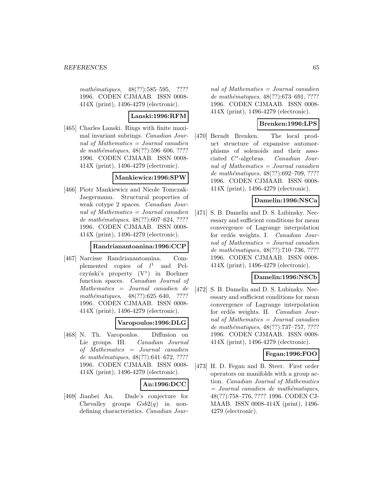mathématiques, 48(??):585–595, ???? 1996. CODEN CJMAAB. ISSN 0008- 414X (print), 1496-4279 (electronic).

### **Lanski:1996:RFM**

[465] Charles Lanski. Rings with finite maximal invariant subrings. Canadian Journal of Mathematics = Journal canadien de mathématiques, 48(??):596–606, ???? 1996. CODEN CJMAAB. ISSN 0008- 414X (print), 1496-4279 (electronic).

### **Mankiewicz:1996:SPW**

[466] Piotr Mankiewicz and Nicole Tomczak-Jaegermann. Structural properties of weak cotype 2 spaces. Canadian Journal of Mathematics = Journal canadien de mathématiques,  $48(??):607–624, ????$ 1996. CODEN CJMAAB. ISSN 0008- 414X (print), 1496-4279 (electronic).

### **Randrianantoanina:1996:CCP**

[467] Narcisse Randrianantoanina. Complemented copies of  $l^1$ and Pelczyński's property  $(V^*)$  in Bochner function spaces. Canadian Journal of Mathematics = Journal canadien de mathématiques,  $48(??):625-640$ , ???? 1996. CODEN CJMAAB. ISSN 0008- 414X (print), 1496-4279 (electronic).

## **Varopoulos:1996:DLG**

[468] N. Th. Varopoulos. Diffusion on Lie groups. III. Canadian Journal of Mathematics = Journal canadien de mathématiques, 48(??):641-672, ???? 1996. CODEN CJMAAB. ISSN 0008- 414X (print), 1496-4279 (electronic).

## **An:1996:DCC**

[469] Jianbei An. Dade's conjecture for Chevalley groups  $Gsb2(q)$  in nondefining characteristics. Canadian Jour-

nal of Mathematics  $=$  Journal canadien de mathématiques, 48(??):673–691, ???? 1996. CODEN CJMAAB. ISSN 0008- 414X (print), 1496-4279 (electronic).

## **Brenken:1996:LPS**

[470] Berndt Brenken. The local product structure of expansive automorphisms of solenoids and their associated C∗-algebras. Canadian Journal of Mathematics = Journal canadien de mathématiques, 48(??):692–709, ???? 1996. CODEN CJMAAB. ISSN 0008- 414X (print), 1496-4279 (electronic).

## **Damelin:1996:NSCa**

[471] S. B. Damelin and D. S. Lubinsky. Necessary and sufficient conditions for mean convergence of Lagrange interpolation for erd˝os weights. I. Canadian Journal of Mathematics = Journal canadien de mathématiques, 48(??):710–736, ???? 1996. CODEN CJMAAB. ISSN 0008- 414X (print), 1496-4279 (electronic).

## **Damelin:1996:NSCb**

[472] S. B. Damelin and D. S. Lubinsky. Necessary and sufficient conditions for mean convergence of Lagrange interpolation for erdős weights. II. Canadian Journal of Mathematics = Journal canadien de mathématiques, 48(??):737-757, ???? 1996. CODEN CJMAAB. ISSN 0008- 414X (print), 1496-4279 (electronic).

#### **Fegan:1996:FOO**

[473] H. D. Fegan and B. Steer. First order operators on manifolds with a group action. Canadian Journal of Mathematics  $=$  Journal canadien de mathématiques, 48(??):758–776, ???? 1996. CODEN CJ-MAAB. ISSN 0008-414X (print), 1496- 4279 (electronic).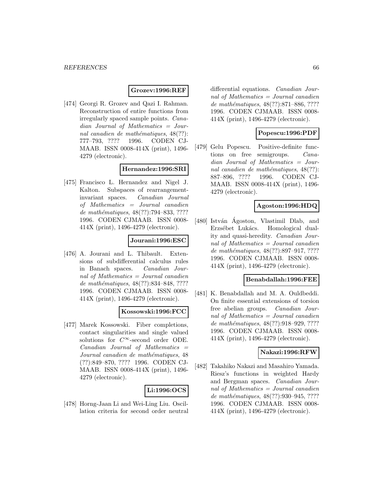### **Grozev:1996:REF**

[474] Georgi R. Grozev and Qazi I. Rahman. Reconstruction of entire functions from irregularly spaced sample points. Canadian Journal of Mathematics = Journal canadien de mathématiques,  $48(??)$ : 777–793, ???? 1996. CODEN CJ-MAAB. ISSN 0008-414X (print), 1496- 4279 (electronic).

### **Hernandez:1996:SRI**

[475] Francisco L. Hernandez and Nigel J. Kalton. Subspaces of rearrangementinvariant spaces. Canadian Journal of Mathematics = Journal canadien de mathématiques, 48(??):794–833, ???? 1996. CODEN CJMAAB. ISSN 0008- 414X (print), 1496-4279 (electronic).

### **Jourani:1996:ESC**

[476] A. Jourani and L. Thibault. Extensions of subdifferential calculus rules in Banach spaces. Canadian Journal of Mathematics = Journal canadien de mathématiques, 48(??):834–848, ???? 1996. CODEN CJMAAB. ISSN 0008- 414X (print), 1496-4279 (electronic).

#### **Kossowski:1996:FCC**

[477] Marek Kossowski. Fiber completions, contact singularities and single valued solutions for  $C^{\infty}$ -second order ODE.  $Canadian$  Journal of Mathematics  $=$ Journal canadien de mathématiques, 48 (??):849–870, ???? 1996. CODEN CJ-MAAB. ISSN 0008-414X (print), 1496- 4279 (electronic).

## **Li:1996:OCS**

[478] Horng-Jaan Li and Wei-Ling Liu. Oscillation criteria for second order neutral

differential equations. Canadian Journal of Mathematics = Journal canadien de mathématiques, 48(??):871–886, ???? 1996. CODEN CJMAAB. ISSN 0008- 414X (print), 1496-4279 (electronic).

### **Popescu:1996:PDF**

[479] Gelu Popescu. Positive-definite functions on free semigroups. Canadian Journal of Mathematics = Journal canadien de mathématiques,  $48(??)$ : 887–896, ???? 1996. CODEN CJ-MAAB. ISSN 0008-414X (print), 1496- 4279 (electronic).

### **Agoston:1996:HDQ**

[480] István Agoston, Vlastimil Dlab, and Erzsébet Lukács. Homological duality and quasi-heredity. Canadian Journal of Mathematics = Journal canadien de mathématiques, 48(??):897-917, ???? 1996. CODEN CJMAAB. ISSN 0008- 414X (print), 1496-4279 (electronic).

### **Benabdallah:1996:FEE**

[481] K. Benabdallah and M. A. Ouldbeddi. On finite essential extensions of torsion free abelian groups. Canadian Journal of Mathematics = Journal canadien de mathématiques, 48(??):918-929, ???? 1996. CODEN CJMAAB. ISSN 0008- 414X (print), 1496-4279 (electronic).

#### **Nakazi:1996:RFW**

[482] Takahiko Nakazi and Masahiro Yamada. Riesz's functions in weighted Hardy and Bergman spaces. Canadian Journal of Mathematics = Journal canadien de mathématiques, 48(??):930-945, ???? 1996. CODEN CJMAAB. ISSN 0008- 414X (print), 1496-4279 (electronic).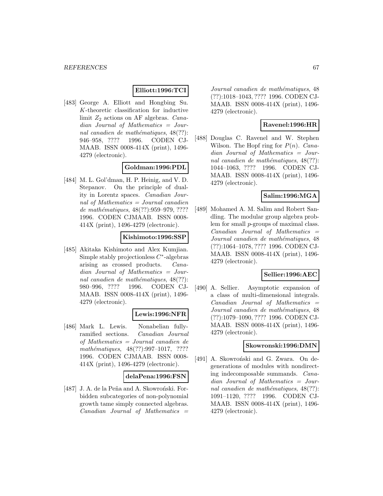### **Elliott:1996:TCI**

[483] George A. Elliott and Hongbing Su. K-theoretic classification for inductive limit  $Z_2$  actions on AF algebras. Canadian Journal of Mathematics = Journal canadien de mathématiques,  $48(??)$ : 946–958, ???? 1996. CODEN CJ-MAAB. ISSN 0008-414X (print), 1496- 4279 (electronic).

## **Goldman:1996:PDL**

[484] M. L. Gol'dman, H. P. Heinig, and V. D. Stepanov. On the principle of duality in Lorentz spaces. Canadian Journal of Mathematics = Journal canadien de mathématiques, 48(??):959–979, ???? 1996. CODEN CJMAAB. ISSN 0008- 414X (print), 1496-4279 (electronic).

### **Kishimoto:1996:SSP**

[485] Akitaka Kishimoto and Alex Kumjian. Simple stably projectionless  $C^*$ -algebras arising as crossed products. Canadian Journal of Mathematics = Journal canadien de mathématiques,  $48(??)$ : 980–996, ???? 1996. CODEN CJ-MAAB. ISSN 0008-414X (print), 1496- 4279 (electronic).

## **Lewis:1996:NFR**

[486] Mark L. Lewis. Nonabelian fullyramified sections. Canadian Journal of Mathematics = Journal canadien de mathématiques,  $48(??):997-1017$ , ???? 1996. CODEN CJMAAB. ISSN 0008- 414X (print), 1496-4279 (electronic).

#### **delaPena:1996:FSN**

[487] J. A. de la Peña and A. Skowroński. Forbidden subcategories of non-polynomial growth tame simply connected algebras.  $Canadian$  Journal of Mathematics  $=$ 

Journal canadien de mathématiques, 48 (??):1018–1043, ???? 1996. CODEN CJ-MAAB. ISSN 0008-414X (print), 1496- 4279 (electronic).

### **Ravenel:1996:HR**

[488] Douglas C. Ravenel and W. Stephen Wilson. The Hopf ring for  $P(n)$ . Canadian Journal of Mathematics = Journal canadien de mathématiques,  $48(??)$ : 1044–1063, ???? 1996. CODEN CJ-MAAB. ISSN 0008-414X (print), 1496- 4279 (electronic).

## **Salim:1996:MGA**

[489] Mohamed A. M. Salim and Robert Sandling. The modular group algebra problem for small p-groups of maximal class.  $Canadian$  Journal of Mathematics  $=$ Journal canadien de mathématiques, 48 (??):1064–1078, ???? 1996. CODEN CJ-MAAB. ISSN 0008-414X (print), 1496- 4279 (electronic).

#### **Sellier:1996:AEC**

[490] A. Sellier. Asymptotic expansion of a class of multi-dimensional integrals.  $Canadian$  Journal of Mathematics  $=$ Journal canadien de mathématiques, 48 (??):1079–1090, ???? 1996. CODEN CJ-MAAB. ISSN 0008-414X (print), 1496- 4279 (electronic).

#### **Skowronski:1996:DMN**

[491] A. Skowroński and G. Zwara. On degenerations of modules with nondirecting indecomposable summands. Canadian Journal of Mathematics = Journal canadien de mathématiques,  $48(??)$ : 1091–1120, ???? 1996. CODEN CJ-MAAB. ISSN 0008-414X (print), 1496- 4279 (electronic).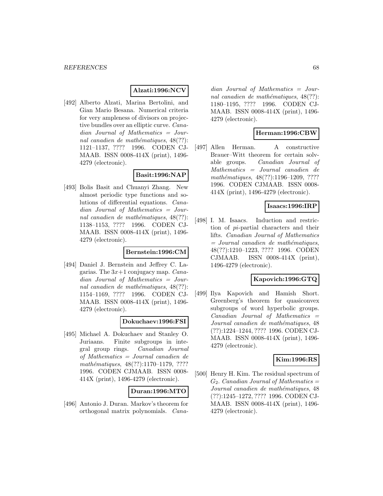### **Alzati:1996:NCV**

[492] Alberto Alzati, Marina Bertolini, and Gian Mario Besana. Numerical criteria for very ampleness of divisors on projective bundles over an elliptic curve. Canadian Journal of Mathematics = Journal canadien de mathématiques,  $48(??)$ : 1121–1137, ???? 1996. CODEN CJ-MAAB. ISSN 0008-414X (print), 1496- 4279 (electronic).

## **Basit:1996:NAP**

[493] Bolis Basit and Chuanyi Zhang. New almost periodic type functions and solutions of differential equations. Canadian Journal of Mathematics = Journal canadien de mathématiques,  $48(??)$ : 1138–1153, ???? 1996. CODEN CJ-MAAB. ISSN 0008-414X (print), 1496- 4279 (electronic).

#### **Bernstein:1996:CM**

[494] Daniel J. Bernstein and Jeffrey C. Lagarias. The  $3x+1$  conjugacy map. *Cana*dian Journal of Mathematics = Journal canadien de mathématiques,  $48(??)$ : 1154–1169, ???? 1996. CODEN CJ-MAAB. ISSN 0008-414X (print), 1496- 4279 (electronic).

#### **Dokuchaev:1996:FSI**

[495] Michael A. Dokuchaev and Stanley O. Juriaans. Finite subgroups in integral group rings. Canadian Journal of Mathematics = Journal canadien de mathématiques,  $48(??):1170-1179, ????$ 1996. CODEN CJMAAB. ISSN 0008- 414X (print), 1496-4279 (electronic).

#### **Duran:1996:MTO**

[496] Antonio J. Duran. Markov's theorem for orthogonal matrix polynomials. Cana-

dian Journal of Mathematics = Journal canadien de mathématiques,  $48(??)$ : 1180–1195, ???? 1996. CODEN CJ-MAAB. ISSN 0008-414X (print), 1496- 4279 (electronic).

## **Herman:1996:CBW**

[497] Allen Herman. A constructive Brauer–Witt theorem for certain solvable groups. Canadian Journal of Mathematics = Journal canadien de mathématiques, 48(??):1196-1209, ???? 1996. CODEN CJMAAB. ISSN 0008- 414X (print), 1496-4279 (electronic).

### **Isaacs:1996:IRP**

[498] I. M. Isaacs. Induction and restriction of pi-partial characters and their lifts. Canadian Journal of Mathematics  $=$  Journal canadien de mathématiques, 48(??):1210–1223, ???? 1996. CODEN CJMAAB. ISSN 0008-414X (print), 1496-4279 (electronic).

## **Kapovich:1996:GTQ**

[499] Ilya Kapovich and Hamish Short. Greenberg's theorem for quasiconvex subgroups of word hyperbolic groups.  $Canadian$  Journal of Mathematics  $=$ Journal canadien de mathématiques, 48 (??):1224–1244, ???? 1996. CODEN CJ-MAAB. ISSN 0008-414X (print), 1496- 4279 (electronic).

### **Kim:1996:RS**

[500] Henry H. Kim. The residual spectrum of  $G_2$ . Canadian Journal of Mathematics = Journal canadien de mathématiques, 48 (??):1245–1272, ???? 1996. CODEN CJ-MAAB. ISSN 0008-414X (print), 1496- 4279 (electronic).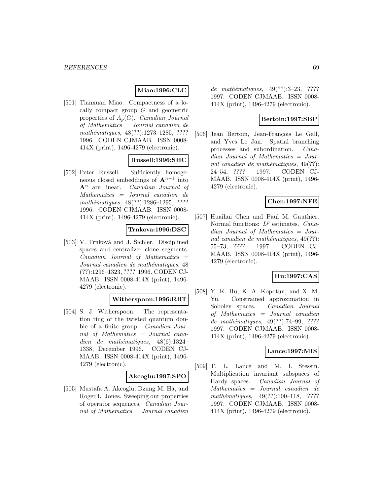### **Miao:1996:CLC**

[501] Tianxuan Miao. Compactness of a locally compact group G and geometric properties of  $A_p(G)$ . Canadian Journal of Mathematics = Journal canadien de mathématiques, 48(??):1273-1285, ???? 1996. CODEN CJMAAB. ISSN 0008- 414X (print), 1496-4279 (electronic).

## **Russell:1996:SHC**

[502] Peter Russell. Sufficiently homogeneous closed embeddings of  $\mathbf{A}^{n-1}$  into **A**<sup>n</sup> are linear. Canadian Journal of Mathematics = Journal canadien de mathématiques, 48(??):1286-1295, ???? 1996. CODEN CJMAAB. ISSN 0008- 414X (print), 1496-4279 (electronic).

### **Trnkova:1996:DSC**

[503] V. Trnková and J. Sichler. Disciplined spaces and centralizer clone segments.  $Canadian$  Journal of Mathematics  $=$ Journal canadien de mathématiques, 48 (??):1296–1323, ???? 1996. CODEN CJ-MAAB. ISSN 0008-414X (print), 1496- 4279 (electronic).

#### **Witherspoon:1996:RRT**

[504] S. J. Witherspoon. The representation ring of the twisted quantum double of a finite group. Canadian Journal of Mathematics = Journal canadien de mathématiques,  $48(6):1324-$ 1338, December 1996. CODEN CJ-MAAB. ISSN 0008-414X (print), 1496- 4279 (electronic).

#### **Akcoglu:1997:SPO**

[505] Mustafa A. Akcoglu, Dzung M. Ha, and Roger L. Jones. Sweeping out properties of operator sequences. Canadian Journal of Mathematics = Journal canadien de mathématiques,  $49(??):3-23$ , ???? 1997. CODEN CJMAAB. ISSN 0008- 414X (print), 1496-4279 (electronic).

## **Bertoin:1997:SBP**

[506] Jean Bertoin, Jean-François Le Gall, and Yves Le Jan. Spatial branching processes and subordination. Canadian Journal of Mathematics = Journal canadien de mathématiques,  $49(??)$ : 24–54, ???? 1997. CODEN CJ-MAAB. ISSN 0008-414X (print), 1496- 4279 (electronic).

## **Chen:1997:NFE**

[507] Huaihui Chen and Paul M. Gauthier. Normal functions:  $L^p$  estimates. Canadian Journal of Mathematics = Journal canadien de mathématiques,  $49(??)$ : 55–73, ???? 1997. CODEN CJ-MAAB. ISSN 0008-414X (print), 1496- 4279 (electronic).

## **Hu:1997:CAS**

[508] Y. K. Hu, K. A. Kopotun, and X. M. Yu. Constrained approximation in Sobolev spaces. Canadian Journal of Mathematics = Journal canadien de mathématiques, 49(??):74-99, ???? 1997. CODEN CJMAAB. ISSN 0008- 414X (print), 1496-4279 (electronic).

### **Lance:1997:MIS**

[509] T. L. Lance and M. I. Stessin. Multiplication invariant subspaces of Hardy spaces. Canadian Journal of Mathematics = Journal canadien de mathématiques,  $49(??):100-118$ , ???? 1997. CODEN CJMAAB. ISSN 0008- 414X (print), 1496-4279 (electronic).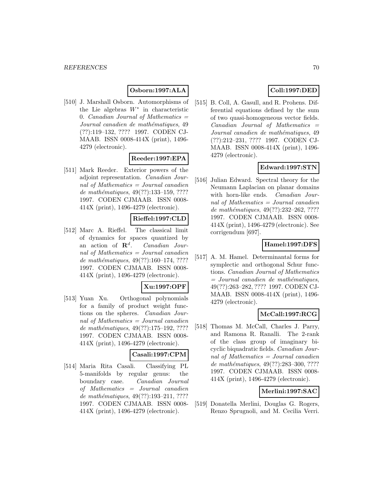# **Osborn:1997:ALA**

[510] J. Marshall Osborn. Automorphisms of the Lie algebras  $W^*$  in characteristic 0. Canadian Journal of Mathematics  $=$ Journal canadien de mathématiques, 49 (??):119–132, ???? 1997. CODEN CJ-MAAB. ISSN 0008-414X (print), 1496- 4279 (electronic).

## **Reeder:1997:EPA**

[511] Mark Reeder. Exterior powers of the adjoint representation. Canadian Journal of Mathematics  $=$  Journal canadien de mathématiques,  $49(??):133-159, ????$ 1997. CODEN CJMAAB. ISSN 0008- 414X (print), 1496-4279 (electronic).

### **Rieffel:1997:CLD**

[512] Marc A. Rieffel. The classical limit of dynamics for spaces quantized by an action of **R**<sup>d</sup>. Canadian Journal of Mathematics = Journal canadien de mathématiques,  $49(??):160-174, ????$ 1997. CODEN CJMAAB. ISSN 0008- 414X (print), 1496-4279 (electronic).

## **Xu:1997:OPF**

[513] Yuan Xu. Orthogonal polynomials for a family of product weight functions on the spheres. Canadian Journal of Mathematics  $=$  Journal canadien de mathématiques,  $49(??):175-192, ????$ 1997. CODEN CJMAAB. ISSN 0008- 414X (print), 1496-4279 (electronic).

#### **Casali:1997:CPM**

[514] Maria Rita Casali. Classifying PL 5-manifolds by regular genus: the boundary case. Canadian Journal of Mathematics = Journal canadien de mathématiques,  $49(??):193-211, ????$ 1997. CODEN CJMAAB. ISSN 0008- 414X (print), 1496-4279 (electronic).

# **Coll:1997:DED**

[515] B. Coll, A. Gasull, and R. Prohens. Differential equations defined by the sum of two quasi-homogeneous vector fields.  $Canadian$  Journal of Mathematics  $=$ Journal canadien de mathématiques, 49 (??):212–231, ???? 1997. CODEN CJ-MAAB. ISSN 0008-414X (print), 1496- 4279 (electronic).

## **Edward:1997:STN**

[516] Julian Edward. Spectral theory for the Neumann Laplacian on planar domains with horn-like ends. Canadian Journal of Mathematics = Journal canadien de mathématiques,  $49(??):232-262, ????$ 1997. CODEN CJMAAB. ISSN 0008- 414X (print), 1496-4279 (electronic). See corrigendum [697].

### **Hamel:1997:DFS**

[517] A. M. Hamel. Determinantal forms for symplectic and orthogonal Schur functions. Canadian Journal of Mathematics  $=$  Journal canadien de mathématiques, 49(??):263–282, ???? 1997. CODEN CJ-MAAB. ISSN 0008-414X (print), 1496- 4279 (electronic).

#### **McCall:1997:RCG**

[518] Thomas M. McCall, Charles J. Parry, and Ramona R. Ranalli. The 2-rank of the class group of imaginary bicyclic biquadratic fields. Canadian Journal of Mathematics = Journal canadien de mathématiques, 49(??):283-300, ???? 1997. CODEN CJMAAB. ISSN 0008- 414X (print), 1496-4279 (electronic).

## **Merlini:1997:SAC**

[519] Donatella Merlini, Douglas G. Rogers, Renzo Sprugnoli, and M. Cecilia Verri.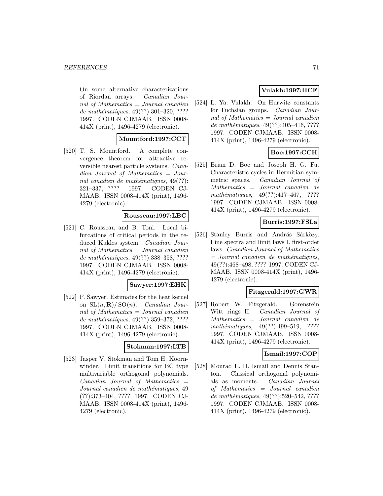#### *REFERENCES* 71

On some alternative characterizations of Riordan arrays. Canadian Journal of Mathematics  $=$  Journal canadien de mathématiques,  $49(??):301-320, ????$ 1997. CODEN CJMAAB. ISSN 0008- 414X (print), 1496-4279 (electronic).

### **Mountford:1997:CCT**

[520] T. S. Mountford. A complete convergence theorem for attractive reversible nearest particle systems. Canadian Journal of Mathematics = Journal canadien de mathématiques,  $49(??)$ : 321–337, ???? 1997. CODEN CJ-MAAB. ISSN 0008-414X (print), 1496- 4279 (electronic).

### **Rousseau:1997:LBC**

[521] C. Rousseau and B. Toni. Local bifurcations of critical periods in the reduced Kukles system. Canadian Journal of Mathematics = Journal canadien de mathématiques, 49(??):338–358, ???? 1997. CODEN CJMAAB. ISSN 0008- 414X (print), 1496-4279 (electronic).

#### **Sawyer:1997:EHK**

[522] P. Sawyer. Estimates for the heat kernel on  $SL(n, \mathbf{R})/SO(n)$ . *Canadian Jour*nal of Mathematics = Journal canadien de mathématiques, 49(??):359-372, ???? 1997. CODEN CJMAAB. ISSN 0008- 414X (print), 1496-4279 (electronic).

#### **Stokman:1997:LTB**

[523] Jasper V. Stokman and Tom H. Koornwinder. Limit transitions for BC type multivariable orthogonal polynomials.  $Canadian$  Journal of Mathematics  $=$ Journal canadien de mathématiques, 49 (??):373–404, ???? 1997. CODEN CJ-MAAB. ISSN 0008-414X (print), 1496- 4279 (electronic).

# **Vulakh:1997:HCF**

[524] L. Ya. Vulakh. On Hurwitz constants for Fuchsian groups. Canadian Journal of Mathematics  $=$  Journal canadien de mathématiques,  $49(??):405-416, ????$ 1997. CODEN CJMAAB. ISSN 0008- 414X (print), 1496-4279 (electronic).

# **Boe:1997:CCH**

[525] Brian D. Boe and Joseph H. G. Fu. Characteristic cycles in Hermitian symmetric spaces. Canadian Journal of Mathematics = Journal canadien de mathématiques,  $49(??):417-467$ , ???? 1997. CODEN CJMAAB. ISSN 0008- 414X (print), 1496-4279 (electronic).

### **Burris:1997:FSLa**

[526] Stanley Burris and András Sárközy. Fine spectra and limit laws I. first-order laws. Canadian Journal of Mathematics  $=$  Journal canadien de mathématiques, 49(??):468–498, ???? 1997. CODEN CJ-MAAB. ISSN 0008-414X (print), 1496- 4279 (electronic).

#### **Fitzgerald:1997:GWR**

[527] Robert W. Fitzgerald. Gorenstein Witt rings II. Canadian Journal of Mathematics = Journal canadien de mathématiques, 49(??):499–519, ???? 1997. CODEN CJMAAB. ISSN 0008- 414X (print), 1496-4279 (electronic).

#### **Ismail:1997:COP**

[528] Mourad E. H. Ismail and Dennis Stanton. Classical orthogonal polynomials as moments. Canadian Journal of Mathematics = Journal canadien de mathématiques, 49(??):520–542, ???? 1997. CODEN CJMAAB. ISSN 0008- 414X (print), 1496-4279 (electronic).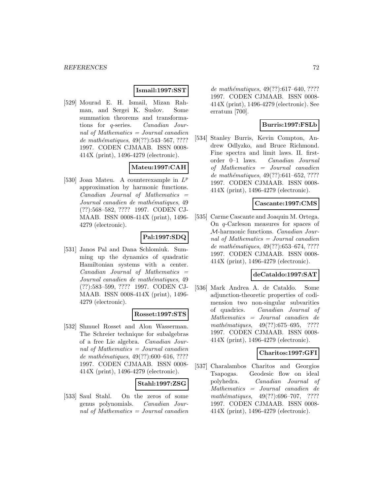#### **Ismail:1997:SST**

[529] Mourad E. H. Ismail, Mizan Rahman, and Sergei K. Suslov. Some summation theorems and transformations for q-series. Canadian Journal of Mathematics = Journal canadien de mathématiques,  $49(??):543-567, ????$ 1997. CODEN CJMAAB. ISSN 0008- 414X (print), 1496-4279 (electronic).

# **Mateu:1997:CAH**

[530] Joan Mateu. A counterexample in  $L^p$ approximation by harmonic functions.  $Canadian$  Journal of Mathematics  $=$ Journal canadien de mathématiques, 49 (??):568–582, ???? 1997. CODEN CJ-MAAB. ISSN 0008-414X (print), 1496- 4279 (electronic).

# **Pal:1997:SDQ**

[531] Janos Pal and Dana Schlomiuk. Summing up the dynamics of quadratic Hamiltonian systems with a center.  $Canadian$  Journal of Mathematics  $=$ Journal canadien de mathématiques, 49 (??):583–599, ???? 1997. CODEN CJ-MAAB. ISSN 0008-414X (print), 1496- 4279 (electronic).

## **Rosset:1997:STS**

[532] Shmuel Rosset and Alon Wasserman. The Schreier technique for subalgebras of a free Lie algebra. Canadian Journal of Mathematics = Journal canadien de mathématiques,  $49(??):600–616, ????$ 1997. CODEN CJMAAB. ISSN 0008- 414X (print), 1496-4279 (electronic).

## **Stahl:1997:ZSG**

[533] Saul Stahl. On the zeros of some genus polynomials. Canadian Journal of Mathematics  $=$  Journal canadien

de mathématiques,  $49(??):617-640, ????$ 1997. CODEN CJMAAB. ISSN 0008- 414X (print), 1496-4279 (electronic). See erratum [700].

## **Burris:1997:FSLb**

[534] Stanley Burris, Kevin Compton, Andrew Odlyzko, and Bruce Richmond. Fine spectra and limit laws. II. firstorder 0–1 laws. Canadian Journal of Mathematics = Journal canadien de mathématiques, 49(??):641-652, ???? 1997. CODEN CJMAAB. ISSN 0008- 414X (print), 1496-4279 (electronic).

### **Cascante:1997:CMS**

[535] Carme Cascante and Joaquin M. Ortega. On q-Carleson measures for spaces of M-harmonic functions. Canadian Journal of Mathematics = Journal canadien de mathématiques, 49(??):653–674, ???? 1997. CODEN CJMAAB. ISSN 0008- 414X (print), 1496-4279 (electronic).

#### **deCataldo:1997:SAT**

[536] Mark Andrea A. de Cataldo. Some adjunction-theoretic properties of codimension two non-singular subvarities of quadrics. Canadian Journal of Mathematics = Journal canadien de mathématiques,  $49(??):675-695$ , ???? 1997. CODEN CJMAAB. ISSN 0008- 414X (print), 1496-4279 (electronic).

## **Charitos:1997:GFI**

[537] Charalambos Charitos and Georgios Tsapogas. Geodesic flow on ideal polyhedra. Canadian Journal of Mathematics = Journal canadien de mathématiques,  $49(??):696-707$ , ???? 1997. CODEN CJMAAB. ISSN 0008- 414X (print), 1496-4279 (electronic).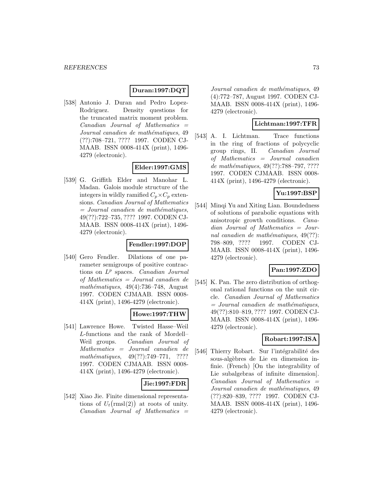# **Duran:1997:DQT**

[538] Antonio J. Duran and Pedro Lopez-Rodriguez. Density questions for the truncated matrix moment problem.  $Canadian$  Journal of Mathematics  $=$ Journal canadien de mathématiques, 49 (??):708–721, ???? 1997. CODEN CJ-MAAB. ISSN 0008-414X (print), 1496- 4279 (electronic).

# **Elder:1997:GMS**

[539] G. Griffith Elder and Manohar L. Madan. Galois module structure of the integers in wildly ramified  $C_p \times C_p$  extensions. Canadian Journal of Mathematics  $=$  Journal canadien de mathématiques, 49(??):722–735, ???? 1997. CODEN CJ-MAAB. ISSN 0008-414X (print), 1496- 4279 (electronic).

# **Fendler:1997:DOP**

[540] Gero Fendler. Dilations of one parameter semigroups of positive contractions on  $L^p$  spaces. *Canadian Journal* of Mathematics = Journal canadien de mathématiques,  $49(4)$ :736–748, August 1997. CODEN CJMAAB. ISSN 0008- 414X (print), 1496-4279 (electronic).

# **Howe:1997:THW**

[541] Lawrence Howe. Twisted Hasse–Weil L-functions and the rank of Mordell– Weil groups. Canadian Journal of Mathematics = Journal canadien de mathématiques,  $49(??):749-771$ , ???? 1997. CODEN CJMAAB. ISSN 0008- 414X (print), 1496-4279 (electronic).

# **Jie:1997:FDR**

[542] Xiao Jie. Finite dimensional representations of  $U_t(rmsl(2))$  at roots of unity.  $Canadian$  Journal of Mathematics  $=$ 

Journal canadien de mathématiques, 49 (4):772–787, August 1997. CODEN CJ-MAAB. ISSN 0008-414X (print), 1496- 4279 (electronic).

# **Lichtman:1997:TFR**

[543] A. I. Lichtman. Trace functions in the ring of fractions of polycyclic group rings, II. Canadian Journal of Mathematics = Journal canadien de mathématiques, 49(??):788–797, ????? 1997. CODEN CJMAAB. ISSN 0008- 414X (print), 1496-4279 (electronic).

# **Yu:1997:BSP**

[544] Minqi Yu and Xiting Lian. Boundedness of solutions of parabolic equations with anisotropic growth conditions. Canadian Journal of Mathematics = Journal canadien de mathématiques,  $49(??)$ : 798–809, ???? 1997. CODEN CJ-MAAB. ISSN 0008-414X (print), 1496- 4279 (electronic).

# **Pan:1997:ZDO**

[545] K. Pan. The zero distribution of orthogonal rational functions on the unit circle. Canadian Journal of Mathematics  $=$  Journal canadien de mathématiques, 49(??):810–819, ???? 1997. CODEN CJ-MAAB. ISSN 0008-414X (print), 1496- 4279 (electronic).

# **Robart:1997:ISA**

[546] Thierry Robart. Sur l'intégrabilité des sous-algèbres de Lie en dimension infinie. (French) [On the integrability of Lie subalgebras of infinite dimension].  $Canadian$  Journal of Mathematics  $=$ Journal canadien de mathématiques, 49 (??):820–839, ???? 1997. CODEN CJ-MAAB. ISSN 0008-414X (print), 1496- 4279 (electronic).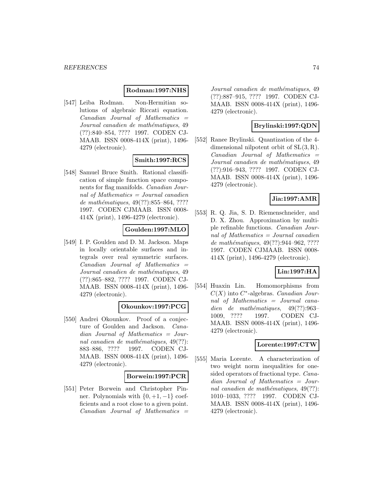## **Rodman:1997:NHS**

[547] Leiba Rodman. Non-Hermitian solutions of algebraic Riccati equation.  $Canadian$  Journal of Mathematics  $=$ Journal canadien de mathématiques, 49 (??):840–854, ???? 1997. CODEN CJ-MAAB. ISSN 0008-414X (print), 1496- 4279 (electronic).

# **Smith:1997:RCS**

[548] Samuel Bruce Smith. Rational classification of simple function space components for flag manifolds. Canadian Journal of Mathematics = Journal canadien de mathématiques, 49(??):855–864, ???? 1997. CODEN CJMAAB. ISSN 0008- 414X (print), 1496-4279 (electronic).

# **Goulden:1997:MLO**

[549] I. P. Goulden and D. M. Jackson. Maps in locally orientable surfaces and integrals over real symmetric surfaces.  $Canadian$  Journal of Mathematics  $=$ Journal canadien de mathématiques, 49 (??):865–882, ???? 1997. CODEN CJ-MAAB. ISSN 0008-414X (print), 1496- 4279 (electronic).

# **Okounkov:1997:PCG**

[550] Andrei Okounkov. Proof of a conjecture of Goulden and Jackson. Canadian Journal of Mathematics = Journal canadien de mathématiques,  $49(??)$ : 883–886, ???? 1997. CODEN CJ-MAAB. ISSN 0008-414X (print), 1496- 4279 (electronic).

### **Borwein:1997:PCR**

[551] Peter Borwein and Christopher Pinner. Polynomials with  $\{0, +1, -1\}$  coefficients and a root close to a given point.  $Canadian$  Journal of Mathematics  $=$  Journal canadien de mathématiques, 49 (??):887–915, ???? 1997. CODEN CJ-MAAB. ISSN 0008-414X (print), 1496- 4279 (electronic).

# **Brylinski:1997:QDN**

[552] Ranee Brylinski. Quantization of the 4 dimensional nilpotent orbit of  $SL(3, R)$ .  $Canadian$  Journal of Mathematics  $=$ Journal canadien de mathématiques, 49 (??):916–943, ???? 1997. CODEN CJ-MAAB. ISSN 0008-414X (print), 1496- 4279 (electronic).

## **Jia:1997:AMR**

[553] R. Q. Jia, S. D. Riemenschneider, and D. X. Zhou. Approximation by multiple refinable functions. Canadian Journal of Mathematics = Journal canadien de mathématiques,  $49(??):944-962, ????$ 1997. CODEN CJMAAB. ISSN 0008- 414X (print), 1496-4279 (electronic).

## **Lin:1997:HA**

[554] Huaxin Lin. Homomorphisms from  $C(X)$  into  $C^*$ -algebras. *Canadian Jour*nal of Mathematics = Journal canadien de mathématiques,  $49(??):963-$ 1009, ???? 1997. CODEN CJ-MAAB. ISSN 0008-414X (print), 1496- 4279 (electronic).

# **Lorente:1997:CTW**

[555] Maria Lorente. A characterization of two weight norm inequalities for onesided operators of fractional type. Canadian Journal of Mathematics = Journal canadien de mathématiques,  $49(??)$ : 1010–1033, ???? 1997. CODEN CJ-MAAB. ISSN 0008-414X (print), 1496- 4279 (electronic).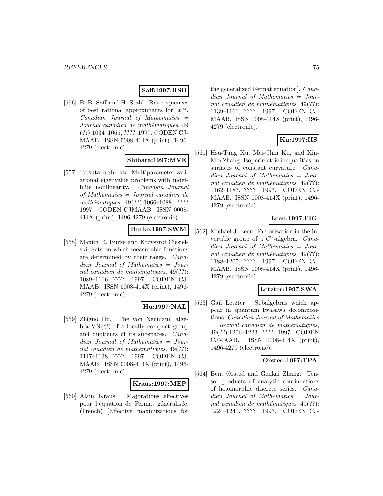# **Saff:1997:RSB**

[556] E. B. Saff and H. Stahl. Ray sequences of best rational approximants for  $|x|^\alpha$ .  $Canadian$  Journal of Mathematics  $=$ Journal canadien de mathématiques, 49 (??):1034–1065, ???? 1997. CODEN CJ-MAAB. ISSN 0008-414X (print), 1496- 4279 (electronic).

# **Shibata:1997:MVE**

[557] Tetsutaro Shibata. Multiparameter variational eigenvalue problems with indefinite nonlinearity. Canadian Journal of Mathematics = Journal canadien de mathématiques, 49(??):1066-1088, ???? 1997. CODEN CJMAAB. ISSN 0008- 414X (print), 1496-4279 (electronic).

# **Burke:1997:SWM**

[558] Maxim R. Burke and Krzysztof Ciesielski. Sets on which measurable functions are determined by their range. Canadian Journal of Mathematics = Journal canadien de mathématiques,  $49(??)$ : 1089–1116, ???? 1997. CODEN CJ-MAAB. ISSN 0008-414X (print), 1496- 4279 (electronic).

### **Hu:1997:NAL**

[559] Zhiguo Hu. The von Neumann algebra  $VN(G)$  of a locally compact group and quotients of its subspaces. Canadian Journal of Mathematics = Journal canadien de mathématiques,  $49(??)$ : 1117–1138, ???? 1997. CODEN CJ-MAAB. ISSN 0008-414X (print), 1496- 4279 (electronic).

#### **Kraus:1997:MEP**

[560] Alain Kraus. Majorations effectives pour l'équation de Fermat généralisée. (French) [Effective maximizations for

the generalized Fermat equation]. Canadian Journal of Mathematics = Journal canadien de mathématiques,  $49(??)$ : 1139–1161, ???? 1997. CODEN CJ-MAAB. ISSN 0008-414X (print), 1496- 4279 (electronic).

# **Ku:1997:IIS**

[561] Hsu-Tung Ku, Mei-Chin Ku, and Xin-Min Zhang. Isoperimetric inequalities on surfaces of constant curvature. *Cana*dian Journal of Mathematics = Journal canadien de mathématiques,  $49(??)$ : 1162–1187, ???? 1997. CODEN CJ-MAAB. ISSN 0008-414X (print), 1496- 4279 (electronic).

## **Leen:1997:FIG**

[562] Michael J. Leen. Factorization in the invertible group of a C∗-algebra. Canadian Journal of Mathematics = Journal canadien de mathématiques,  $49(??)$ : 1188–1205, ???? 1997. CODEN CJ-MAAB. ISSN 0008-414X (print), 1496- 4279 (electronic).

# **Letzter:1997:SWA**

[563] Gail Letzter. Subalgebras which appear in quantum Iwasawa decompositions. Canadian Journal of Mathematics  $=$  Journal canadien de mathématiques, 49(??):1206–1223, ???? 1997. CODEN CJMAAB. ISSN 0008-414X (print), 1496-4279 (electronic).

## **Orsted:1997:TPA**

[564] Bent Ørsted and Genkai Zhang. Tensor products of analytic continuations of holomorphic discrete series. Canadian Journal of Mathematics = Journal canadien de mathématiques,  $49(??)$ : 1224–1241, ???? 1997. CODEN CJ-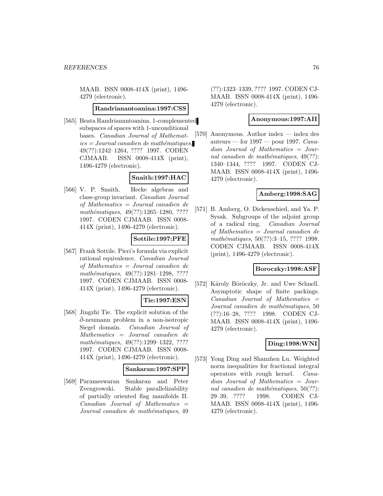MAAB. ISSN 0008-414X (print), 1496- 4279 (electronic).

#### **Randrianantoanina:1997:CSS**

[565] Beata Randrianantoanina. 1-complemented subspaces of spaces with 1-unconditional bases. Canadian Journal of Mathemat $ics = Journal\,c$  and  $i$ emathématiques, 49(??):1242–1264, ???? 1997. CODEN CJMAAB. ISSN 0008-414X (print), 1496-4279 (electronic).

## **Snaith:1997:HAC**

[566] V. P. Snaith. Hecke algebras and class-group invariant. Canadian Journal of Mathematics = Journal canadien de mathématiques, 49(??):1265-1280, ???? 1997. CODEN CJMAAB. ISSN 0008- 414X (print), 1496-4279 (electronic).

## **Sottile:1997:PFE**

[567] Frank Sottile. Pieri's formula via explicit rational equivalence. Canadian Journal of Mathematics = Journal canadien de mathématiques, 49(??):1281-1298, ???? 1997. CODEN CJMAAB. ISSN 0008- 414X (print), 1496-4279 (electronic).

## **Tie:1997:ESN**

[568] Jingzhi Tie. The explicit solution of the  $\bar{\partial}$ -neumann problem in a non-isotropic Siegel domain. Canadian Journal of Mathematics = Journal canadien de mathématiques, 49(??):1299–1322, ???? 1997. CODEN CJMAAB. ISSN 0008- 414X (print), 1496-4279 (electronic).

#### **Sankaran:1997:SPP**

[569] Parameswaran Sankaran and Peter Zvengrowski. Stable parallelizability of partially oriented flag manifolds II.  $Canadian$  Journal of Mathematics  $=$ Journal canadien de mathématiques, 49 (??):1323–1339, ???? 1997. CODEN CJ-MAAB. ISSN 0008-414X (print), 1496- 4279 (electronic).

## **Anonymous:1997:AII**

[570] Anonymous. Author index — index des auteurs — for  $1997$  — pour 1997. Canadian Journal of Mathematics = Journal canadien de mathématiques,  $49(??)$ : 1340–1344, ???? 1997. CODEN CJ-MAAB. ISSN 0008-414X (print), 1496- 4279 (electronic).

# **Amberg:1998:SAG**

[571] B. Amberg, O. Dickenschied, and Ya. P. Sysak. Subgroups of the adjoint group of a radical ring. Canadian Journal of Mathematics = Journal canadien de mathématiques, 50(??):3-15, ???? 1998. CODEN CJMAAB. ISSN 0008-414X (print), 1496-4279 (electronic).

### **Boroczky:1998:ASF**

[572] Károly Böröczky, Jr. and Uwe Schnell. Asymptotic shape of finite packings.  $Canadian$  Journal of Mathematics  $=$ Journal canadien de mathématiques, 50 (??):16–28, ???? 1998. CODEN CJ-MAAB. ISSN 0008-414X (print), 1496- 4279 (electronic).

### **Ding:1998:WNI**

[573] Yong Ding and Shanzhen Lu. Weighted norm inequalities for fractional integral operators with rough kernel. Canadian Journal of Mathematics = Journal canadien de mathématiques,  $50(??)$ : 29–39, ???? 1998. CODEN CJ-MAAB. ISSN 0008-414X (print), 1496- 4279 (electronic).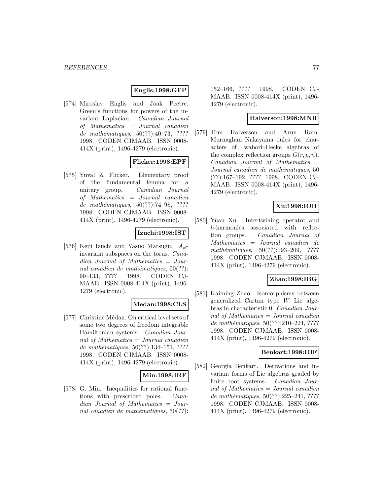# **Englis:1998:GFP**

[574] Miroslav Englis and Jaak Peetre. Green's functions for powers of the invariant Laplacian. Canadian Journal of Mathematics = Journal canadien de mathématiques,  $50(??):40-73$ , ???? 1998. CODEN CJMAAB. ISSN 0008- 414X (print), 1496-4279 (electronic).

# **Flicker:1998:EPF**

[575] Yuval Z. Flicker. Elementary proof of the fundamental lemma for a unitary group. Canadian Journal of Mathematics = Journal canadien de mathématiques,  $50(??):74-98, ????$ 1998. CODEN CJMAAB. ISSN 0008- 414X (print), 1496-4279 (electronic).

#### **Izuchi:1998:IST**

[576] Keiji Izuchi and Yasuo Matsugu.  $A_{\phi}$ invariant subspaces on the torus. Canadian Journal of Mathematics = Journal canadien de mathématiques,  $50(??)$ : 99–133, ???? 1998. CODEN CJ-MAAB. ISSN 0008-414X (print), 1496- 4279 (electronic).

## **Medan:1998:CLS**

[577] Christine Médan. On critical level sets of some two degrees of freedom integrable Hamiltonian systems. Canadian Journal of Mathematics = Journal canadien de mathématiques,  $50(??):134-151, ????$ 1998. CODEN CJMAAB. ISSN 0008- 414X (print), 1496-4279 (electronic).

### **Min:1998:IRF**

[578] G. Min. Inequalities for rational functions with prescribed poles. Canadian Journal of Mathematics = Journal canadien de mathématiques,  $50(??)$ :

152–166, ???? 1998. CODEN CJ-MAAB. ISSN 0008-414X (print), 1496- 4279 (electronic).

#### **Halverson:1998:MNR**

[579] Tom Halverson and Arun Ram. Murnaghan–Nakayama rules for characters of Iwahori–Hecke algebras of the complex reflection groups  $G(r, p, n)$ .  $Canadian$  Journal of Mathematics  $=$ Journal canadien de mathématiques, 50 (??):167–192, ???? 1998. CODEN CJ-MAAB. ISSN 0008-414X (print), 1496- 4279 (electronic).

# **Xu:1998:IOH**

[580] Yuan Xu. Intertwining operator and h-harmonics associated with reflection groups. Canadian Journal of Mathematics = Journal canadien de mathématiques,  $50(??):193-209$ , ???? 1998. CODEN CJMAAB. ISSN 0008- 414X (print), 1496-4279 (electronic).

# **Zhao:1998:IBG**

[581] Kaiming Zhao. Isomorphisms between generalized Cartan type W Lie algebras in characteristic 0. Canadian Journal of Mathematics = Journal canadien de mathématiques,  $50(??):210-224, ????$ 1998. CODEN CJMAAB. ISSN 0008- 414X (print), 1496-4279 (electronic).

### **Benkart:1998:DIF**

[582] Georgia Benkart. Derivations and invariant forms of Lie algebras graded by finite root systems. Canadian Journal of Mathematics = Journal canadien de mathématiques,  $50(??):225-241, ????$ 1998. CODEN CJMAAB. ISSN 0008- 414X (print), 1496-4279 (electronic).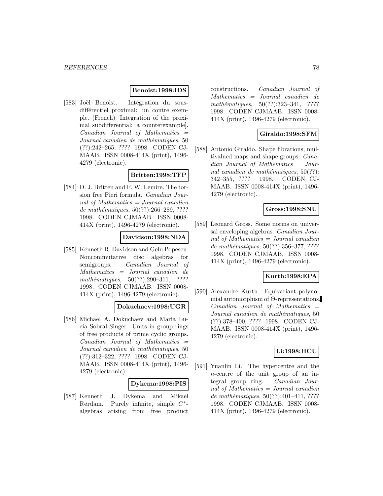## **Benoist:1998:IDS**

[583] Joël Benoist. Intégration du sousdifférentiel proximal: un contre exemple. (French) [Integration of the proximal subdifferential: a counterexample].  $Canadian$  Journal of Mathematics  $=$ Journal canadien de mathématiques, 50 (??):242–265, ???? 1998. CODEN CJ-MAAB. ISSN 0008-414X (print), 1496- 4279 (electronic).

# **Britten:1998:TFP**

[584] D. J. Britten and F. W. Lemire. The torsion free Pieri formula. Canadian Journal of Mathematics = Journal canadien de mathématiques,  $50(??):266-289, ????$ 1998. CODEN CJMAAB. ISSN 0008- 414X (print), 1496-4279 (electronic).

# **Davidson:1998:NDA**

[585] Kenneth R. Davidson and Gelu Popescu. Noncommutative disc algebras for semigroups. Canadian Journal of Mathematics = Journal canadien de mathématiques,  $50(??):290-311$ , ???? 1998. CODEN CJMAAB. ISSN 0008- 414X (print), 1496-4279 (electronic).

# **Dokuchaev:1998:UGR**

[586] Michael A. Dokuchaev and Maria Lucia Sobral Singer. Units in group rings of free products of prime cyclic groups.  $Canadian$  Journal of Mathematics  $=$ Journal canadien de mathématiques, 50 (??):312–322, ???? 1998. CODEN CJ-MAAB. ISSN 0008-414X (print), 1496- 4279 (electronic).

### **Dykema:1998:PIS**

[587] Kenneth J. Dykema and Mikael Rørdam. Purely infinite, simple C∗ algebras arising from free product

constructions. Canadian Journal of Mathematics = Journal canadien de mathématiques, 50(??):323-341, ???? 1998. CODEN CJMAAB. ISSN 0008- 414X (print), 1496-4279 (electronic).

# **Giraldo:1998:SFM**

[588] Antonio Giraldo. Shape fibrations, multivalued maps and shape groups. Canadian Journal of Mathematics = Journal canadien de mathématiques,  $50(??)$ : 342–355, ???? 1998. CODEN CJ-MAAB. ISSN 0008-414X (print), 1496- 4279 (electronic).

## **Gross:1998:SNU**

[589] Leonard Gross. Some norms on universal enveloping algebras. Canadian Journal of Mathematics = Journal canadien de mathématiques,  $50(??):356-377, ????$ 1998. CODEN CJMAAB. ISSN 0008- 414X (print), 1496-4279 (electronic).

### **Kurth:1998:EPA**

[590] Alexandre Kurth. Equivariant polynomial automorphism of Θ-representations. Canadian Journal of Mathematics = Journal canadien de mathématiques, 50 (??):378–400, ???? 1998. CODEN CJ-MAAB. ISSN 0008-414X (print), 1496- 4279 (electronic).

## **Li:1998:HCU**

[591] Yuanlin Li. The hypercentre and the n-centre of the unit group of an integral group ring. Canadian Journal of Mathematics  $=$  Journal canadien de mathématiques,  $50(??):401-411, ????$ 1998. CODEN CJMAAB. ISSN 0008- 414X (print), 1496-4279 (electronic).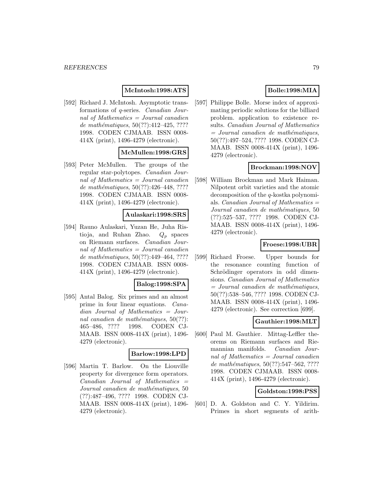# **McIntosh:1998:ATS**

[592] Richard J. McIntosh. Asymptotic transformations of q-series. Canadian Journal of Mathematics = Journal canadien de mathématiques,  $50(??):412-425, ????$ 1998. CODEN CJMAAB. ISSN 0008- 414X (print), 1496-4279 (electronic).

## **McMullen:1998:GRS**

[593] Peter McMullen. The groups of the regular star-polytopes. Canadian Journal of Mathematics = Journal canadien de mathématiques,  $50(??):426-448, ????$ 1998. CODEN CJMAAB. ISSN 0008- 414X (print), 1496-4279 (electronic).

#### **Aulaskari:1998:SRS**

[594] Rauno Aulaskari, Yuzan He, Juha Ristioja, and Ruhan Zhao.  $Q_p$  spaces on Riemann surfaces. Canadian Journal of Mathematics = Journal canadien de mathématiques,  $50(??):449-464, ????$ 1998. CODEN CJMAAB. ISSN 0008- 414X (print), 1496-4279 (electronic).

#### **Balog:1998:SPA**

[595] Antal Balog. Six primes and an almost prime in four linear equations. Canadian Journal of Mathematics = Journal canadien de mathématiques,  $50(??)$ : 465–486, ???? 1998. CODEN CJ-MAAB. ISSN 0008-414X (print), 1496- 4279 (electronic).

#### **Barlow:1998:LPD**

[596] Martin T. Barlow. On the Liouville property for divergence form operators.  $Canadian$  Journal of Mathematics  $=$ Journal canadien de mathématiques, 50 (??):487–496, ???? 1998. CODEN CJ-MAAB. ISSN 0008-414X (print), 1496- 4279 (electronic).

# **Bolle:1998:MIA**

[597] Philippe Bolle. Morse index of approximating periodic solutions for the billiard problem. application to existence results. Canadian Journal of Mathematics  $=$  Journal canadien de mathématiques, 50(??):497–524, ???? 1998. CODEN CJ-MAAB. ISSN 0008-414X (print), 1496- 4279 (electronic).

## **Brockman:1998:NOV**

[598] William Brockman and Mark Haiman. Nilpotent orbit varieties and the atomic decomposition of the q-kostka polynomials. *Canadian Journal of Mathematics*  $=$ Journal canadien de mathématiques, 50 (??):525–537, ???? 1998. CODEN CJ-MAAB. ISSN 0008-414X (print), 1496- 4279 (electronic).

## **Froese:1998:UBR**

[599] Richard Froese. Upper bounds for the resonance counting function of Schrödinger operators in odd dimensions. Canadian Journal of Mathematics  $=$  Journal canadien de mathématiques, 50(??):538–546, ???? 1998. CODEN CJ-MAAB. ISSN 0008-414X (print), 1496- 4279 (electronic). See correction [699].

## **Gauthier:1998:MLT**

[600] Paul M. Gauthier. Mittag-Leffler theorems on Riemann surfaces and Riemannian manifolds. Canadian Journal of Mathematics = Journal canadien de mathématiques,  $50(??):547-562, ????$ 1998. CODEN CJMAAB. ISSN 0008- 414X (print), 1496-4279 (electronic).

### **Goldston:1998:PSS**

[601] D. A. Goldston and C. Y. Yildirim. Primes in short segments of arith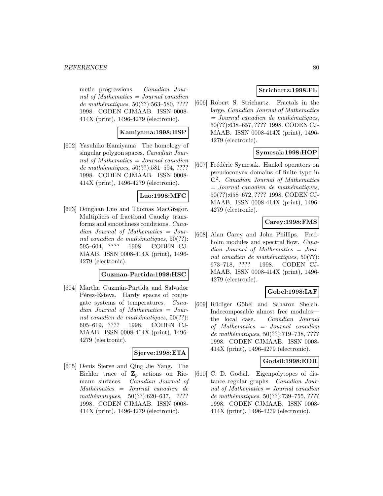metic progressions. Canadian Journal of Mathematics = Journal canadien de mathématiques, 50(??):563-580, ???? 1998. CODEN CJMAAB. ISSN 0008- 414X (print), 1496-4279 (electronic).

## **Kamiyama:1998:HSP**

[602] Yasuhiko Kamiyama. The homology of singular polygon spaces. Canadian Journal of Mathematics  $=$  Journal canadien de mathématiques,  $50(??):581-594, ????$ 1998. CODEN CJMAAB. ISSN 0008- 414X (print), 1496-4279 (electronic).

# **Luo:1998:MFC**

[603] Donghan Luo and Thomas MacGregor. Multipliers of fractional Cauchy transforms and smoothness conditions. Canadian Journal of Mathematics = Journal canadien de mathématiques,  $50(??)$ : 595–604, ???? 1998. CODEN CJ-MAAB. ISSN 0008-414X (print), 1496- 4279 (electronic).

#### **Guzman-Partida:1998:HSC**

[604] Martha Guzmán-Partida and Salvador Pérez-Esteva. Hardy spaces of conjugate systems of temperatures. Canadian Journal of Mathematics = Journal canadien de mathématiques,  $50(??)$ : 605–619, ???? 1998. CODEN CJ-MAAB. ISSN 0008-414X (print), 1496- 4279 (electronic).

### **Sjerve:1998:ETA**

[605] Denis Sjerve and Qing Jie Yang. The Eichler trace of  $\mathbf{Z}_p$  actions on Riemann surfaces. Canadian Journal of Mathematics = Journal canadien de mathématiques,  $50(??):620-637$ , ???? 1998. CODEN CJMAAB. ISSN 0008- 414X (print), 1496-4279 (electronic).

# **Strichartz:1998:FL**

[606] Robert S. Strichartz. Fractals in the large. Canadian Journal of Mathematics  $=$  Journal canadien de mathématiques, 50(??):638–657, ???? 1998. CODEN CJ-MAAB. ISSN 0008-414X (print), 1496- 4279 (electronic).

# **Symesak:1998:HOP**

[607] Frédéric Symesak. Hankel operators on pseudoconvex domains of finite type in **C**<sup>2</sup>. Canadian Journal of Mathematics  $=$  Journal canadien de mathématiques, 50(??):658–672, ???? 1998. CODEN CJ-MAAB. ISSN 0008-414X (print), 1496- 4279 (electronic).

## **Carey:1998:FMS**

[608] Alan Carey and John Phillips. Fredholm modules and spectral flow. *Cana*dian Journal of Mathematics = Journal canadien de mathématiques,  $50(??)$ : 673–718, ???? 1998. CODEN CJ-MAAB. ISSN 0008-414X (print), 1496- 4279 (electronic).

# **Gobel:1998:IAF**

[609] Rüdiger Göbel and Saharon Shelah. Indecomposable almost free modules the local case. Canadian Journal of Mathematics = Journal canadien de mathématiques, 50(??):719-738, ???? 1998. CODEN CJMAAB. ISSN 0008- 414X (print), 1496-4279 (electronic).

### **Godsil:1998:EDR**

[610] C. D. Godsil. Eigenpolytopes of distance regular graphs. Canadian Journal of Mathematics = Journal canadien de mathématiques,  $50(??):739-755, ????$ 1998. CODEN CJMAAB. ISSN 0008- 414X (print), 1496-4279 (electronic).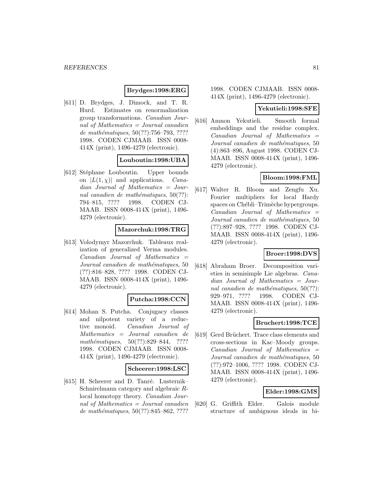## **Brydges:1998:ERG**

[611] D. Brydges, J. Dimock, and T. R. Hurd. Estimates on renormalization group transformations. Canadian Journal of Mathematics = Journal canadien de mathématiques,  $50(??):756-793, ????$ 1998. CODEN CJMAAB. ISSN 0008- 414X (print), 1496-4279 (electronic).

# **Louboutin:1998:UBA**

[612] Stéphane Louboutin. Upper bounds on  $|L(1, \chi)|$  and applications. Canadian Journal of Mathematics = Journal canadien de mathématiques,  $50(??)$ : 794–815, ???? 1998. CODEN CJ-MAAB. ISSN 0008-414X (print), 1496- 4279 (electronic).

## **Mazorchuk:1998:TRG**

[613] Volodymyr Mazorchuk. Tableaux realization of generalized Verma modules.  $Canadian$  Journal of Mathematics  $=$ Journal canadien de mathématiques, 50 (??):816–828, ???? 1998. CODEN CJ-MAAB. ISSN 0008-414X (print), 1496- 4279 (electronic).

# **Putcha:1998:CCN**

[614] Mohan S. Putcha. Conjugacy classes and nilpotent variety of a reductive monoid. Canadian Journal of Mathematics = Journal canadien de mathématiques,  $50(??):829-844$ , ???? 1998. CODEN CJMAAB. ISSN 0008- 414X (print), 1496-4279 (electronic).

### **Scheerer:1998:LSC**

[615] H. Scheerer and D. Tanré. Lusternik– Schnirelmann category and algebraic Rlocal homotopy theory. Canadian Journal of Mathematics  $=$  Journal canadien de mathématiques,  $50(??):845–862, ????$ 

1998. CODEN CJMAAB. ISSN 0008- 414X (print), 1496-4279 (electronic).

### **Yekutieli:1998:SFE**

[616] Amnon Yekutieli. Smooth formal embeddings and the residue complex.  $Canadian$  Journal of Mathematics  $=$ Journal canadien de mathématiques, 50 (4):863–896, August 1998. CODEN CJ-MAAB. ISSN 0008-414X (print), 1496- 4279 (electronic).

# **Bloom:1998:FML**

[617] Walter R. Bloom and Zengfu Xu. Fourier multipliers for local Hardy spaces on Chébli–Trimèche hypergroups.  $Canadian$  Journal of Mathematics  $=$ Journal canadien de mathématiques, 50 (??):897–928, ???? 1998. CODEN CJ-MAAB. ISSN 0008-414X (print), 1496- 4279 (electronic).

# **Broer:1998:DVS**

[618] Abraham Broer. Decomposition varieties in semisimple Lie algebras. Canadian Journal of Mathematics = Journal canadien de mathématiques,  $50(??)$ : 929–971, ???? 1998. CODEN CJ-MAAB. ISSN 0008-414X (print), 1496- 4279 (electronic).

## **Bruchert:1998:TCE**

[619] Gerd Brüchert. Trace class elements and cross-sections in Kac–Moody groups.  $Canadian$  Journal of Mathematics  $=$ Journal canadien de mathématiques, 50 (??):972–1006, ???? 1998. CODEN CJ-MAAB. ISSN 0008-414X (print), 1496- 4279 (electronic).

### **Elder:1998:GMS**

[620] G. Griffith Elder. Galois module structure of ambiguous ideals in bi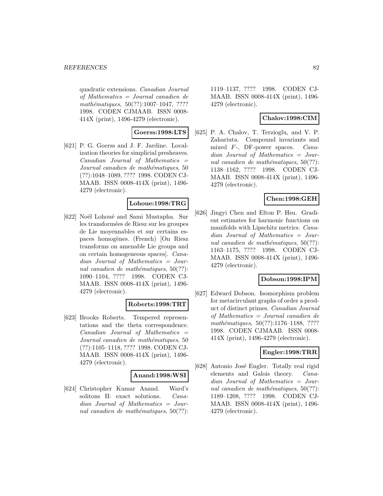quadratic extensions. Canadian Journal of Mathematics = Journal canadien de  $mathématiques, 50(??):1007–1047, ????$ 1998. CODEN CJMAAB. ISSN 0008- 414X (print), 1496-4279 (electronic).

**Goerss:1998:LTS**

[621] P. G. Goerss and J. F. Jardine. Localization theories for simplicial presheaves.  $Canadian$  Journal of Mathematics  $=$ Journal canadien de mathématiques, 50 (??):1048–1089, ???? 1998. CODEN CJ-MAAB. ISSN 0008-414X (print), 1496- 4279 (electronic).

### **Lohoue:1998:TRG**

[622] Noël Lohoué and Sami Mustapha. Sur les transformées de Riesz sur les groupes de Lie moyennables et sur certains espaces homogènes. (French) [On Riesz transforms on amenable Lie groups and on certain homogeneous spaces]. Canadian Journal of Mathematics = Journal canadien de mathématiques,  $50(??)$ : 1090–1104, ???? 1998. CODEN CJ-MAAB. ISSN 0008-414X (print), 1496- 4279 (electronic).

### **Roberts:1998:TRT**

[623] Brooks Roberts. Tempered representations and the theta correspondence.  $Canadian$  Journal of Mathematics  $=$ Journal canadien de mathématiques, 50 (??):1105–1118, ???? 1998. CODEN CJ-MAAB. ISSN 0008-414X (print), 1496- 4279 (electronic).

### **Anand:1998:WSI**

[624] Christopher Kumar Anand. Ward's solitons II: exact solutions. Canadian Journal of Mathematics = Journal canadien de mathématiques,  $50(??)$ :

1119–1137, ???? 1998. CODEN CJ-MAAB. ISSN 0008-414X (print), 1496- 4279 (electronic).

## **Chalov:1998:CIM**

[625] P. A. Chalov, T. Terzioglu, and V. P. Zahariuta. Compound invariants and mixed F-, DF-power spaces. Canadian Journal of Mathematics = Journal canadien de mathématiques,  $50(??)$ : 1138–1162, ???? 1998. CODEN CJ-MAAB. ISSN 0008-414X (print), 1496- 4279 (electronic).

## **Chen:1998:GEH**

[626] Jingyi Chen and Elton P. Hsu. Gradient estimates for harmonic functions on manifolds with Lipschitz metrics. Canadian Journal of Mathematics = Journal canadien de mathématiques,  $50(??)$ : 1163–1175, ???? 1998. CODEN CJ-MAAB. ISSN 0008-414X (print), 1496- 4279 (electronic).

# **Dobson:1998:IPM**

[627] Edward Dobson. Isomorphism problem for metacirculant graphs of order a product of distinct primes. Canadian Journal of Mathematics = Journal canadien de mathématiques, 50(??):1176-1188, ???? 1998. CODEN CJMAAB. ISSN 0008- 414X (print), 1496-4279 (electronic).

## **Engler:1998:TRR**

[628] Antonio José Engler. Totally real rigid elements and Galois theory. Canadian Journal of Mathematics = Journal canadien de mathématiques,  $50(??)$ : 1189–1208, ???? 1998. CODEN CJ-MAAB. ISSN 0008-414X (print), 1496- 4279 (electronic).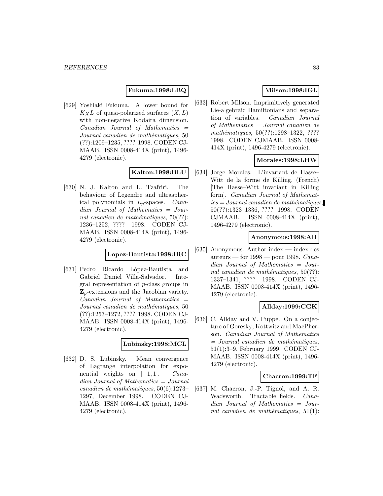## **Fukuma:1998:LBQ**

[629] Yoshiaki Fukuma. A lower bound for  $K_XL$  of quasi-polarized surfaces  $(X, L)$ with non-negative Kodaira dimension.  $Canadian$  Journal of Mathematics  $=$ Journal canadien de mathématiques, 50 (??):1209–1235, ???? 1998. CODEN CJ-MAAB. ISSN 0008-414X (print), 1496- 4279 (electronic).

# **Kalton:1998:BLU**

[630] N. J. Kalton and L. Tzafriri. The behaviour of Legendre and ultraspherical polynomials in  $L_p$ -spaces. *Cana*dian Journal of Mathematics = Journal canadien de mathématiques,  $50(??)$ : 1236–1252, ???? 1998. CODEN CJ-MAAB. ISSN 0008-414X (print), 1496- 4279 (electronic).

#### **Lopez-Bautista:1998:IRC**

[631] Pedro Ricardo López-Bautista and Gabriel Daniel Villa-Salvador. Integral representation of p-class groups in **Z**p-extensions and the Jacobian variety.  $Canadian$  Journal of Mathematics  $=$ Journal canadien de mathématiques, 50 (??):1253–1272, ???? 1998. CODEN CJ-MAAB. ISSN 0008-414X (print), 1496- 4279 (electronic).

# **Lubinsky:1998:MCL**

[632] D. S. Lubinsky. Mean convergence of Lagrange interpolation for exponential weights on  $[-1, 1]$ . Canadian Journal of Mathematics = Journal  $cana dien de mathématiques, 50(6):1273-$ 1297, December 1998. CODEN CJ-MAAB. ISSN 0008-414X (print), 1496- 4279 (electronic).

# **Milson:1998:IGL**

[633] Robert Milson. Imprimitively generated Lie-algebraic Hamiltonians and separation of variables. Canadian Journal of Mathematics = Journal canadien de mathématiques, 50(??):1298-1322, ???? 1998. CODEN CJMAAB. ISSN 0008- 414X (print), 1496-4279 (electronic).

## **Morales:1998:LHW**

[634] Jorge Morales. L'invariant de Hasse– Witt de la forme de Killing. (French) [The Hasse–Witt invariant in Killing form]. Canadian Journal of Mathemat $ics = Journal\,c$ anadien de mathématiques, 50(??):1323–1336, ???? 1998. CODEN CJMAAB. ISSN 0008-414X (print), 1496-4279 (electronic).

### **Anonymous:1998:AII**

[635] Anonymous. Author index — index des auteurs — for  $1998$  — pour 1998. Canadian Journal of Mathematics = Journal canadien de mathématiques,  $50(??)$ : 1337–1341, ???? 1998. CODEN CJ-MAAB. ISSN 0008-414X (print), 1496- 4279 (electronic).

# **Allday:1999:CGK**

[636] C. Allday and V. Puppe. On a conjecture of Goresky, Kottwitz and MacPherson. Canadian Journal of Mathematics  $=$  Journal canadien de mathématiques, 51(1):3–9, February 1999. CODEN CJ-MAAB. ISSN 0008-414X (print), 1496- 4279 (electronic).

#### **Chacron:1999:TF**

[637] M. Chacron, J.-P. Tignol, and A. R. Wadsworth. Tractable fields. Canadian Journal of Mathematics = Journal canadien de mathématiques,  $51(1)$ :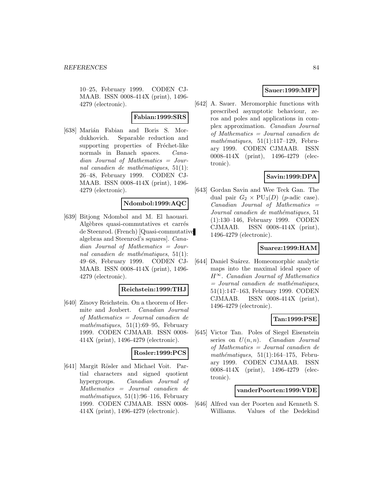10–25, February 1999. CODEN CJ-MAAB. ISSN 0008-414X (print), 1496- 4279 (electronic).

## **Fabian:1999:SRS**

[638] Marián Fabian and Boris S. Mordukhovich. Separable reduction and supporting properties of Fréchet-like normals in Banach spaces. *Cana*dian Journal of Mathematics = Journal canadien de mathématiques,  $51(1)$ : 26–48, February 1999. CODEN CJ-MAAB. ISSN 0008-414X (print), 1496- 4279 (electronic).

## **Ndombol:1999:AQC**

[639] Bitjong Ndombol and M. El haouari. Algèbres quasi-commutatives et carrés de Steenrod. (French) [Quasi-commutative algebras and Steenrod's squares]. Canadian Journal of Mathematics = Journal canadien de mathématiques,  $51(1)$ : 49–68, February 1999. CODEN CJ-MAAB. ISSN 0008-414X (print), 1496- 4279 (electronic).

# **Reichstein:1999:THJ**

[640] Zinovy Reichstein. On a theorem of Hermite and Joubert. Canadian Journal of Mathematics = Journal canadien de mathématiques,  $51(1):69-95$ , February 1999. CODEN CJMAAB. ISSN 0008- 414X (print), 1496-4279 (electronic).

### **Rosler:1999:PCS**

[641] Margit Rösler and Michael Voit. Partial characters and signed quotient hypergroups. Canadian Journal of Mathematics = Journal canadien de mathématiques,  $51(1):96-116$ , February 1999. CODEN CJMAAB. ISSN 0008- 414X (print), 1496-4279 (electronic).

## **Sauer:1999:MFP**

[642] A. Sauer. Meromorphic functions with prescribed asymptotic behaviour, zeros and poles and applications in complex approximation. Canadian Journal of Mathematics = Journal canadien de  $mathématiques, 51(1):117-129$ , February 1999. CODEN CJMAAB. ISSN 0008-414X (print), 1496-4279 (electronic).

# **Savin:1999:DPA**

[643] Gordan Savin and Wee Teck Gan. The dual pair  $G_2 \times \text{PU}_3(D)$  (*p*-adic case).  $Canadian$  Journal of Mathematics  $=$ Journal canadien de mathématiques, 51 (1):130–146, February 1999. CODEN CJMAAB. ISSN 0008-414X (print), 1496-4279 (electronic).

# **Suarez:1999:HAM**

[644] Daniel Suárez. Homeomorphic analytic maps into the maximal ideal space of  $H^{\infty}$ . Canadian Journal of Mathematics  $=$  Journal canadien de mathématiques, 51(1):147–163, February 1999. CODEN CJMAAB. ISSN 0008-414X (print), 1496-4279 (electronic).

# **Tan:1999:PSE**

[645] Victor Tan. Poles of Siegel Eisenstein series on  $U(n, n)$ . Canadian Journal of Mathematics = Journal canadien de mathématiques,  $51(1):164-175$ , February 1999. CODEN CJMAAB. ISSN 0008-414X (print), 1496-4279 (electronic).

### **vanderPoorten:1999:VDE**

[646] Alfred van der Poorten and Kenneth S. Williams. Values of the Dedekind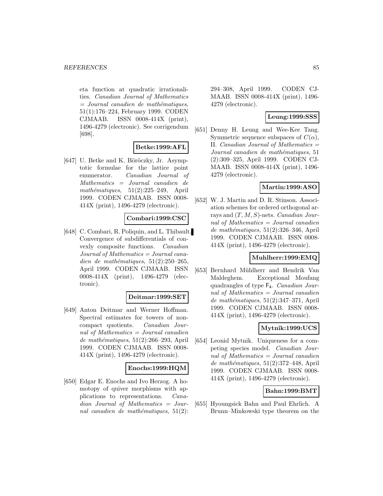eta function at quadratic irrationalities. Canadian Journal of Mathematics  $=$  Journal canadien de mathématiques, 51(1):176–224, February 1999. CODEN CJMAAB. ISSN 0008-414X (print), 1496-4279 (electronic). See corrigendum [698].

### **Betke:1999:AFL**

 $[647]$  U. Betke and K. Böröczky, Jr. Asymptotic formulae for the lattice point enumerator. Canadian Journal of Mathematics = Journal canadien de mathématiques,  $51(2):225-249$ , April 1999. CODEN CJMAAB. ISSN 0008- 414X (print), 1496-4279 (electronic).

## **Combari:1999:CSC**

[648] C. Combari, R. Poliquin, and L. Thibault. Convergence of subdifferentials of convexly composite functions. Canadian  $Journal of Mathematics = Journal cana$ dien de mathématiques,  $51(2):250-265$ , April 1999. CODEN CJMAAB. ISSN 0008-414X (print), 1496-4279 (electronic).

#### **Deitmar:1999:SET**

[649] Anton Deitmar and Werner Hoffman. Spectral estimates for towers of noncompact quotients. Canadian Journal of Mathematics = Journal canadien de mathématiques,  $51(2):266-293$ , April 1999. CODEN CJMAAB. ISSN 0008- 414X (print), 1496-4279 (electronic).

### **Enochs:1999:HQM**

[650] Edgar E. Enochs and Ivo Herzog. A homotopy of quiver morphisms with applications to representations. Canadian Journal of Mathematics = Journal canadien de mathématiques,  $51(2)$ :

294–308, April 1999. CODEN CJ-MAAB. ISSN 0008-414X (print), 1496- 4279 (electronic).

## **Leung:1999:SSS**

[651] Denny H. Leung and Wee-Kee Tang. Symmetric sequence subspaces of  $C(\alpha)$ , II. Canadian Journal of Mathematics = Journal canadien de mathématiques, 51 (2):309–325, April 1999. CODEN CJ-MAAB. ISSN 0008-414X (print), 1496- 4279 (electronic).

# **Martin:1999:ASO**

[652] W. J. Martin and D. R. Stinson. Association schemes for ordered orthogonal arrays and  $(T, M, S)$ -nets. *Canadian Jour*nal of Mathematics = Journal canadien  $de$  mathématiques, 51(2):326–346, April 1999. CODEN CJMAAB. ISSN 0008- 414X (print), 1496-4279 (electronic).

### **Muhlherr:1999:EMQ**

[653] Bernhard Mühlherr and Hendrik Van Maldeghem. Exceptional Moufang quadrangles of type F4. Canadian Journal of Mathematics  $=$  Journal canadien de mathématiques,  $51(2):347-371$ , April 1999. CODEN CJMAAB. ISSN 0008- 414X (print), 1496-4279 (electronic).

# **Mytnik:1999:UCS**

[654] Leonid Mytnik. Uniqueness for a competing species model. Canadian Journal of Mathematics = Journal canadien de mathématiques,  $51(2):372-448$ , April 1999. CODEN CJMAAB. ISSN 0008- 414X (print), 1496-4279 (electronic).

### **Bahn:1999:BMT**

[655] Hyoungsick Bahn and Paul Ehrlich. A Brunn–Minkowski type theorem on the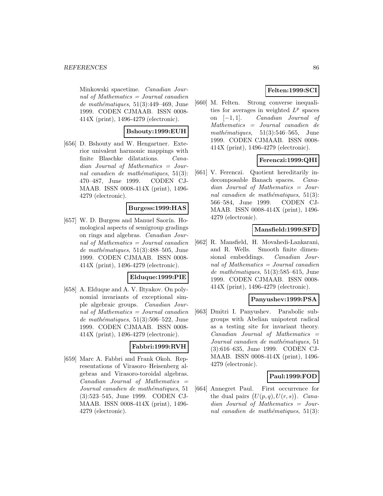Minkowski spacetime. Canadian Journal of Mathematics = Journal canadien de mathématiques,  $51(3):449-469$ , June 1999. CODEN CJMAAB. ISSN 0008- 414X (print), 1496-4279 (electronic).

## **Bshouty:1999:EUH**

[656] D. Bshouty and W. Hengartner. Exterior univalent harmonic mappings with finite Blaschke dilatations. Canadian Journal of Mathematics = Journal canadien de mathématiques,  $51(3)$ : 470–487, June 1999. CODEN CJ-MAAB. ISSN 0008-414X (print), 1496- 4279 (electronic).

### **Burgess:1999:HAS**

[657] W. D. Burgess and Manuel Saorín. Homological aspects of semigroup gradings on rings and algebras. Canadian Journal of Mathematics = Journal canadien de mathématiques,  $51(3):488-505$ , June 1999. CODEN CJMAAB. ISSN 0008- 414X (print), 1496-4279 (electronic).

### **Elduque:1999:PIE**

[658] A. Elduque and A. V. Iltyakov. On polynomial invariants of exceptional simple algebraic groups. Canadian Journal of Mathematics = Journal canadien de mathématiques,  $51(3):506-522$ , June 1999. CODEN CJMAAB. ISSN 0008- 414X (print), 1496-4279 (electronic).

# **Fabbri:1999:RVH**

[659] Marc A. Fabbri and Frank Okoh. Representations of Virasoro–Heisenberg algebras and Virasoro-toroidal algebras.  $Canadian$  Journal of Mathematics  $=$ Journal canadien de mathématiques, 51 (3):523–545, June 1999. CODEN CJ-MAAB. ISSN 0008-414X (print), 1496- 4279 (electronic).

# **Felten:1999:SCI**

[660] M. Felten. Strong converse inequalities for averages in weighted  $L^p$  spaces on [−1, 1]. Canadian Journal of Mathematics = Journal canadien de mathématiques,  $51(3):546-565$ , June 1999. CODEN CJMAAB. ISSN 0008- 414X (print), 1496-4279 (electronic).

# **Ferenczi:1999:QHI**

[661] V. Ferenczi. Quotient hereditarily indecomposable Banach spaces. Canadian Journal of Mathematics = Journal canadien de mathématiques,  $51(3)$ : 566–584, June 1999. CODEN CJ-MAAB. ISSN 0008-414X (print), 1496- 4279 (electronic).

## **Mansfield:1999:SFD**

[662] R. Mansfield, H. Movahedi-Lankarani, and R. Wells. Smooth finite dimensional embeddings. Canadian Journal of Mathematics = Journal canadien de mathématiques,  $51(3):585-615$ , June 1999. CODEN CJMAAB. ISSN 0008- 414X (print), 1496-4279 (electronic).

## **Panyushev:1999:PSA**

[663] Dmitri I. Panyushev. Parabolic subgroups with Abelian unipotent radical as a testing site for invariant theory. Canadian Journal of Mathematics = Journal canadien de mathématiques, 51 (3):616–635, June 1999. CODEN CJ-MAAB. ISSN 0008-414X (print), 1496- 4279 (electronic).

### **Paul:1999:FOD**

[664] Annegret Paul. First occurrence for the dual pairs  $(U(p,q), U(r,s))$ . Canadian Journal of Mathematics = Journal canadien de mathématiques,  $51(3)$ :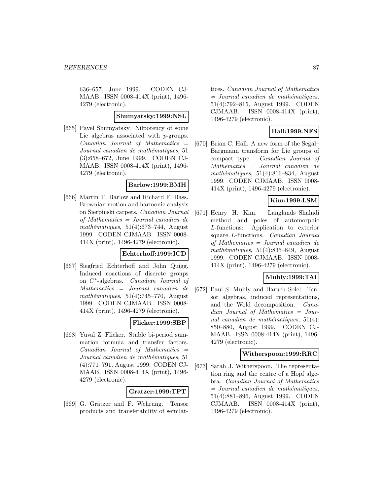636–657, June 1999. CODEN CJ-MAAB. ISSN 0008-414X (print), 1496- 4279 (electronic).

#### **Shumyatsky:1999:NSL**

[665] Pavel Shumyatsky. Nilpotency of some Lie algebras associated with *p*-groups.  $Canadian$  Journal of Mathematics  $=$ Journal canadien de mathématiques, 51 (3):658–672, June 1999. CODEN CJ-MAAB. ISSN 0008-414X (print), 1496- 4279 (electronic).

#### **Barlow:1999:BMH**

[666] Martin T. Barlow and Richard F. Bass. Brownian motion and harmonic analysis on Sierpinski carpets. Canadian Journal of Mathematics = Journal canadien de  $mathématiques, 51(4):673-744, August$ 1999. CODEN CJMAAB. ISSN 0008- 414X (print), 1496-4279 (electronic).

## **Echterhoff:1999:ICD**

[667] Siegfried Echterhoff and John Quigg. Induced coactions of discrete groups on C∗-algebras. Canadian Journal of Mathematics = Journal canadien de mathématiques,  $51(4)$ :745–770, August 1999. CODEN CJMAAB. ISSN 0008- 414X (print), 1496-4279 (electronic).

### **Flicker:1999:SBP**

[668] Yuval Z. Flicker. Stable bi-period summation formula and transfer factors.  $Canadian$  Journal of Mathematics  $=$ Journal canadien de mathématiques, 51 (4):771–791, August 1999. CODEN CJ-MAAB. ISSN 0008-414X (print), 1496- 4279 (electronic).

### **Gratzer:1999:TPT**

[669] G. Grätzer and F. Wehrung. Tensor products and transferability of semilattices. Canadian Journal of Mathematics  $=$  Journal canadien de mathématiques, 51(4):792–815, August 1999. CODEN CJMAAB. ISSN 0008-414X (print), 1496-4279 (electronic).

# **Hall:1999:NFS**

[670] Brian C. Hall. A new form of the Segal– Bargmann transform for Lie groups of compact type. Canadian Journal of Mathematics = Journal canadien de mathématiques,  $51(4):816-834$ , August 1999. CODEN CJMAAB. ISSN 0008- 414X (print), 1496-4279 (electronic).

# **Kim:1999:LSM**

[671] Henry H. Kim. Langlands–Shahidi method and poles of automorphic L-functions: Application to exterior square L-functions. Canadian Journal of Mathematics = Journal canadien de  $mathématiques, 51(4):835-849, August$ 1999. CODEN CJMAAB. ISSN 0008- 414X (print), 1496-4279 (electronic).

# **Muhly:1999:TAI**

[672] Paul S. Muhly and Baruch Solel. Tensor algebras, induced representations, and the Wold decomposition. Canadian Journal of Mathematics = Journal canadien de mathématiques,  $51(4)$ : 850–880, August 1999. CODEN CJ-MAAB. ISSN 0008-414X (print), 1496- 4279 (electronic).

## **Witherspoon:1999:RRC**

[673] Sarah J. Witherspoon. The representation ring and the centre of a Hopf algebra. Canadian Journal of Mathematics  $=$  Journal canadien de mathématiques, 51(4):881–896, August 1999. CODEN CJMAAB. ISSN 0008-414X (print), 1496-4279 (electronic).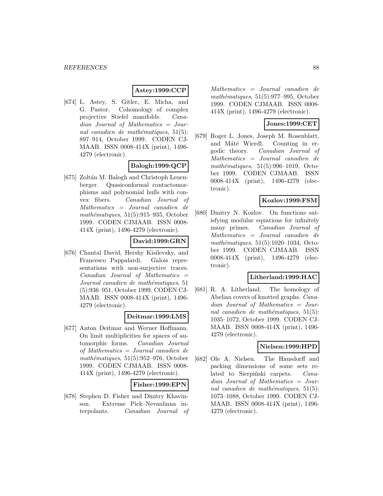# **Astey:1999:CCP**

[674] L. Astey, S. Gitler, E. Micha, and G. Pastor. Cohomology of complex projective Stiefel manifolds. Canadian Journal of Mathematics = Journal canadien de mathématiques,  $51(5)$ : 897–914, October 1999. CODEN CJ-MAAB. ISSN 0008-414X (print), 1496- 4279 (electronic).

## **Balogh:1999:QCP**

[675] Zoltán M. Balogh and Christoph Leuenberger. Quasiconformal contactomorphisms and polynomial hulls with convex fibers. Canadian Journal of Mathematics = Journal canadien de  $mathématiques, 51(5):915–935, October$ 1999. CODEN CJMAAB. ISSN 0008- 414X (print), 1496-4279 (electronic).

## **David:1999:GRN**

[676] Chantal David, Hershy Kisilevsky, and Francesco Pappalardi. Galois representations with non-surjective traces.  $Canadian$  Journal of Mathematics  $=$ Journal canadien de mathématiques, 51 (5):936–951, October 1999. CODEN CJ-MAAB. ISSN 0008-414X (print), 1496- 4279 (electronic).

# **Deitmar:1999:LMS**

[677] Anton Deitmar and Werner Hoffmann. On limit multiplicities for spaces of automorphic forms. Canadian Journal of Mathematics = Journal canadien de mathématiques,  $51(5):952-976$ , October 1999. CODEN CJMAAB. ISSN 0008- 414X (print), 1496-4279 (electronic).

### **Fisher:1999:EPN**

[678] Stephen D. Fisher and Dmitry Khavinson. Extreme Pick–Nevanlinna interpolants. Canadian Journal of Mathematics = Journal canadien de  $mathématiques, 51(5):977-995, October$ 1999. CODEN CJMAAB. ISSN 0008- 414X (print), 1496-4279 (electronic).

# **Jones:1999:CET**

[679] Roger L. Jones, Joseph M. Rosenblatt, and Máté Wierdl. Counting in ergodic theory. Canadian Journal of Mathematics = Journal canadien de mathématiques,  $51(5):996-1019$ , October 1999. CODEN CJMAAB. ISSN 0008-414X (print), 1496-4279 (electronic).

# **Kozlov:1999:FSM**

[680] Dmitry N. Kozlov. On functions satisfying modular equations for infinitely many primes. Canadian Journal of Mathematics = Journal canadien de mathématiques,  $51(5):1020-1034$ , October 1999. CODEN CJMAAB. ISSN 0008-414X (print), 1496-4279 (electronic).

### **Litherland:1999:HAC**

[681] R. A. Litherland. The homology of Abelian covers of knotted graphs. Canadian Journal of Mathematics = Journal canadien de mathématiques,  $51(5)$ : 1035–1072, October 1999. CODEN CJ-MAAB. ISSN 0008-414X (print), 1496- 4279 (electronic).

# **Nielsen:1999:HPD**

[682] Ole A. Nielsen. The Hausdorff and packing dimensions of some sets related to Sierpiński carpets. Canadian Journal of Mathematics = Journal canadien de mathématiques,  $51(5)$ : 1073–1088, October 1999. CODEN CJ-MAAB. ISSN 0008-414X (print), 1496- 4279 (electronic).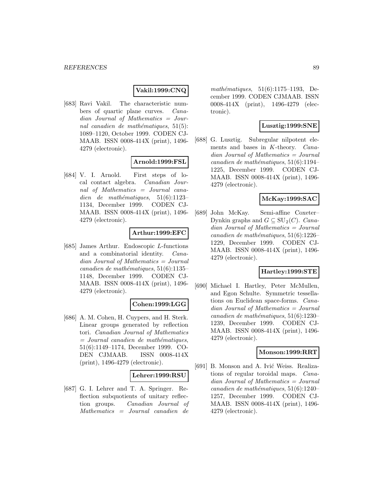# **Vakil:1999:CNQ**

[683] Ravi Vakil. The characteristic numbers of quartic plane curves. Canadian Journal of Mathematics = Journal canadien de mathématiques,  $51(5)$ : 1089–1120, October 1999. CODEN CJ-MAAB. ISSN 0008-414X (print), 1496- 4279 (electronic).

# **Arnold:1999:FSL**

[684] V. I. Arnold. First steps of local contact algebra. Canadian Journal of Mathematics = Journal canadien de mathématiques,  $51(6):1123-$ 1134, December 1999. CODEN CJ-MAAB. ISSN 0008-414X (print), 1496- 4279 (electronic).

## **Arthur:1999:EFC**

[685] James Arthur. Endoscopic L-functions and a combinatorial identity. Canadian Journal of Mathematics = Journal  $cana dien de mathématiques, 51(6):1135-$ 1148, December 1999. CODEN CJ-MAAB. ISSN 0008-414X (print), 1496- 4279 (electronic).

### **Cohen:1999:LGG**

[686] A. M. Cohen, H. Cuypers, and H. Sterk. Linear groups generated by reflection tori. Canadian Journal of Mathematics  $=$  Journal canadien de mathématiques, 51(6):1149–1174, December 1999. CO-DEN CJMAAB. ISSN 0008-414X (print), 1496-4279 (electronic).

## **Lehrer:1999:RSU**

[687] G. I. Lehrer and T. A. Springer. Reflection subquotients of unitary reflection groups. Canadian Journal of Mathematics = Journal canadien de mathématiques,  $51(6):1175-1193$ , December 1999. CODEN CJMAAB. ISSN 0008-414X (print), 1496-4279 (electronic).

# **Lusztig:1999:SNE**

[688] G. Lusztig. Subregular nilpotent elements and bases in K-theory. Canadian Journal of Mathematics = Journal canadien de mathématiques,  $51(6):1194-$ 1225, December 1999. CODEN CJ-MAAB. ISSN 0008-414X (print), 1496- 4279 (electronic).

# **McKay:1999:SAC**

[689] John McKay. Semi-affine Coxeter– Dynkin graphs and  $G \subseteq SU_2(C)$ . Canadian Journal of Mathematics = Journal canadien de mathématiques,  $51(6):1226-$ 1229, December 1999. CODEN CJ-MAAB. ISSN 0008-414X (print), 1496- 4279 (electronic).

## **Hartley:1999:STE**

[690] Michael I. Hartley, Peter McMullen, and Egon Schulte. Symmetric tessellations on Euclidean space-forms. Canadian Journal of Mathematics = Journal canadien de mathématiques,  $51(6):1230-$ 1239, December 1999. CODEN CJ-MAAB. ISSN 0008-414X (print), 1496- 4279 (electronic).

### **Monson:1999:RRT**

[691] B. Monson and A. Ivić Weiss. Realizations of regular toroidal maps. Canadian Journal of Mathematics = Journal canadien de mathématiques,  $51(6):1240-$ 1257, December 1999. CODEN CJ-MAAB. ISSN 0008-414X (print), 1496- 4279 (electronic).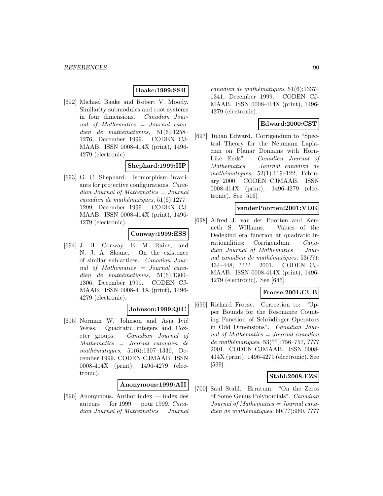## **Baake:1999:SSR**

[692] Michael Baake and Robert V. Moody. Similarity submodules and root systems in four dimensions. Canadian Journal of Mathematics = Journal canadien de mathématiques,  $51(6):1258-$ 1276, December 1999. CODEN CJ-MAAB. ISSN 0008-414X (print), 1496- 4279 (electronic).

# **Shephard:1999:IIP**

[693] G. C. Shephard. Isomorphism invariants for projective configurations. Canadian Journal of Mathematics = Journal  $cana dien de mathématiques, 51(6):1277-$ 1299, December 1999. CODEN CJ-MAAB. ISSN 0008-414X (print), 1496- 4279 (electronic).

## **Conway:1999:ESS**

[694] J. H. Conway, E. M. Rains, and N. J. A. Sloane. On the existence of similar sublattices. Canadian Journal of Mathematics = Journal canadien de mathématiques,  $51(6):1300-$ 1306, December 1999. CODEN CJ-MAAB. ISSN 0008-414X (print), 1496- 4279 (electronic).

## **Johnson:1999:QIC**

[695] Norman W. Johnson and Asia Ivić Weiss. Quadratic integers and Coxeter groups. Canadian Journal of Mathematics = Journal canadien de mathématiques,  $51(6):1307-1336$ , December 1999. CODEN CJMAAB. ISSN 0008-414X (print), 1496-4279 (electronic).

# **Anonymous:1999:AII**

[696] Anonymous. Author index — index des auteurs — for  $1999$  — pour 1999. Canadian Journal of Mathematics = Journal  $cana dien de mathématiques, 51(6):1337-$ 1341, December 1999. CODEN CJ-MAAB. ISSN 0008-414X (print), 1496- 4279 (electronic).

# **Edward:2000:CST**

[697] Julian Edward. Corrigendum to "Spectral Theory for the Neumann Laplacian on Planar Domains with Horn-Like Ends". Canadian Journal of Mathematics = Journal canadien de mathématiques,  $52(1):119-122$ , February 2000. CODEN CJMAAB. ISSN 0008-414X (print), 1496-4279 (electronic). See [516].

## **vanderPoorten:2001:VDE**

[698] Alfred J. van der Poorten and Kenneth S. Williams. Values of the Dedekind eta function at quadratic irrationalities: Corrigendum. Canadian Journal of Mathematics = Journal canadien de mathématiques,  $53(??)$ : 434–448, ???? 2001. CODEN CJ-MAAB. ISSN 0008-414X (print), 1496- 4279 (electronic). See [646].

## **Froese:2001:CUB**

[699] Richard Froese. Correction to: "Upper Bounds for the Resonance Counting Function of Schrödinger Operators in Odd Dimensions". Canadian Journal of Mathematics = Journal canadien de mathématiques,  $53(??)$ :756–757, ???? 2001. CODEN CJMAAB. ISSN 0008- 414X (print), 1496-4279 (electronic). See [599].

## **Stahl:2008:EZS**

[700] Saul Stahl. Erratum: "On the Zeros of Some Genus Polynomials". Canadian Journal of Mathematics = Journal canadien de mathématiques,  $60(??):960, ????$